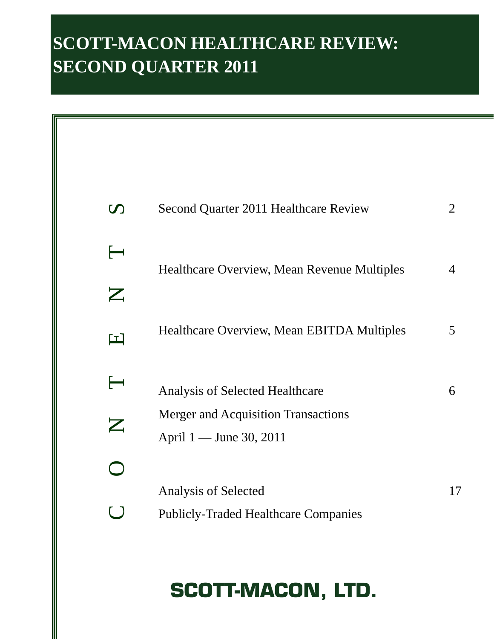# **SCOTT-MACON HEALTHCARE REVIEW: SECOND QUARTER 2011**

| $\boldsymbol{\mathcal{D}}$   | Second Quarter 2011 Healthcare Review                                 | 2  |
|------------------------------|-----------------------------------------------------------------------|----|
| $\longmapsto$<br>$\mathbb Z$ | <b>Healthcare Overview, Mean Revenue Multiples</b>                    | 4  |
| $\blacksquare$               | Healthcare Overview, Mean EBITDA Multiples                            | 5  |
| $\longleftarrow$             | <b>Analysis of Selected Healthcare</b>                                | 6  |
| $\boldsymbol{\mathsf{Z}}$    | <b>Merger and Acquisition Transactions</b><br>April 1 — June 30, 2011 |    |
|                              |                                                                       |    |
|                              | Analysis of Selected<br><b>Publicly-Traded Healthcare Companies</b>   | 17 |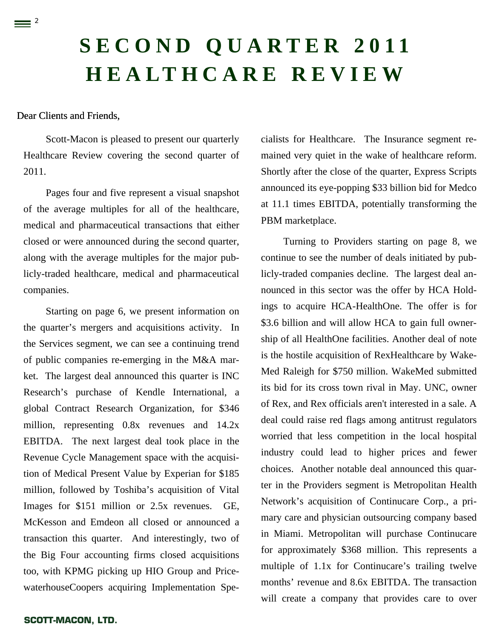# **SECOND QUARTER 2011 HEALTHCARE REVIEW**

#### Dear Clients and Friends,

 $\equiv$  <sup>2</sup>

Scott-Macon is pleased to present our quarterly Healthcare Review covering the second quarter of 2011.

Pages four and five represent a visual snapshot of the average multiples for all of the healthcare, medical and pharmaceutical transactions that either closed or were announced during the second quarter, along with the average multiples for the major publicly-traded healthcare, medical and pharmaceutical companies.

Starting on page 6, we present information on the quarter's mergers and acquisitions activity. In the Services segment, we can see a continuing trend of public companies re-emerging in the M&A market. The largest deal announced this quarter is INC Research's purchase of Kendle International, a global Contract Research Organization, for \$346 million, representing 0.8x revenues and 14.2x EBITDA. The next largest deal took place in the Revenue Cycle Management space with the acquisition of Medical Present Value by Experian for \$185 million, followed by Toshiba's acquisition of Vital Images for \$151 million or 2.5x revenues. GE, McKesson and Emdeon all closed or announced a transaction this quarter. And interestingly, two of the Big Four accounting firms closed acquisitions too, with KPMG picking up HIO Group and PricewaterhouseCoopers acquiring Implementation Specialists for Healthcare. The Insurance segment remained very quiet in the wake of healthcare reform. Shortly after the close of the quarter, Express Scripts announced its eye-popping \$33 billion bid for Medco at 11.1 times EBITDA, potentially transforming the PBM marketplace.

Turning to Providers starting on page 8, we continue to see the number of deals initiated by publicly-traded companies decline. The largest deal announced in this sector was the offer by HCA Holdings to acquire HCA-HealthOne. The offer is for \$3.6 billion and will allow HCA to gain full ownership of all HealthOne facilities. Another deal of note is the hostile acquisition of RexHealthcare by Wake-Med Raleigh for \$750 million. WakeMed submitted its bid for its cross town rival in May. UNC, owner of Rex, and Rex officials aren't interested in a sale. A deal could raise red flags among antitrust regulators worried that less competition in the local hospital industry could lead to higher prices and fewer choices. Another notable deal announced this quarter in the Providers segment is Metropolitan Health Network's acquisition of Continucare Corp., a primary care and physician outsourcing company based in Miami. Metropolitan will purchase Continucare for approximately \$368 million. This represents a multiple of 1.1x for Continucare's trailing twelve months' revenue and 8.6x EBITDA. The transaction will create a company that provides care to over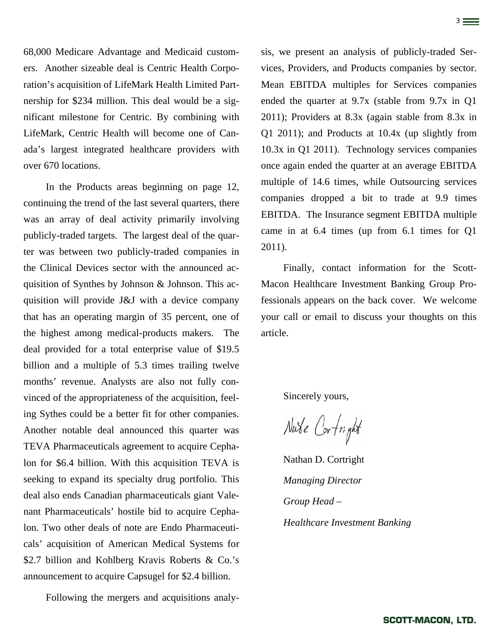68,000 Medicare Advantage and Medicaid customers. Another sizeable deal is Centric Health Corporation's acquisition of LifeMark Health Limited Partnership for \$234 million. This deal would be a significant milestone for Centric. By combining with LifeMark, Centric Health will become one of Canada's largest integrated healthcare providers with over 670 locations.

3

In the Products areas beginning on page 12, continuing the trend of the last several quarters, there was an array of deal activity primarily involving publicly-traded targets. The largest deal of the quarter was between two publicly-traded companies in the Clinical Devices sector with the announced acquisition of Synthes by Johnson & Johnson. This acquisition will provide J&J with a device company that has an operating margin of 35 percent, one of the highest among medical-products makers. The deal provided for a total enterprise value of \$19.5 billion and a multiple of 5.3 times trailing twelve months' revenue. Analysts are also not fully convinced of the appropriateness of the acquisition, feeling Sythes could be a better fit for other companies. Another notable deal announced this quarter was TEVA Pharmaceuticals agreement to acquire Cephalon for \$6.4 billion. With this acquisition TEVA is seeking to expand its specialty drug portfolio. This deal also ends Canadian pharmaceuticals giant Valenant Pharmaceuticals' hostile bid to acquire Cephalon. Two other deals of note are Endo Pharmaceuticals' acquisition of American Medical Systems for \$2.7 billion and Kohlberg Kravis Roberts & Co.'s announcement to acquire Capsugel for \$2.4 billion.

Following the mergers and acquisitions analy-

sis, we present an analysis of publicly-traded Services, Providers, and Products companies by sector. Mean EBITDA multiples for Services companies ended the quarter at 9.7x (stable from 9.7x in Q1 2011); Providers at 8.3x (again stable from 8.3x in Q1 2011); and Products at 10.4x (up slightly from 10.3x in Q1 2011). Technology services companies once again ended the quarter at an average EBITDA multiple of 14.6 times, while Outsourcing services companies dropped a bit to trade at 9.9 times EBITDA. The Insurance segment EBITDA multiple came in at 6.4 times (up from 6.1 times for Q1 2011).

Finally, contact information for the Scott-Macon Healthcare Investment Banking Group Professionals appears on the back cover. We welcome your call or email to discuss your thoughts on this article.

Sincerely yours,

Nabe Cortright

Nathan D. Cortright *Managing Director Group Head – Healthcare Investment Banking*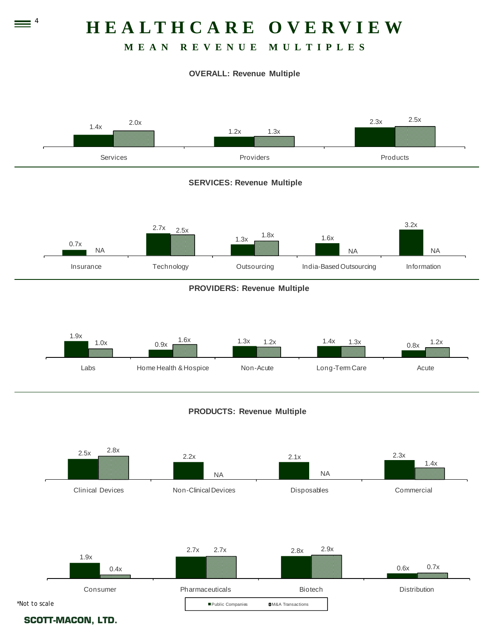

# **MEAN REVENUE MULTIPLES**

#### **OVERALL: Revenue Multiple**

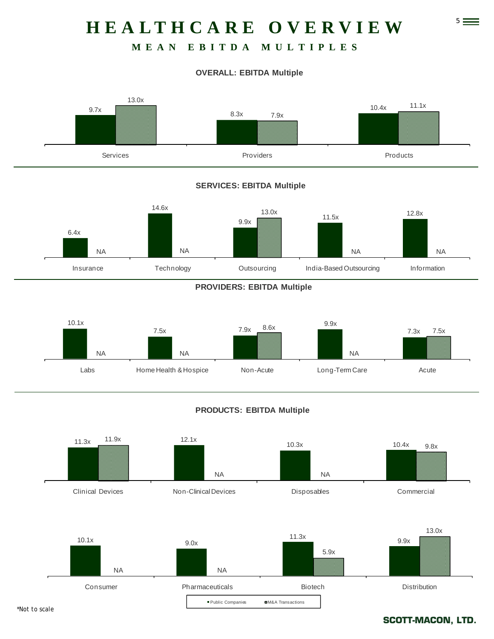# 5 **HEALTHCARE OVERVIEW**

# **MEAN EBITDA MULTIPLES**

#### **OVERALL: EBITDA Multiple**



#### **SERVICES: EBITDA Multiple**



#### **PROVIDERS: EBITDA Multiple**



#### **PRODUCTS: EBITDA Multiple**



#### **SCOTT-MACON, LTD.**

*\*Not to scale*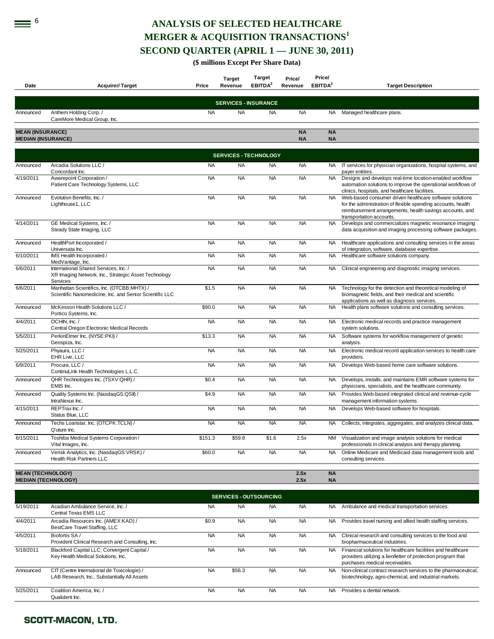# **EXECTED HEALTHCARE MERGER & ACQUISITION TRANSACTIONS<sup>1</sup> SECOND QUARTER (APRIL 1 — JUNE 30, 2011)**

**(\$ millions Except Per Share Data)** 

| Date                                                 | <b>Acquirer/Target</b>                                                                                    | Price     | <b>Target</b><br>Revenue     | Target<br>EBITDA <sup>2</sup> | Price/<br>Revenue      | Price/<br>EBITDA <sup>2</sup> | <b>Target Description</b>                                                                                                                                                                                       |
|------------------------------------------------------|-----------------------------------------------------------------------------------------------------------|-----------|------------------------------|-------------------------------|------------------------|-------------------------------|-----------------------------------------------------------------------------------------------------------------------------------------------------------------------------------------------------------------|
|                                                      |                                                                                                           |           | <b>SERVICES - INSURANCE</b>  |                               |                        |                               |                                                                                                                                                                                                                 |
| Announced                                            | Anthem Holding Corp./<br>CareMore Medical Group, Inc.                                                     | <b>NA</b> | <b>NA</b>                    | <b>NA</b>                     | <b>NA</b>              | NA                            | Managed healthcare plans.                                                                                                                                                                                       |
| <b>MEAN (INSURANCE)</b><br><b>MEDIAN (INSURANCE)</b> |                                                                                                           |           |                              |                               | <b>NA</b><br><b>NA</b> | <b>NA</b><br><b>NA</b>        |                                                                                                                                                                                                                 |
|                                                      |                                                                                                           |           | <b>SERVICES - TECHNOLOGY</b> |                               |                        |                               |                                                                                                                                                                                                                 |
| Announced                                            | Arcadia Solutions LLC /<br>Concordant Inc.                                                                | <b>NA</b> | <b>NA</b>                    | <b>NA</b>                     | <b>NA</b>              | NA.                           | IT services for physician organizations, hospital systems, and<br>payer entities.                                                                                                                               |
| 4/19/2011                                            | Awarepoint Corporation /<br>Patient Care Technology Systems, LLC                                          | <b>NA</b> | <b>NA</b>                    | <b>NA</b>                     | <b>NA</b>              | <b>NA</b>                     | Designs and develops real-time location-enabled workflow<br>automation solutions to improve the operational workflows of<br>clinics, hospitals, and healthcare facilities.                                      |
| Announced                                            | Evolution Benefits, Inc./<br>Lighthouse1, LLC                                                             | <b>NA</b> | <b>NA</b>                    | <b>NA</b>                     | <b>NA</b>              | <b>NA</b>                     | Web-based consumer driven healthcare software solutions<br>for the administration of flexible spending accounts, health<br>reimbursement arrangements, health savings accounts, and<br>transportation accounts. |
| 4/14/2011                                            | GE Medical Systems, Inc. /<br>Steady State Imaging, LLC                                                   | <b>NA</b> | <b>NA</b>                    | <b>NA</b>                     | <b>NA</b>              | <b>NA</b>                     | Develops and commercializes magnetic resonance imaging<br>data acquisition and imaging processing software packages.                                                                                            |
| Announced                                            | HealthPort Incorporated /<br>Universata Inc.                                                              | <b>NA</b> | <b>NA</b>                    | <b>NA</b>                     | <b>NA</b>              | NA.                           | Healthcare applications and consulting services in the areas<br>of integration, software, database expertise.                                                                                                   |
| 6/10/2011                                            | IMS Health Incorporated /<br>MedVantage, Inc.                                                             | <b>NA</b> | <b>NA</b>                    | <b>NA</b>                     | <b>NA</b>              | NA                            | Healthcare software solutions company.                                                                                                                                                                          |
| 6/6/2011                                             | International Shared Services, Inc. /<br>XR Imaging Network, Inc., Strategic Asset Technology<br>Services | <b>NA</b> | <b>NA</b>                    | <b>NA</b>                     | <b>NA</b>              | <b>NA</b>                     | Clinical engineering and diagnostic imaging services.                                                                                                                                                           |
| 6/6/2011                                             | Manhattan Scientifics, Inc. (OTCBB:MHTX) /<br>Scientific Nanomedicine, Inc. and Senior Scientific LLC     | \$1.5     | <b>NA</b>                    | <b>NA</b>                     | <b>NA</b>              | <b>NA</b>                     | Technology for the detection and theoretical modeling of<br>biomagnetic fields, and their medical and scientific<br>applications as well as diagnosis services.                                                 |
| Announced                                            | McKesson Health Solutions LLC /<br>Portico Systems, Inc.                                                  | \$90.0    | <b>NA</b>                    | <b>NA</b>                     | <b>NA</b>              | <b>NA</b>                     | Health plans software solutions and consulting services.                                                                                                                                                        |
| 4/4/2011                                             | OCHIN. Inc./<br>Central Oregon Electronic Medical Records                                                 | <b>NA</b> | <b>NA</b>                    | <b>NA</b>                     | <b>NA</b>              | <b>NA</b>                     | Electronic medical records and practice management<br>system solutions.                                                                                                                                         |
| 5/5/2011                                             | PerkinElmer Inc. (NYSE:PKI) /<br>Geospiza, Inc.                                                           | \$13.3    | <b>NA</b>                    | <b>NA</b>                     | <b>NA</b>              | <b>NA</b>                     | Software systems for workflow management of genetic<br>analysis.                                                                                                                                                |
| 5/25/2011                                            | Phyaura, LLC /<br>EHR Live, LLC                                                                           | <b>NA</b> | <b>NA</b>                    | <b>NA</b>                     | <b>NA</b>              | <b>NA</b>                     | Electronic medical record application services to health care<br>providers.                                                                                                                                     |
| 6/9/2011                                             | Procura, LLC /<br>ContinuLink Health Technologies L.L.C.                                                  | <b>NA</b> | <b>NA</b>                    | <b>NA</b>                     | <b>NA</b>              | <b>NA</b>                     | Develops Web-based home care software solutions.                                                                                                                                                                |
| Announced                                            | QHR Technologies Inc. (TSXV:QHR) /<br>EMIS Inc.                                                           | \$0.4     | <b>NA</b>                    | <b>NA</b>                     | <b>NA</b>              | NA.                           | Develops, installs, and maintains EMR software systems for<br>physicians, specialists, and the healthcare community.                                                                                            |
| Announced                                            | Quality Systems Inc. (NasdaqGS:QSII) /<br>IntraNexus Inc.                                                 | \$4.9     | <b>NA</b>                    | <b>NA</b>                     | <b>NA</b>              | <b>NA</b>                     | Provides Web-based integrated clinical and revenue-cycle<br>management information systems.                                                                                                                     |
| 4/15/2011                                            | REPTrax Inc./<br>Status Blue, LLC                                                                         | <b>NA</b> | <b>NA</b>                    | <b>NA</b>                     | <b>NA</b>              | <b>NA</b>                     | Develops Web-based software for hospitals.                                                                                                                                                                      |
| Announced                                            | Techs Loanstar, Inc. (OTCPK:TCLN) /<br>Q'uture Inc.                                                       | <b>NA</b> | <b>NA</b>                    | <b>NA</b>                     | <b>NA</b>              | NA                            | Collects, integrates, aggregates, and analyzes clinical data.                                                                                                                                                   |
| 6/15/2011                                            | Toshiba Medical Systems Corporation /<br>Vital Images, Inc.                                               | \$151.3   | \$59.8                       | \$1.6                         | 2.5x                   | <b>NM</b>                     | Visualization and image analysis solutions for medical<br>professionals in clinical analysis and therapy planning.                                                                                              |
| Announced                                            | Verisk Analytics, Inc. (NasdaqGS:VRSK) /<br>Health Risk Partners LLC                                      | \$60.0    | <b>NA</b>                    | <b>NA</b>                     | <b>NA</b>              | <b>NA</b>                     | Online Medicare and Medicaid data management tools and<br>consulting services.                                                                                                                                  |
| <b>MEAN (TECHNOLOGY)</b>                             | <b>MEDIAN (TECHNOLOGY)</b>                                                                                |           |                              |                               | 2.5x<br>2.5x           | <b>NA</b><br><b>NA</b>        |                                                                                                                                                                                                                 |

|           | <b>SERVICES - OUTSOURCING</b>                                                               |           |           |           |           |           |                                                                                                                                                                |  |  |  |  |  |
|-----------|---------------------------------------------------------------------------------------------|-----------|-----------|-----------|-----------|-----------|----------------------------------------------------------------------------------------------------------------------------------------------------------------|--|--|--|--|--|
| 5/19/2011 | Acadian Ambulance Service, Inc. /<br>Central Texas EMS LLC                                  | <b>NA</b> | <b>NA</b> | <b>NA</b> | <b>NA</b> | NA.       | Ambulance and medical transportation services.                                                                                                                 |  |  |  |  |  |
| 4/4/2011  | Arcadia Resources Inc. (AMEX:KAD) /<br>BestCare Travel Staffing, LLC                        | \$0.9     | <b>NA</b> | <b>NA</b> | <b>NA</b> | NA.       | Provides travel nursing and allied health staffing services.                                                                                                   |  |  |  |  |  |
| 4/5/2011  | Biofortis SA /<br>Provident Clinical Research and Consulting, Inc.                          | <b>NA</b> | <b>NA</b> | <b>NA</b> | <b>NA</b> | NA.       | Clinical research and consulting services to the food and<br>biopharmaceutical industries.                                                                     |  |  |  |  |  |
| 5/18/2011 | Blackford Capital LLC; Convergent Capital /<br>Key Health Medical Solutions, Inc.           | <b>NA</b> | <b>NA</b> | <b>NA</b> | <b>NA</b> | NA.       | Financial solutions for healthcare facilities and healthcare<br>providers utilizing a lien/letter of protection program that<br>purchases medical receivables. |  |  |  |  |  |
| Announced | CIT (Centre International de Toxicologie) /<br>LAB Research, Inc., Substantially All Assets | <b>NA</b> | \$56.3    | <b>NA</b> | <b>NA</b> | <b>NA</b> | Non-clinical contract research services to the pharmaceutical,<br>biotechnology, agro-chemical, and industrial markets.                                        |  |  |  |  |  |
| 5/25/2011 | Coalition America, Inc. /<br>Qualident Inc.                                                 | <b>NA</b> | <b>NA</b> | NA.       | <b>NA</b> | <b>NA</b> | Provides a dental network.                                                                                                                                     |  |  |  |  |  |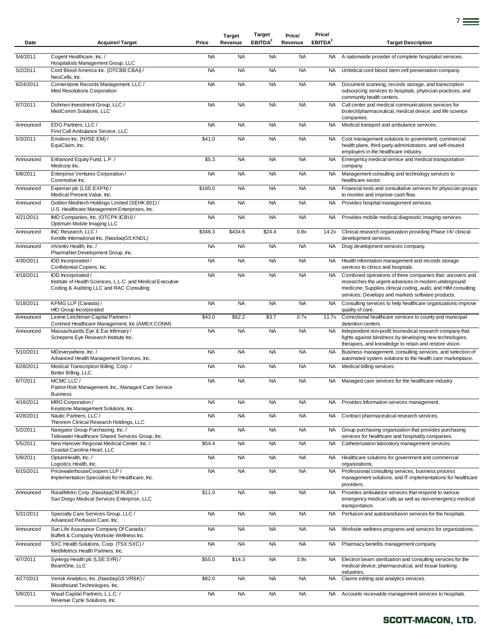| Date      | <b>Acquirer/Target</b>                                                                                                       | Price     | <b>Target</b><br>Revenue | <b>Target</b><br>EBITDA <sup>2</sup> | Price/<br>Revenue | Price/<br>EBITDA <sup>2</sup> | <b>Target Description</b>                                                                                                                                                                                                               |
|-----------|------------------------------------------------------------------------------------------------------------------------------|-----------|--------------------------|--------------------------------------|-------------------|-------------------------------|-----------------------------------------------------------------------------------------------------------------------------------------------------------------------------------------------------------------------------------------|
| 5/4/2011  | Cogent Healthcare, Inc. /<br>Hospitalists Management Group, LLC                                                              | <b>NA</b> | <b>NA</b>                | <b>NA</b>                            | <b>NA</b>         | NA                            | A nationwide provider of complete hospitalist services.                                                                                                                                                                                 |
| 5/2/2011  | Cord Blood America Inc. (OTCBB:CBAI) /<br>NeoCells, Inc.                                                                     | <b>NA</b> | <b>NA</b>                | <b>NA</b>                            | <b>NA</b>         | <b>NA</b>                     | Umbilical cord blood stem cell preservation company.                                                                                                                                                                                    |
| 6/24/2011 | Cornerstone Records Management, LLC /<br>Med Resolutions Corporation                                                         | <b>NA</b> | <b>NA</b>                | <b>NA</b>                            | <b>NA</b>         | NA                            | Document scanning, records storage, and transcription<br>outsourcing services to hospitals, physician practices, and<br>community health centers.                                                                                       |
| 6/7/2011  | Dohmen Investment Group, LLC /<br>MedComm Solutions, LLC                                                                     | <b>NA</b> | <b>NA</b>                | <b>NA</b>                            | <b>NA</b>         | <b>NA</b>                     | Call center and medical communications services for<br>biotech/pharmaceutical, medical device, and life science<br>companies.                                                                                                           |
| Announced | EDG Partners, LLC /<br>First Call Ambulance Service, LLC                                                                     | <b>NA</b> | <b>NA</b>                | <b>NA</b>                            | <b>NA</b>         | <b>NA</b>                     | Medical transport and ambulance services.                                                                                                                                                                                               |
| 5/3/2011  | Emdeon Inc. (NYSE:EM) /<br>EquiClaim, Inc.                                                                                   | \$41.0    | <b>NA</b>                | <b>NA</b>                            | <b>NA</b>         | <b>NA</b>                     | Cost management solutions to government, commercial<br>health plans, third-party administrators, and self-insured<br>employers in the healthcare industry.                                                                              |
| Announced | Enhanced Equity Fund, L.P. /<br>Medcorp Inc.                                                                                 | \$5.3     | <b>NA</b>                | <b>NA</b>                            | <b>NA</b>         | <b>NA</b>                     | Emergency medical service and medical transportation<br>company.                                                                                                                                                                        |
| 6/8/2011  | Enterprise Ventures Corporation /<br>Coremotive Inc.                                                                         | <b>NA</b> | <b>NA</b>                | <b>NA</b>                            | <b>NA</b>         | <b>NA</b>                     | Management consulting and technology services to<br>healthcare sector.                                                                                                                                                                  |
| Announced | Experian plc (LSE:EXPN) /<br>Medical Present Value, Inc.                                                                     | \$185.0   | <b>NA</b>                | <b>NA</b>                            | <b>NA</b>         | NA .                          | Financial tools and consultative services for physician groups<br>to monitor and improve cash flow.                                                                                                                                     |
| Announced | Golden Meditech Holdings Limited (SEHK:801) /<br>U.S. Healthcare Management Enterprises, Inc.                                | <b>NA</b> | <b>NA</b>                | <b>NA</b>                            | <b>NA</b>         | NA                            | Provides hospital management services.                                                                                                                                                                                                  |
| 4/21/2011 | IMD Companies, Inc. (OTCPK:ICBU) /<br>Optimum Mobile Imaging LLC                                                             | <b>NA</b> | <b>NA</b>                | <b>NA</b>                            | <b>NA</b>         | NA                            | Provides mobile medical diagnostic imaging services.                                                                                                                                                                                    |
| Announced | INC Research, LLC /<br>Kendle International Inc. (NasdaqGS:KNDL)                                                             | \$346.3   | \$434.6                  | \$24.4                               | 0.8x              | 14.2x                         | Clinical research organization providing Phase I-IV clinical<br>development services.                                                                                                                                                   |
| Announced | inVentiv Health, Inc. /<br>PharmaNet Development Group, Inc.                                                                 | <b>NA</b> | <b>NA</b>                | <b>NA</b>                            | <b>NA</b>         | NA.                           | Drug development services company.                                                                                                                                                                                                      |
| 4/30/2011 | IOD Incorporated /<br>Confidential Copiers, Inc.                                                                             | <b>NA</b> | <b>NA</b>                | <b>NA</b>                            | <b>NA</b>         | <b>NA</b>                     | Health information management and records storage<br>services to clinics and hospitals.                                                                                                                                                 |
| 4/18/2011 | IOD Incorporated /<br>Institute of Health Sciences, L.L.C. and Medical Executive<br>Coding & Auditing LLC and RAC Consulting | <b>NA</b> | <b>NA</b>                | <b>NA</b>                            | <b>NA</b>         | <b>NA</b>                     | Combined operations of three companies that: uncovers and<br>researches the urgent advances in modern underground<br>medicine; Supplies clinical coding, audit, and HIM consulting<br>services; Develops and markets software products. |
| 5/18/2011 | KPMG LLP (Canada) /<br><b>HIO Group Incorporated</b>                                                                         | <b>NA</b> | <b>NA</b>                | <b>NA</b>                            | <b>NA</b>         | <b>NA</b>                     | Consulting services to help healthcare organizations improve<br>quality of care.                                                                                                                                                        |
| Announced | Levine Leichtman Capital Partners /<br>Conmed Healthcare Management, Inc (AMEX:CONM)                                         | \$43.0    | \$62.2                   | \$3.7                                | 0.7x              | 11.7x                         | Correctional healthcare services to county and municipal<br>detention centers.                                                                                                                                                          |
| Announced | Massachusetts Eye & Ear Infirmary /<br>Schepens Eye Research Institute Inc.                                                  | <b>NA</b> | <b>NA</b>                | <b>NA</b>                            | <b>NA</b>         | <b>NA</b>                     | Independent non-profit biomedical research company that<br>fights against blindness by developing new technologies,<br>therapies, and knowledge to retain and restore vision.                                                           |
| 5/10/2011 | MDeverywhere, Inc. /<br>Advanced Health Management Services, Inc.                                                            | <b>NA</b> | <b>NA</b>                | <b>NA</b>                            | <b>NA</b>         | <b>NA</b>                     | Business management, consulting services, and selection of<br>automated system solutions to the health care marketplace.                                                                                                                |
| 6/28/2011 | Medical Transcription Billing, Corp./<br>Better Billing, LLC                                                                 | <b>NA</b> | <b>NA</b>                | <b>NA</b>                            | <b>NA</b>         | NA                            | Medical billing services.                                                                                                                                                                                                               |
| 6/7/2011  | MCMC LLC /<br>Patriot Risk Management, Inc., Managed Care Service<br><b>Business</b>                                         | <b>NA</b> | <b>NA</b>                | <b>NA</b>                            | <b>NA</b>         | NA.                           | Managed care services for the healthcare industry.                                                                                                                                                                                      |
| 4/18/2011 | MRO Corporation/<br>Keystone Management Solutions, Inc.                                                                      | <b>NA</b> | <b>NA</b>                | <b>NA</b>                            | <b>NA</b>         | NA.                           | Provides Information services management.                                                                                                                                                                                               |
| 4/28/2011 | Nautic Partners, LLC /<br>Theorem Clinical Research Holdings, LLC                                                            | <b>NA</b> | <b>NA</b>                | <b>NA</b>                            | <b>NA</b>         | NA                            | Contract pharmaceutical research services.                                                                                                                                                                                              |
| 5/2/2011  | Navigator Group Purchasing, Inc. /<br>Tidewater Healthcare Shared Services Group, Inc.                                       | <b>NA</b> | <b>NA</b>                | <b>NA</b>                            | <b>NA</b>         | <b>NA</b>                     | Group purchasing organization that provides purchasing<br>services for healthcare and hospitality companies.                                                                                                                            |
| 5/5/2011  | New Hanover Regional Medical Center, Inc. /<br>Coastal Carolina Heart, LLC                                                   | \$54.4    | <b>NA</b>                | <b>NA</b>                            | <b>NA</b>         | <b>NA</b>                     | Catheterization laboratory management services.                                                                                                                                                                                         |
| 5/9/2011  | OptumHealth, Inc./<br>Logistics Health, Inc.                                                                                 | <b>NA</b> | <b>NA</b>                | <b>NA</b>                            | <b>NA</b>         | <b>NA</b>                     | Healthcare solutions for government and commercial<br>organizations.                                                                                                                                                                    |
| 6/15/2011 | PricewaterhouseCoopers LLP /<br>Implementation Specialists for Healthcare, Inc.                                              | <b>NA</b> | <b>NA</b>                | <b>NA</b>                            | <b>NA</b>         | <b>NA</b>                     | Professional consulting services, business process<br>management solutions, and IT implementations for healthcare<br>providers.                                                                                                         |
| Announced | Rural/Metro Corp. (NasdaqCM:RURL) /<br>San Diego Medical Services Enterprise, LLC                                            | \$11.0    | <b>NA</b>                | <b>NA</b>                            | <b>NA</b>         | <b>NA</b>                     | Provides ambulance services that respond to various<br>emergency medical calls as well as non-emergency medical<br>transportation.                                                                                                      |
| 5/31/2011 | Specialty Care Services Group, LLC /<br>Advanced Perfusion Care, Inc.                                                        | <b>NA</b> | <b>NA</b>                | <b>NA</b>                            | <b>NA</b>         | <b>NA</b>                     | Perfusion and autotransfusion services for the hospitals.                                                                                                                                                                               |
| Announced | Sun Life Assurance Company Of Canada /<br>Buffett & Company Worksite Wellness Inc.                                           | <b>NA</b> | <b>NA</b>                | <b>NA</b>                            | <b>NA</b>         | NA.                           | Worksite wellness programs and services for organizations.                                                                                                                                                                              |
| Announced | SXC Health Solutions, Corp. (TSX:SXC) /<br>MedMetrics Health Partners, Inc.                                                  | <b>NA</b> | <b>NA</b>                | <b>NA</b>                            | <b>NA</b>         | NA                            | Pharmacy benefits management company.                                                                                                                                                                                                   |
| 4/7/2011  | Synergy Health plc (LSE:SYR) /<br>BeamOne, LLC                                                                               | \$55.0    | \$14.3                   | <b>NA</b>                            | 3.9x              | NA.                           | Electron beam sterilization and consulting services for the<br>medical device, pharmaceutical, and tissue banking<br>industries.                                                                                                        |
| 4/27/2011 | Verisk Analytics, Inc. (NasdaqGS:VRSK) /<br>Bloodhound Technologies, Inc.                                                    | \$82.0    | <b>NA</b>                | <b>NA</b>                            | <b>NA</b>         | <b>NA</b>                     | Claims editing and analytics services.                                                                                                                                                                                                  |
| 5/9/2011  | Waud Capital Partners, L.L.C. /<br>Revenue Cycle Solutions, Inc.                                                             | <b>NA</b> | <b>NA</b>                | <b>NA</b>                            | <b>NA</b>         | <b>NA</b>                     | Accounts receivable management services to hospitals.                                                                                                                                                                                   |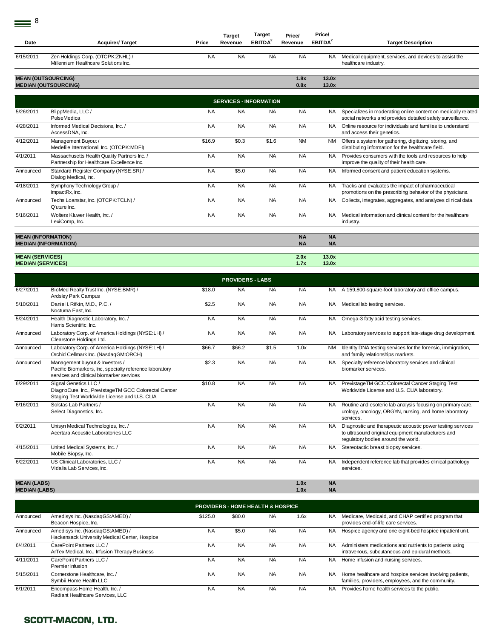| Date                                               | <b>Acquirer/Target</b>                                                                                                                 | Price     | <b>Target</b><br>Revenue                     | Target<br>EBITDA <sup>2</sup> | Price/<br>Revenue      | Price/<br>EBITDA <sup>2</sup> | <b>Target Description</b>                                                                                                                               |
|----------------------------------------------------|----------------------------------------------------------------------------------------------------------------------------------------|-----------|----------------------------------------------|-------------------------------|------------------------|-------------------------------|---------------------------------------------------------------------------------------------------------------------------------------------------------|
| 6/15/2011                                          | Zen Holdings Corp. (OTCPK:ZNHL) /<br>Millennium Healthcare Solutions Inc.                                                              | <b>NA</b> | <b>NA</b>                                    | <b>NA</b>                     | <b>NA</b>              | <b>NA</b>                     | Medical equipment, services, and devices to assist the<br>healthcare industry.                                                                          |
| <b>MEAN (OUTSOURCING)</b>                          | <b>MEDIAN (OUTSOURCING)</b>                                                                                                            |           |                                              |                               | 1.8x<br>0.8x           | 13.0x<br>13.0x                |                                                                                                                                                         |
|                                                    |                                                                                                                                        |           | <b>SERVICES - INFORMATION</b>                |                               |                        |                               |                                                                                                                                                         |
| 5/26/2011                                          | BlippMedia, LLC /<br>PulseMedica                                                                                                       | <b>NA</b> | <b>NA</b>                                    | <b>NA</b>                     | <b>NA</b>              | NA.                           | Specializes in moderating online content on medically related<br>social networks and provides detailed safety surveillance.                             |
| 4/28/2011                                          | Informed Medical Decisions, Inc. /<br>AccessDNA, Inc.                                                                                  | <b>NA</b> | <b>NA</b>                                    | <b>NA</b>                     | <b>NA</b>              | NA.                           | Online resource for individuals and families to understand<br>and access their genetics.                                                                |
| 4/12/2011                                          | Management Buyout /<br>Medefile International, Inc. (OTCPK:MDFI)                                                                       | \$16.9    | \$0.3                                        | \$1.6                         | <b>NM</b>              | NM                            | Offers a system for gathering, digitizing, storing, and<br>distributing information for the healthcare field.                                           |
| 4/1/2011                                           | Massachusetts Health Quality Partners Inc. /<br>Partnership for Healthcare Excellence Inc.                                             | <b>NA</b> | <b>NA</b>                                    | <b>NA</b>                     | <b>NA</b>              | NA.                           | Provides consumers with the tools and resources to help<br>improve the quality of their health care.                                                    |
| Announced                                          | Standard Register Company (NYSE:SR) /<br>Dialog Medical, Inc.                                                                          | <b>NA</b> | \$5.0                                        | <b>NA</b>                     | <b>NA</b>              | <b>NA</b>                     | Informed consent and patient education systems.                                                                                                         |
| 4/18/2011                                          | Symphony Technology Group /<br>ImpactRx, Inc.                                                                                          | <b>NA</b> | <b>NA</b>                                    | <b>NA</b>                     | <b>NA</b>              | NA.                           | Tracks and evaluates the impact of pharmaceutical<br>promotions on the prescribing behavior of the physicians.                                          |
| Announced                                          | Techs Loanstar, Inc. (OTCPK:TCLN) /<br>Q'uture Inc.                                                                                    | <b>NA</b> | <b>NA</b>                                    | <b>NA</b>                     | <b>NA</b>              | <b>NA</b>                     | Collects, integrates, aggregates, and analyzes clinical data.                                                                                           |
| 5/16/2011                                          | Wolters Kluwer Health, Inc. /<br>LexiComp, Inc.                                                                                        | <b>NA</b> | <b>NA</b>                                    | <b>NA</b>                     | <b>NA</b>              | <b>NA</b>                     | Medical information and clinical content for the healthcare<br>industry.                                                                                |
| <b>MEAN (INFORMATION)</b>                          | <b>MEDIAN (INFORMATION)</b>                                                                                                            |           |                                              |                               | <b>NA</b><br><b>NA</b> | <b>NA</b><br><b>NA</b>        |                                                                                                                                                         |
| <b>MEAN (SERVICES)</b><br><b>MEDIAN (SERVICES)</b> |                                                                                                                                        |           |                                              |                               | 2.0x<br>1.7x           | 13.0x<br>13.0x                |                                                                                                                                                         |
|                                                    |                                                                                                                                        |           | <b>PROVIDERS - LABS</b>                      |                               |                        |                               |                                                                                                                                                         |
| 6/27/2011                                          | BioMed Realty Trust Inc. (NYSE:BMR) /<br>Ardsley Park Campus                                                                           | \$18.0    | <b>NA</b>                                    | <b>NA</b>                     | <b>NA</b>              | NA.                           | A 159,800-square-foot laboratory and office campus.                                                                                                     |
| 5/10/2011                                          | Daniel I. Rifkin, M.D., P.C. /<br>Nocturna East, Inc.                                                                                  | \$2.5     | <b>NA</b>                                    | <b>NA</b>                     | <b>NA</b>              | <b>NA</b>                     | Medical lab testing services.                                                                                                                           |
| 5/24/2011                                          | Health Diagnostic Laboratory, Inc. /<br>Harris Scientific, Inc.                                                                        | <b>NA</b> | <b>NA</b>                                    | <b>NA</b>                     | <b>NA</b>              | NA.                           | Omega-3 fatty acid testing services.                                                                                                                    |
| Announced                                          | Laboratory Corp. of America Holdings (NYSE:LH) /<br>Clearstone Holdings Ltd.                                                           | <b>NA</b> | <b>NA</b>                                    | <b>NA</b>                     | <b>NA</b>              | NA.                           | Laboratory services to support late-stage drug development.                                                                                             |
| Announced                                          | Laboratory Corp. of America Holdings (NYSE:LH) /<br>Orchid Cellmark Inc. (NasdaqGM:ORCH)                                               | \$66.7    | \$66.2                                       | \$1.5                         | 1.0x                   | NM                            | Identity DNA testing services for the forensic, immigration,<br>and family relationships markets.                                                       |
| Announced                                          | Management buyout & Investors /<br>Pacific Biomarkers, Inc, specialty reference laboratory<br>services and clinical biomarker services | \$2.3     | <b>NA</b>                                    | <b>NA</b>                     | <b>NA</b>              | <b>NA</b>                     | Specialty reference laboratory services and clinical<br>biomarker services.                                                                             |
| 6/29/2011                                          | Signal Genetics LLC /<br>DiagnoCure, Inc., PrevistageTM GCC Colorectal Cancer<br>Staging Test Worldwide License and U.S. CLIA          | \$10.8    | <b>NA</b>                                    | <b>NA</b>                     | <b>NA</b>              | <b>NA</b>                     | PrevistageTM GCC Colorectal Cancer Staging Test<br>Worldwide License and U.S. CLIA laboratory.                                                          |
| 6/16/2011                                          | Solstas Lab Partners /<br>Select Diagnostics, Inc.                                                                                     | <b>NA</b> | <b>NA</b>                                    | <b>NA</b>                     | <b>NA</b>              | <b>NA</b>                     | Routine and esoteric lab analysis focusing on primary care,<br>urology, oncology, OBGYN, nursing, and home laboratory<br>services.                      |
| 6/2/2011                                           | Unisyn Medical Technologies, Inc. /<br>Acertara Acoustic Laboratories LLC                                                              | <b>NA</b> | <b>NA</b>                                    | <b>NA</b>                     | <b>NA</b>              | <b>NA</b>                     | Diagnostic and therapeutic acoustic power testing services<br>to ultrasound original equipment manufacturers and<br>regulatory bodies around the world. |
| 4/15/2011                                          | United Medical Systems, Inc. /<br>Mobile Biopsy, Inc.                                                                                  | <b>NA</b> | <b>NA</b>                                    | <b>NA</b>                     | <b>NA</b>              | <b>NA</b>                     | Stereotactic breast biopsy services.                                                                                                                    |
| 6/22/2011                                          | US Clinical Laboratories, LLC /<br>Vidalia Lab Services, Inc.                                                                          | <b>NA</b> | <b>NA</b>                                    | <b>NA</b>                     | <b>NA</b>              | <b>NA</b>                     | Independent reference lab that provides clinical pathology<br>services.                                                                                 |
| <b>MEAN (LABS)</b>                                 |                                                                                                                                        |           |                                              |                               | 1.0x                   | <b>NA</b>                     |                                                                                                                                                         |
| <b>MEDIAN (LABS)</b>                               |                                                                                                                                        |           |                                              |                               | 1.0x                   | <b>NA</b>                     |                                                                                                                                                         |
|                                                    |                                                                                                                                        |           | <b>PROVIDERS - HOME HEALTH &amp; HOSPICE</b> |                               |                        |                               |                                                                                                                                                         |
| Announced                                          | Amedisys Inc. (NasdaqGS:AMED) /<br>Beacon Hospice, Inc.                                                                                | \$125.0   | \$80.0                                       | <b>NA</b>                     | 1.6x                   | <b>NA</b>                     | Medicare, Medicaid, and CHAP certified program that<br>provides end-of-life care services.                                                              |
| Announced                                          | Amedisys Inc. (NasdaqGS:AMED) /<br>Hackensack University Medical Center, Hospice                                                       | <b>NA</b> | \$5.0                                        | <b>NA</b>                     | <b>NA</b>              | NA.                           | Hospice agency and one eight-bed hospice inpatient unit.                                                                                                |
| 6/4/2011                                           | CarePoint Partners LLC /<br>ArTex Medical, Inc., Infusion Therapy Business                                                             | <b>NA</b> | <b>NA</b>                                    | <b>NA</b>                     | <b>NA</b>              | <b>NA</b>                     | Administers medications and nutrients to patients using<br>intravenous, subcutaneous and epidural methods.                                              |
| 4/11/2011                                          | CarePoint Partners LLC /<br>Premier Infusion                                                                                           | <b>NA</b> | <b>NA</b>                                    | <b>NA</b>                     | <b>NA</b>              | <b>NA</b>                     | Home infusion and nursing services.                                                                                                                     |
| 5/15/2011                                          | Cornerstone Healthcare, Inc. /<br>Symbii Home Health LLC                                                                               | <b>NA</b> | <b>NA</b>                                    | <b>NA</b>                     | <b>NA</b>              | <b>NA</b>                     | Home healthcare and hospice services involving patients,<br>families, providers, employees, and the community.                                          |

NA NA NA NA NA NA NA Provides home health services to the public.

6/1/2011 Encompass Home Health, Inc. / Radiant Healthcare Services, LLC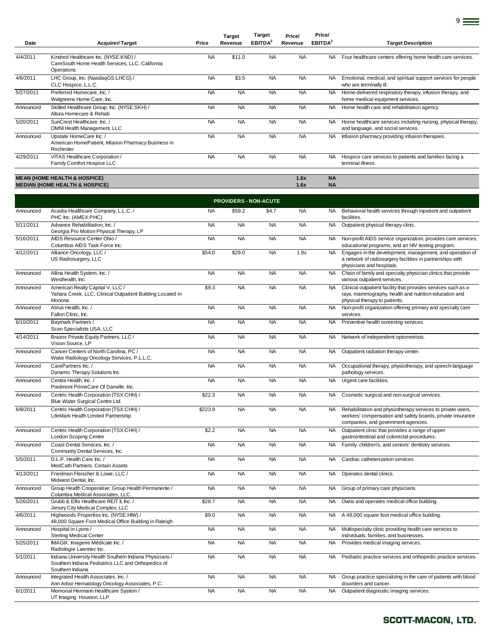| Date      | <b>Acquirer/Target</b>                                                                                | Price     | <b>Target</b><br>Revenue | <b>Target</b><br>EBITDA <sup>2</sup> | Price/<br>Revenue | Price/<br>EBITDA <sup>2</sup> | <b>Target Description</b>                                                                           |
|-----------|-------------------------------------------------------------------------------------------------------|-----------|--------------------------|--------------------------------------|-------------------|-------------------------------|-----------------------------------------------------------------------------------------------------|
|           |                                                                                                       |           |                          |                                      |                   |                               |                                                                                                     |
| 4/4/2011  | Kindred Healthcare Inc. (NYSE:KND) /<br>CareSouth Home Health Services, LLC, California<br>Operations | <b>NA</b> | \$11.0                   | <b>NA</b>                            | <b>NA</b>         | <b>NA</b>                     | Four healthcare centers offering home health care services.                                         |
| 4/6/2011  | LHC Group, Inc. (NasdaqGS:LHCG) /<br>CLC Hospice, L.L.C.                                              | <b>NA</b> | \$3.5                    | <b>NA</b>                            | <b>NA</b>         | <b>NA</b>                     | Emotional, medical, and spiritual support services for people<br>who are terminally ill.            |
| 5/27/2011 | Preferred Homecare, Inc. /<br>Walgreens Home Care, Inc.                                               | <b>NA</b> | <b>NA</b>                | <b>NA</b>                            | <b>NA</b>         | <b>NA</b>                     | Home-delivered respiratory therapy, infusion therapy, and<br>home medical equipment services.       |
| Announced | Skilled Healthcare Group, Inc. (NYSE:SKH) /<br>Altura Homecare & Rehab                                | <b>NA</b> | <b>NA</b>                | <b>NA</b>                            | <b>NA</b>         | <b>NA</b>                     | Home health care and rehabilitation agency.                                                         |
| 5/20/2011 | SunCrest Healthcare, Inc. /<br>OMNI Health Management, LLC                                            | <b>NA</b> | <b>NA</b>                | <b>NA</b>                            | <b>NA</b>         | <b>NA</b>                     | Home healthcare services including nursing, physical therapy,<br>and language, and social services. |
| Announced | Upstate HomeCare Inc. /<br>American HomePatient, Infusion Pharmacy Business in<br>Rochester           | <b>NA</b> | <b>NA</b>                | <b>NA</b>                            | <b>NA</b>         | <b>NA</b>                     | Infusion pharmacy providing infusion therapies.                                                     |
| 4/29/2011 | VITAS Healthcare Corporation /<br>Family Comfort Hospice LLC                                          | <b>NA</b> | <b>NA</b>                | <b>NA</b>                            | <b>NA</b>         | <b>NA</b>                     | Hospice care services to patients and families facing a<br>terminal illness.                        |
|           |                                                                                                       |           |                          |                                      |                   |                               |                                                                                                     |
|           | <b>MEAN (HOME HEALTH &amp; HOSPICE)</b>                                                               |           |                          |                                      | 1.6x              | <b>NA</b>                     |                                                                                                     |

**MEDIAN (HOME HEALTH & HOSPICE) 1.6x NA**

9

|           |                                                                                                                                   |           | <b>PROVIDERS - NON-ACUTE</b> |           |           |           |                                                                                                                                                                  |
|-----------|-----------------------------------------------------------------------------------------------------------------------------------|-----------|------------------------------|-----------|-----------|-----------|------------------------------------------------------------------------------------------------------------------------------------------------------------------|
| Announced | Acadia Healthcare Company, L.L.C. /<br>PHC Inc. (AMEX:PHC)                                                                        | <b>NA</b> | \$59.2                       | \$4.7     | <b>NA</b> | <b>NA</b> | Behavioral health services through inpatient and outpatient<br>facilities.                                                                                       |
| 5/11/2011 | Advance Rehabilitation, Inc. /<br>Georgia Pro Motion Physical Therapy, LP                                                         | <b>NA</b> | <b>NA</b>                    | <b>NA</b> | <b>NA</b> | <b>NA</b> | Outpatient physical therapy clinic.                                                                                                                              |
| 5/16/2011 | AIDS Resource Center Ohio /<br>Columbus AIDS Task Force Inc.                                                                      | <b>NA</b> | <b>NA</b>                    | <b>NA</b> | <b>NA</b> | <b>NA</b> | Non-profit AIDS service organization, provides care services,<br>educational programs, and an HIV testing program.                                               |
| 4/12/2011 | Alliance Oncology, LLC /<br>US Radiosurgery, LLC                                                                                  | \$54.0    | \$29.0                       | <b>NA</b> | 1.9x      | <b>NA</b> | Engages in the development, management, and operation of<br>a network of radiosurgery facilities in partnerships with<br>physicians and hospitals.               |
| Announced | Allina Health System, Inc. /<br>Westhealth, Inc.                                                                                  | <b>NA</b> | <b>NA</b>                    | <b>NA</b> | <b>NA</b> | <b>NA</b> | Chain of family and specialty physician clinics that provide<br>various outpatient services.                                                                     |
| Announced | American Realty Capital V, LLC /<br>Yahara Creek, LLC, Clinical Outpatient Building Located in<br>Monona                          | \$9.3     | <b>NA</b>                    | <b>NA</b> | <b>NA</b> | <b>NA</b> | Clinical outpatient facility that provides services such as x-<br>rays, mammography, health and nutrition education and<br>physical therapy to patients.         |
| Announced | Atrius Health, Inc. /<br>Fallon Clinic, Inc.                                                                                      | <b>NA</b> | <b>NA</b>                    | <b>NA</b> | <b>NA</b> | <b>NA</b> | Non-profit organization offering primary and specialty care<br>services.                                                                                         |
| 6/10/2011 | Baymark Partners /<br>Scan Specialists USA, LLC                                                                                   | <b>NA</b> | <b>NA</b>                    | <b>NA</b> | <b>NA</b> | <b>NA</b> | Preventive health screening services.                                                                                                                            |
| 4/14/2011 | Brazos Private Equity Partners, LLC /<br>Vision Source, LP                                                                        | <b>NA</b> | <b>NA</b>                    | <b>NA</b> | <b>NA</b> | <b>NA</b> | Network of independent optometrists.                                                                                                                             |
| Announced | Cancer Centers of North Carolina, PC /<br>Wake Radiology Oncology Services, P.L.L.C.                                              | <b>NA</b> | <b>NA</b>                    | <b>NA</b> | <b>NA</b> | <b>NA</b> | Outpatient radiation therapy center.                                                                                                                             |
| Announced | CarePartners Inc./<br>Dynamic Therapy Solutions Inc.                                                                              | <b>NA</b> | <b>NA</b>                    | <b>NA</b> | <b>NA</b> | <b>NA</b> | Occupational therapy, physiotherapy, and speech-language<br>pathology services.                                                                                  |
| Announced | Centra Health. Inc. /<br>Piedmont PrimeCare Of Danville, Inc.                                                                     | <b>NA</b> | <b>NA</b>                    | <b>NA</b> | <b>NA</b> | <b>NA</b> | Urgent care facilities.                                                                                                                                          |
| Announced | Centric Health Corporation (TSX:CHH) /<br>Blue Water Surgical Centre Ltd.                                                         | \$22.3    | <b>NA</b>                    | <b>NA</b> | <b>NA</b> | <b>NA</b> | Cosmetic surgical and non-surgical services.                                                                                                                     |
| 6/9/2011  | Centric Health Corporation (TSX:CHH) /<br>LifeMark Health Limited Partnership                                                     | \$223.9   | <b>NA</b>                    | <b>NA</b> | <b>NA</b> | <b>NA</b> | Rehabilitation and physiotherapy services to private users,<br>workers' compensation and safety boards, private insurance<br>companies, and government agencies. |
| Announced | Centric Health Corporation (TSX:CHH) /<br><b>London Scoping Centre</b>                                                            | \$2.2     | <b>NA</b>                    | <b>NA</b> | <b>NA</b> | <b>NA</b> | Outpatient clinic that provides a range of upper<br>gastrointestinal and colorectal procedures.                                                                  |
| Announced | Coast Dental Services, Inc.<br>Community Dental Services, Inc.                                                                    | <b>NA</b> | <b>NA</b>                    | <b>NA</b> | <b>NA</b> | <b>NA</b> | Family, children's, and seniors' dentistry services.                                                                                                             |
| 5/5/2011  | D.L.P. Health Care Inc. /<br>MedCath Partners, Certain Assets                                                                     | <b>NA</b> | <b>NA</b>                    | <b>NA</b> | <b>NA</b> | <b>NA</b> | Cardiac catheterization services.                                                                                                                                |
| 4/13/2011 | Friedman Fleischer & Lowe, LLC /<br>Midwest Dental, Inc.                                                                          | <b>NA</b> | <b>NA</b>                    | <b>NA</b> | <b>NA</b> | <b>NA</b> | Operates dental clinics.                                                                                                                                         |
| Announced | Group Health Cooperative; Group Health Permanente /<br>Columbia Medical Associates, LLC                                           | <b>NA</b> | <b>NA</b>                    | <b>NA</b> | <b>NA</b> | <b>NA</b> | Group of primary care physicians.                                                                                                                                |
| 5/26/2011 | Grubb & Ellis Healthcare REIT II, Inc. /<br>Jersey City Medical Complex, LLC                                                      | \$28.7    | <b>NA</b>                    | <b>NA</b> | <b>NA</b> | <b>NA</b> | Owns and operates medical office building.                                                                                                                       |
| 4/6/2011  | Highwoods Properties Inc. (NYSE:HM) /<br>48,000 Square Foot Medical Office Building in Raleigh                                    | \$9.0     | <b>NA</b>                    | <b>NA</b> | <b>NA</b> | <b>NA</b> | A 48,000 square foot medical office building.                                                                                                                    |
| Announced | Hospital in Lyons /<br><b>Sterling Medical Center</b>                                                                             | <b>NA</b> | <b>NA</b>                    | <b>NA</b> | <b>NA</b> | <b>NA</b> | Multispecialty clinic providing health care services to<br>individuals, families, and businesses.                                                                |
| 5/25/2011 | IMAGIX Imagerie Médicale Inc. /<br>Radiologie Laennec Inc.                                                                        | <b>NA</b> | <b>NA</b>                    | <b>NA</b> | <b>NA</b> | <b>NA</b> | Provides medical imaging services.                                                                                                                               |
| 5/1/2011  | Indiana University Health Southern Indiana Physicians /<br>Southern Indiana Pediatrics LLC and Orthopedics of<br>Southern Indiana | <b>NA</b> | <b>NA</b>                    | <b>NA</b> | <b>NA</b> | <b>NA</b> | Pediatric practice services and orthopedic practice services.                                                                                                    |
| Announced | Integrated Health Associates, Inc. /<br>Ann Arbor Hematology Oncology Associates, P.C.                                            | <b>NA</b> | <b>NA</b>                    | <b>NA</b> | <b>NA</b> | <b>NA</b> | Group practice specializing in the care of patients with blood<br>disorders and cancer.                                                                          |
| 6/1/2011  | Memorial Hermann Healthcare System /<br>UT Imaging Houston, LLP                                                                   | <b>NA</b> | <b>NA</b>                    | <b>NA</b> | <b>NA</b> | <b>NA</b> | Outpatient diagnostic imaging services.                                                                                                                          |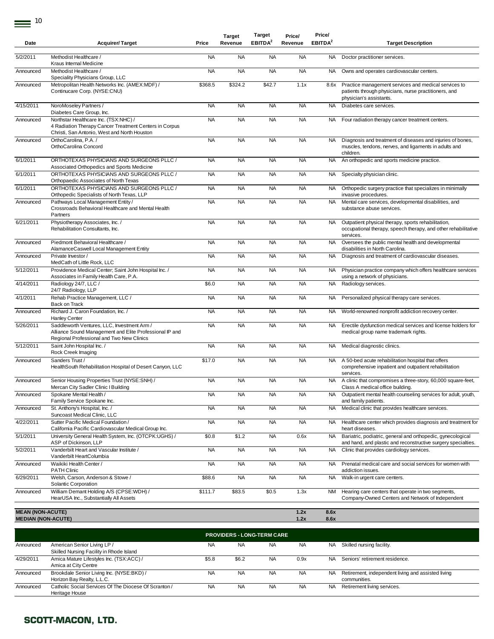| Date                                                 | <b>Acquirer/Target</b>                                                                                                                              | Price     | Revenue   | EBITDA <sup>2</sup> |              |                     | <b>Target Description</b>                                                                                                                |
|------------------------------------------------------|-----------------------------------------------------------------------------------------------------------------------------------------------------|-----------|-----------|---------------------|--------------|---------------------|------------------------------------------------------------------------------------------------------------------------------------------|
|                                                      |                                                                                                                                                     |           |           |                     | Revenue      | EBITDA <sup>2</sup> |                                                                                                                                          |
| 5/2/2011                                             | Methodist Healthcare /<br>Kraus Internal Medicine                                                                                                   | <b>NA</b> | <b>NA</b> | <b>NA</b>           | <b>NA</b>    | <b>NA</b>           | Doctor practitioner services.                                                                                                            |
| Announced                                            | Methodist Healthcare /<br>Speciality Physicians Group, LLC                                                                                          | <b>NA</b> | <b>NA</b> | <b>NA</b>           | <b>NA</b>    | <b>NA</b>           | Owns and operates cardiovascular centers.                                                                                                |
| Announced                                            | Metropolitan Health Networks Inc. (AMEX:MDF) /<br>Continucare Corp. (NYSE:CNU)                                                                      | \$368.5   | \$324.2   | \$42.7              | 1.1x         | 8.6x                | Practice management services and medical services to<br>patients through physicians, nurse practitioners, and<br>physician's assistants. |
| 4/15/2011                                            | NoroMoseley Partners /<br>Diabetes Care Group, Inc.                                                                                                 | <b>NA</b> | <b>NA</b> | <b>NA</b>           | <b>NA</b>    | <b>NA</b>           | Diabetes care services.                                                                                                                  |
| Announced                                            | Northstar Healthcare Inc. (TSX:NHC) /<br>4 Radiation Therapy Cancer Treatment Centers in Corpus<br>Christi, San Antonio, West and North Houston     | <b>NA</b> | <b>NA</b> | <b>NA</b>           | <b>NA</b>    | NA.                 | Four radiation therapy cancer treatment centers.                                                                                         |
| Announced                                            | OrthoCarolina, P.A. /<br>OrthoCarolina Concord                                                                                                      | <b>NA</b> | <b>NA</b> | <b>NA</b>           | <b>NA</b>    | NA                  | Diagnosis and treatment of diseases and injuries of bones,<br>muscles, tendons, nerves, and ligaments in adults and<br>children.         |
| 6/1/2011                                             | ORTHOTEXAS PHYSICIANS AND SURGEONS PLLC /<br>Associated Orthopedics and Sports Medicine                                                             | <b>NA</b> | <b>NA</b> | <b>NA</b>           | <b>NA</b>    | <b>NA</b>           | An orthopedic and sports medicine practice.                                                                                              |
| 6/1/2011                                             | ORTHOTEXAS PHYSICIANS AND SURGEONS PLLC /<br>Orthopaedic Associates of North Texas                                                                  | <b>NA</b> | <b>NA</b> | <b>NA</b>           | <b>NA</b>    | NA                  | Specialty physician clinic.                                                                                                              |
| 6/1/2011                                             | ORTHOTEXAS PHYSICIANS AND SURGEONS PLLC /<br>Orthopedic Specialists of North Texas, LLP                                                             | <b>NA</b> | <b>NA</b> | <b>NA</b>           | <b>NA</b>    | <b>NA</b>           | Orthopedic surgery practice that specializes in minimally<br>invasive procedures.                                                        |
| Announced                                            | Pathways Local Management Entity /<br>Crossroads Behavioral Healthcare and Mental Health<br>Partners                                                | <b>NA</b> | <b>NA</b> | <b>NA</b>           | <b>NA</b>    | <b>NA</b>           | Mental care services, developmental disabilities, and<br>substance abuse services.                                                       |
| 6/21/2011                                            | Physiotherapy Associates, Inc./<br>Rehabilitation Consultants, Inc.                                                                                 | <b>NA</b> | <b>NA</b> | <b>NA</b>           | <b>NA</b>    | NA.                 | Outpatient physical therapy, sports rehabilitation,<br>occupational therapy, speech therapy, and other rehabilitative<br>services.       |
| Announced                                            | Piedmont Behavioral Healthcare /<br>AlamanceCaswell Local Management Entity                                                                         | <b>NA</b> | <b>NA</b> | <b>NA</b>           | <b>NA</b>    | <b>NA</b>           | Oversees the public mental health and developmental<br>disabilities in North Carolina.                                                   |
| Announced                                            | Private Investor /<br>MedCath of Little Rock, LLC                                                                                                   | <b>NA</b> | <b>NA</b> | <b>NA</b>           | <b>NA</b>    | NA                  | Diagnosis and treatment of cardiovascular diseases.                                                                                      |
| 5/12/2011                                            | Providence Medical Center; Saint John Hospital Inc. /<br>Associates in Family Health Care, P.A.                                                     | <b>NA</b> | <b>NA</b> | <b>NA</b>           | <b>NA</b>    | <b>NA</b>           | Physician practice company which offers healthcare services<br>using a network of physicians.                                            |
| 4/14/2011                                            | Radiology 24/7, LLC /<br>24/7 Radiology, LLP                                                                                                        | \$6.0     | <b>NA</b> | <b>NA</b>           | <b>NA</b>    | <b>NA</b>           | Radiology services.                                                                                                                      |
| 4/1/2011                                             | Rehab Practice Management, LLC /<br>Back on Track                                                                                                   | <b>NA</b> | <b>NA</b> | <b>NA</b>           | <b>NA</b>    | NA.                 | Personalized physical therapy care services.                                                                                             |
| Announced                                            | Richard J. Caron Foundation, Inc. /<br><b>Hanley Center</b>                                                                                         | <b>NA</b> | <b>NA</b> | <b>NA</b>           | <b>NA</b>    | NA.                 | World-renowned nonprofit addiction recovery center.                                                                                      |
| 5/26/2011                                            | Saddleworth Ventures, LLC, Investment Arm /<br>Alliance Sound Management and Elite Professional IP and<br>Regional Professional and Two New Clinics | <b>NA</b> | <b>NA</b> | <b>NA</b>           | <b>NA</b>    | NA.                 | Erectile dysfunction medical services and license holders for<br>medical group name trademark rights.                                    |
| 5/12/2011                                            | Saint John Hospital Inc. /<br>Rock Creek Imaging                                                                                                    | <b>NA</b> | <b>NA</b> | <b>NA</b>           | <b>NA</b>    | NA                  | Medical diagnostic clinics.                                                                                                              |
| Announced                                            | Sanders Trust /<br>HealthSouth Rehabilitation Hospital of Desert Canyon, LLC                                                                        | \$17.0    | <b>NA</b> | <b>NA</b>           | <b>NA</b>    | NA                  | A 50-bed acute rehabilitation hospital that offers<br>comprehensive inpatient and outpatient rehabilitation<br>services.                 |
| Announced                                            | Senior Housing Properties Trust (NYSE:SNH) /<br>Mercan City Sadler Clinic I Building                                                                | <b>NA</b> | <b>NA</b> | <b>NA</b>           | <b>NA</b>    | NA.                 | A clinic that compromises a three-story, 60,000 square-feet,<br>Class A medical office building.                                         |
| Announced                                            | Spokane Mental Health /<br>Family Service Spokane Inc.                                                                                              | <b>NA</b> | <b>NA</b> | <b>NA</b>           | <b>NA</b>    | <b>NA</b>           | Outpatient mental health counseling services for adult, youth,<br>and family patients.                                                   |
| Announced                                            | St. Anthony's Hospital, Inc. /<br>Suncoast Medical Clinic, LLC                                                                                      | <b>NA</b> | <b>NA</b> | <b>NA</b>           | <b>NA</b>    | <b>NA</b>           | Medical clinic that provides healthcare services.                                                                                        |
| 4/22/2011                                            | Sutter Pacific Medical Foundation /<br>California Pacific Cardiovascular Medical Group Inc.                                                         | <b>NA</b> | <b>NA</b> | <b>NA</b>           | <b>NA</b>    | NA.                 | Healthcare center which provides diagnosis and treatment for<br>heart diseases.                                                          |
| 5/1/2011                                             | University General Health System, Inc. (OTCPK:UGHS) /<br>ASP of Dickinson, LLP                                                                      | \$0.8     | \$1.2     | <b>NA</b>           | 0.6x         | NA.                 | Bariatric, podiatric, general and orthopedic, gynecological<br>and hand, and plastic and reconstructive surgery specialties.             |
| 5/2/2011                                             | Vanderbilt Heart and Vascular Institute /<br>Vanderbilt HeartColumbia                                                                               | <b>NA</b> | <b>NA</b> | <b>NA</b>           | <b>NA</b>    | NA                  | Clinic that provides cardiology services.                                                                                                |
| Announced                                            | Waikiki Health Center /<br><b>PATH Clinic</b>                                                                                                       | <b>NA</b> | <b>NA</b> | <b>NA</b>           | <b>NA</b>    | <b>NA</b>           | Prenatal medical care and social services for women with<br>addiction issues.                                                            |
| 6/29/2011                                            | Welsh, Carson, Anderson & Stowe /<br>Solantic Corporation                                                                                           | \$88.6    | <b>NA</b> | <b>NA</b>           | <b>NA</b>    | <b>NA</b>           | Walk-in urgent care centers.                                                                                                             |
| Announced                                            | William Demant Holding A/S (CPSE:WDH) /<br>HearUSA Inc., Substantially All Assets                                                                   | \$111.7   | \$83.5    | \$0.5               | 1.3x         | ΝM                  | Hearing care centers that operate in two segments,<br>Company-Owned Centers and Network of Independent                                   |
| <b>MEAN (NON-ACUTE)</b><br><b>MEDIAN (NON-ACUTE)</b> |                                                                                                                                                     |           |           |                     | 1.2x<br>1.2x | 8.6x<br>8.6x        |                                                                                                                                          |

|           | <b>PROVIDERS - LONG-TERM CARE</b>                                       |           |           |           |           |           |                                                                    |  |  |  |  |
|-----------|-------------------------------------------------------------------------|-----------|-----------|-----------|-----------|-----------|--------------------------------------------------------------------|--|--|--|--|
| Announced | American Senior Living LP /<br>Skilled Nursing Facility in Rhode Island | <b>NA</b> | <b>NA</b> | <b>NA</b> | <b>NA</b> | <b>NA</b> | Skilled nursing facility.                                          |  |  |  |  |
| 4/29/2011 | Amica Mature Lifestyles Inc. (TSX:ACC) /<br>Amica at City Centre        | \$5.8     | \$6.2     | <b>NA</b> | 0.9x      | NA.       | Seniors' retirement residence.                                     |  |  |  |  |
| Announced | Brookdale Senior Living Inc. (NYSE:BKD) /<br>Horizon Bay Realty, L.L.C. | <b>NA</b> | <b>NA</b> | <b>NA</b> | <b>NA</b> | <b>NA</b> | Retirement, independent living and assisted living<br>communities. |  |  |  |  |
| Announced | Catholic Social Services Of The Diocese Of Scranton /<br>Heritage House | <b>NA</b> | <b>NA</b> | <b>NA</b> | <b>NA</b> | <b>NA</b> | Retirement living services.                                        |  |  |  |  |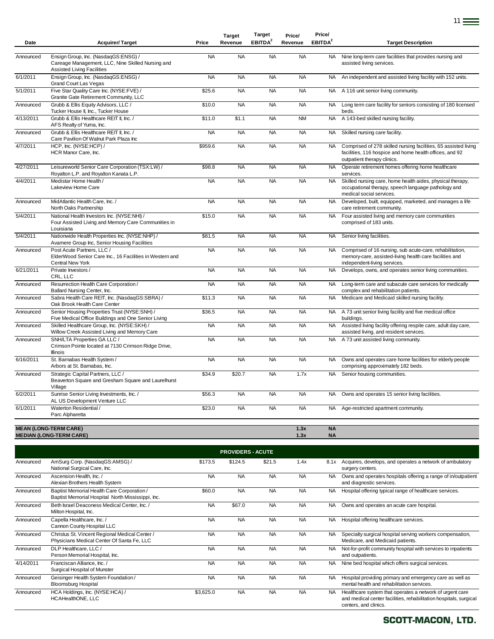| Date      | <b>Acquirer/Target</b>                                                                                                  | Price     | <b>Target</b><br>Revenue | <b>Target</b><br>EBITDA <sup>2</sup> | Price/<br>Revenue | Price/<br>EBITDA <sup>2</sup> | <b>Target Description</b>                                                                                                                                 |
|-----------|-------------------------------------------------------------------------------------------------------------------------|-----------|--------------------------|--------------------------------------|-------------------|-------------------------------|-----------------------------------------------------------------------------------------------------------------------------------------------------------|
| Announced | Ensign Group, Inc. (NasdaqGS:ENSG) /<br>Careage Management, LLC, Nine Skilled Nursing and<br>Assisted Living Facilities | <b>NA</b> | <b>NA</b>                | <b>NA</b>                            | <b>NA</b>         | <b>NA</b>                     | Nine long-term care facilities that provides nursing and<br>assisted living services.                                                                     |
| 6/1/2011  | Ensign Group, Inc. (NasdaqGS:ENSG) /<br>Grand Court Las Vegas                                                           | <b>NA</b> | <b>NA</b>                | <b>NA</b>                            | <b>NA</b>         | <b>NA</b>                     | An independent and assisted living facility with 152 units.                                                                                               |
| 5/1/2011  | Five Star Quality Care Inc. (NYSE:FVE) /<br>Granite Gate Retirement Community, LLC                                      | \$25.6    | <b>NA</b>                | <b>NA</b>                            | <b>NA</b>         | NA.                           | A 116 unit senior living community.                                                                                                                       |
| Announced | Grubb & Ellis Equity Advisors, LLC /<br>Tucker House II, Inc., Tucker House                                             | \$10.0    | <b>NA</b>                | <b>NA</b>                            | <b>NA</b>         | <b>NA</b>                     | Long term care facility for seniors consisting of 180 licensed<br>beds.                                                                                   |
| 4/13/2011 | Grubb & Ellis Healthcare REIT II. Inc. /<br>AFS Realty of Yuma, Inc.                                                    | \$11.0    | \$1.1                    | <b>NA</b>                            | <b>NM</b>         | <b>NA</b>                     | A 143-bed skilled nursing facility.                                                                                                                       |
| Announced | Grubb & Ellis Healthcare REIT II, Inc. /<br>Care Pavilion Of Walnut Park Plaza Inc                                      | <b>NA</b> | <b>NA</b>                | <b>NA</b>                            | <b>NA</b>         | NA.                           | Skilled nursing care facility.                                                                                                                            |
| 4/7/2011  | HCP, Inc. (NYSE:HCP) /<br>HCR Manor Care, Inc.                                                                          | \$959.6   | <b>NA</b>                | <b>NA</b>                            | <b>NA</b>         | NA.                           | Comprised of 278 skilled nursing facilities, 65 assisted living<br>facilities, 116 hospice and home health offices, and 92<br>outpatient therapy clinics. |
| 4/27/2011 | Leisureworld Senior Care Corporation (TSX:LW) /<br>Royalton L.P. and Royalton Kanata L.P.                               | \$98.8    | <b>NA</b>                | <b>NA</b>                            | <b>NA</b>         | <b>NA</b>                     | Operate retirement homes offering home healthcare<br>services.                                                                                            |
| 4/4/2011  | Medistar Home Health /<br>Lakeview Home Care                                                                            | <b>NA</b> | <b>NA</b>                | <b>NA</b>                            | <b>NA</b>         | <b>NA</b>                     | Skilled nursing care, home health aides, physical therapy,<br>occupational therapy, speech language pathology and<br>medical social services.             |
| Announced | MidAtlantic Health Care, Inc. /<br>North Oaks Partnership                                                               | <b>NA</b> | <b>NA</b>                | <b>NA</b>                            | <b>NA</b>         | <b>NA</b>                     | Developed, built, equipped, marketed, and manages a life<br>care retirement community.                                                                    |
| 5/4/2011  | National Health Investors Inc. (NYSE:NHI) /<br>Four Assisted Living and Memory Care Communities in<br>Louisiana         | \$15.0    | <b>NA</b>                | <b>NA</b>                            | <b>NA</b>         | <b>NA</b>                     | Four assisted living and memory care communities<br>comprised of 183 units.                                                                               |
| 5/4/2011  | Nationwide Health Properties Inc. (NYSE:NHP) /<br>Avamere Group Inc, Senior Housing Facilities                          | \$81.5    | <b>NA</b>                | <b>NA</b>                            | <b>NA</b>         | <b>NA</b>                     | Senior living facilities.                                                                                                                                 |
| Announced | Post Acute Partners, LLC /<br>ElderWood Senior Care Inc., 16 Facilities in Western and<br>Central New York              | <b>NA</b> | <b>NA</b>                | <b>NA</b>                            | <b>NA</b>         | <b>NA</b>                     | Comprised of 16 nursing, sub acute-care, rehabilitation,<br>memory-care, assisted-living health care facilities and<br>independent-living services.       |
| 6/21/2011 | Private Investors /<br>CRL, LLC                                                                                         | <b>NA</b> | <b>NA</b>                | <b>NA</b>                            | <b>NA</b>         | <b>NA</b>                     | Develops, owns, and operates senior living communities.                                                                                                   |
| Announced | Resurrection Health Care Corporation /<br>Ballard Nursing Center, Inc.                                                  | <b>NA</b> | <b>NA</b>                | <b>NA</b>                            | <b>NA</b>         | <b>NA</b>                     | Long-term care and subacute care services for medically<br>complex and rehabilitation patients.                                                           |
| Announced | Sabra Health Care REIT, Inc. (NasdaqGS:SBRA) /<br>Oak Brook Health Care Center                                          | \$11.3    | <b>NA</b>                | <b>NA</b>                            | <b>NA</b>         | NA.                           | Medicare and Medicaid skilled nursing facility.                                                                                                           |
| Announced | Senior Housing Properties Trust (NYSE:SNH) /<br>Five Medical Office Buildings and One Senior Living                     | \$36.5    | <b>NA</b>                | <b>NA</b>                            | <b>NA</b>         | NA.                           | A 73 unit senior living facility and five medical office<br>buildings.                                                                                    |
| Announced | Skilled Healthcare Group, Inc. (NYSE:SKH) /<br>Willow Creek Assisted Living and Memory Care                             | <b>NA</b> | <b>NA</b>                | <b>NA</b>                            | <b>NA</b>         | <b>NA</b>                     | Assisted living facility offering respite care, adult day care,<br>assisted living, and resident services.                                                |
| Announced | SNH/LTA Properties GA LLC /<br>Crimson Pointe located at 7130 Crimson Ridge Drive,<br><b>Illinois</b>                   | <b>NA</b> | <b>NA</b>                | <b>NA</b>                            | <b>NA</b>         | <b>NA</b>                     | A 73 unit assisted living community.                                                                                                                      |
| 6/16/2011 | St. Barnabas Health System /<br>Arbors at St. Barnabas, Inc.                                                            | <b>NA</b> | <b>NA</b>                | <b>NA</b>                            | <b>NA</b>         | <b>NA</b>                     | Owns and operates care home facilities for elderly people<br>comprising approximately 182 beds.                                                           |
| Announced | Strategic Capital Partners, LLC /<br>Beaverton Square and Gresham Square and Laurelhurst<br>Village                     | \$34.9    | \$20.7                   | <b>NA</b>                            | 1.7x              | <b>NA</b>                     | Senior housing communities.                                                                                                                               |
| 6/2/2011  | Sunrise Senior Living Investments, Inc. /<br>AL US Development Venture LLC                                              | \$56.3    | NA                       | NA                                   | <b>NA</b>         | NA.                           | Owns and operates 15 senior living facilities.                                                                                                            |
| 6/1/2011  | Waterton Residential /<br>Parc Alpharetta                                                                               | \$23.0    | <b>NA</b>                | <b>NA</b>                            | <b>NA</b>         | <b>NA</b>                     | Age-restricted apartment community.                                                                                                                       |
|           | <b>MEAN (LONG-TERM CARE)</b><br><b>MEDIAN (LONG-TERM CARE)</b>                                                          |           |                          |                                      | 1.3x<br>1.3x      | <b>NA</b><br><b>NA</b>        |                                                                                                                                                           |
|           |                                                                                                                         |           | <b>PROVIDERS - ACUTE</b> |                                      |                   |                               |                                                                                                                                                           |
| Announced | AmSurg Corp. (NasdaqGS:AMSG) /<br>National Surgical Care, Inc.                                                          | \$173.5   | \$124.5                  | \$21.5                               | 1.4x              | 8.1x                          | Acquires, develops, and operates a network of ambulatory<br>surgery centers.                                                                              |
| Announced | Ascension Health, Inc. /<br>Alexian Brothers Health System                                                              | <b>NA</b> | <b>NA</b>                | <b>NA</b>                            | <b>NA</b>         | NA .                          | Owns and operates hospitals offering a range of in/outpatient<br>and diagnostic services.                                                                 |
| Announced | Baptist Memorial Health Care Corporation /<br>Baptist Memorial Hospital North Mississippi, Inc.                         | \$60.0    | <b>NA</b>                | <b>NA</b>                            | <b>NA</b>         | NA.                           | Hospital offering typical range of healthcare services.                                                                                                   |
| Announced | Beth Israel Deaconess Medical Center, Inc. /<br>Milton Hospital, Inc.                                                   | <b>NA</b> | \$67.0                   | <b>NA</b>                            | <b>NA</b>         | NA.                           | Owns and operates an acute care hospital.                                                                                                                 |
| Announced | Capella Healthcare, Inc. /<br>Cannon County Hospital LLC                                                                | <b>NA</b> | <b>NA</b>                | <b>NA</b>                            | <b>NA</b>         | <b>NA</b>                     | Hospital offering healthcare services.                                                                                                                    |
| Announced | Christus St. Vincent Regional Medical Center /<br>Physicians Medical Center Of Santa Fe, LLC                            | <b>NA</b> | <b>NA</b>                | <b>NA</b>                            | <b>NA</b>         | <b>NA</b>                     | Specialty surgical hospital serving workers compensation,<br>Medicare, and Medicaid patients.                                                             |
| Announced | DLP Healthcare, LLC /<br>Person Memorial Hospital, Inc.                                                                 | <b>NA</b> | <b>NA</b>                | <b>NA</b>                            | <b>NA</b>         | <b>NA</b>                     | Not-for-profit community hospital with services to inpatients<br>and outpatients.                                                                         |
| 4/14/2011 | Franciscan Alliance, Inc. /<br>Surgical Hospital of Munster                                                             | <b>NA</b> | <b>NA</b>                | <b>NA</b>                            | <b>NA</b>         | NA.                           | Nine bed hospital which offers surgical services.                                                                                                         |
| Announced | Geisinger Health System Foundation /<br><b>Bloomsburg Hospital</b>                                                      | <b>NA</b> | <b>NA</b>                | <b>NA</b>                            | <b>NA</b>         | NA.                           | Hospital providing primary and emergency care as well as<br>mental health and rehabilitation services.                                                    |
| Announced | HCA Holdings, Inc. (NYSE:HCA) /<br>HCAHealthONE, LLC                                                                    | \$3,625.0 | <b>NA</b>                | NA                                   | <b>NA</b>         | <b>NA</b>                     | Healthcare system that operates a network of urgent care<br>and medical center facilities, rehabilitation hospitals, surgical<br>centers, and clinics.    |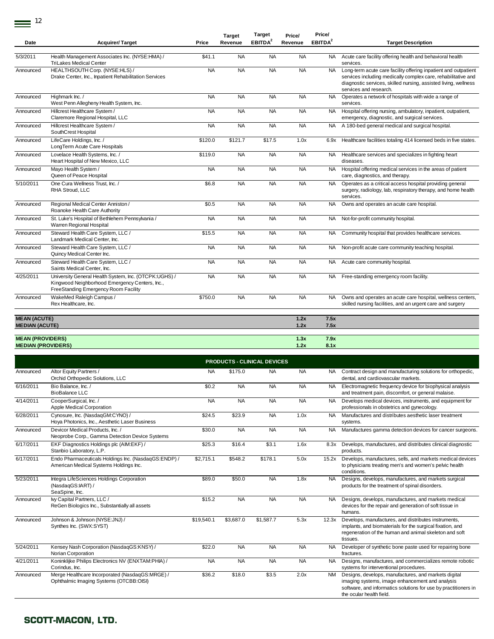| Date                      | <b>Acquirer/Target</b>                                                                                                                          | Price     | <b>Target</b><br>Revenue | <b>Target</b><br>EBITDA <sup>2</sup> | Price/<br>Revenue | Price/<br>EBITDA <sup>2</sup> | <b>Target Description</b>                                                                                                                                                                                                     |
|---------------------------|-------------------------------------------------------------------------------------------------------------------------------------------------|-----------|--------------------------|--------------------------------------|-------------------|-------------------------------|-------------------------------------------------------------------------------------------------------------------------------------------------------------------------------------------------------------------------------|
| 5/3/2011                  | Health Management Associates Inc. (NYSE:HMA) /<br><b>TriLakes Medical Center</b>                                                                | \$41.1    | <b>NA</b>                | <b>NA</b>                            | <b>NA</b>         | <b>NA</b>                     | Acute care facility offering health and behavioral health<br>services.                                                                                                                                                        |
| Announced                 | HEALTHSOUTH Corp. (NYSE:HLS) /<br>Drake Center, Inc., Inpatient Rehabilitation Services                                                         | <b>NA</b> | <b>NA</b>                | <b>NA</b>                            | <b>NA</b>         | <b>NA</b>                     | Long-term acute care facility offering inpatient and outpatient<br>services including medically complex care, rehabilitative and<br>diagnostic services, skilled nursing, assisted living, wellness<br>services and research. |
| Announced                 | Highmark Inc. /<br>West Penn Allegheny Health System, Inc.                                                                                      | <b>NA</b> | <b>NA</b>                | <b>NA</b>                            | <b>NA</b>         | <b>NA</b>                     | Operates a network of hospitals with wide a range of<br>services.                                                                                                                                                             |
| Announced                 | Hillcrest Healthcare System /<br>Claremore Regional Hospital, LLC                                                                               | <b>NA</b> | <b>NA</b>                | <b>NA</b>                            | <b>NA</b>         | <b>NA</b>                     | Hospital offering nursing, ambulatory, inpatient, outpatient,<br>emergency, diagnostic, and surgical services.                                                                                                                |
| Announced                 | Hillcrest Healthcare System /<br>SouthCrest Hospital                                                                                            | <b>NA</b> | <b>NA</b>                | <b>NA</b>                            | <b>NA</b>         | <b>NA</b>                     | A 180-bed general medical and surgical hospital.                                                                                                                                                                              |
| Announced                 | LifeCare Holdings, Inc. /<br>LongTerm Acute Care Hospitals                                                                                      | \$120.0   | \$121.7                  | \$17.5                               | 1.0x              | 6.9x                          | Healthcare facilities totaling 414 licensed beds in five states.                                                                                                                                                              |
| Announced                 | Lovelace Health Systems, Inc. /<br>Heart Hospital of New Mexico, LLC                                                                            | \$119.0   | <b>NA</b>                | <b>NA</b>                            | <b>NA</b>         | <b>NA</b>                     | Healthcare services and specializes in fighting heart<br>diseases.                                                                                                                                                            |
| Announced                 | Mayo Health System /<br>Queen of Peace Hospital                                                                                                 | <b>NA</b> | <b>NA</b>                | <b>NA</b>                            | <b>NA</b>         | <b>NA</b>                     | Hospital offering medical services in the areas of patient<br>care, diagnostics, and therapy.                                                                                                                                 |
| 5/10/2011                 | One Cura Wellness Trust, Inc. /<br>RHA Stroud, LLC                                                                                              | \$6.8     | <b>NA</b>                | <b>NA</b>                            | <b>NA</b>         | <b>NA</b>                     | Operates as a critical access hospital providing general<br>surgery, radiology, lab, respiratory therapy, and home health<br>services.                                                                                        |
| Announced                 | Regional Medical Center Anniston /<br>Roanoke Health Care Authority                                                                             | \$0.5     | <b>NA</b>                | <b>NA</b>                            | <b>NA</b>         | NA                            | Owns and operates an acute care hospital.                                                                                                                                                                                     |
| Announced                 | St. Luke's Hospital of Bethlehem Pennsylvania /<br>Warren Regional Hospital                                                                     | <b>NA</b> | <b>NA</b>                | <b>NA</b>                            | <b>NA</b>         | NA                            | Not-for-profit community hospital.                                                                                                                                                                                            |
| Announced                 | Steward Health Care System, LLC /<br>Landmark Medical Center, Inc.                                                                              | \$15.5    | <b>NA</b>                | <b>NA</b>                            | <b>NA</b>         | <b>NA</b>                     | Community hospital that provides healthcare services.                                                                                                                                                                         |
| Announced                 | Steward Health Care System, LLC /<br>Quincy Medical Center Inc.                                                                                 | <b>NA</b> | <b>NA</b>                | <b>NA</b>                            | <b>NA</b>         | <b>NA</b>                     | Non-profit acute care community teaching hospital.                                                                                                                                                                            |
| Announced                 | Steward Health Care System, LLC /<br>Saints Medical Center, Inc.                                                                                | <b>NA</b> | <b>NA</b>                | <b>NA</b>                            | <b>NA</b>         | NA                            | Acute care community hospital.                                                                                                                                                                                                |
| 4/25/2011                 | University General Health System, Inc. (OTCPK:UGHS) /<br>Kingwood Neighborhood Emergency Centers, Inc.,<br>FreeStanding Emergency Room Facility | <b>NA</b> | <b>NA</b>                | <b>NA</b>                            | <b>NA</b>         | NA                            | Free-standing emergency room facility.                                                                                                                                                                                        |
| Announced                 | WakeMed Raleigh Campus /<br>Rex Healthcare, Inc.                                                                                                | \$750.0   | <b>NA</b>                | <b>NA</b>                            | <b>NA</b>         | <b>NA</b>                     | Owns and operates an acute care hospital, wellness centers,<br>skilled nursing facilities, and an urgent care and surgery                                                                                                     |
| <b>MEAN (ACUTE)</b>       |                                                                                                                                                 |           |                          |                                      | 1.2x              | 7.5x                          |                                                                                                                                                                                                                               |
| <b>MEDIAN (ACUTE)</b>     |                                                                                                                                                 |           |                          |                                      | 1.2x              | 7.5x                          |                                                                                                                                                                                                                               |
| <b>MEAN (PROVIDERS)</b>   |                                                                                                                                                 |           |                          |                                      | 1.3x              | 7.9x                          |                                                                                                                                                                                                                               |
| <b>MEDIAN (PROVIDERS)</b> |                                                                                                                                                 |           |                          |                                      | 1.2x              | 8.1x                          |                                                                                                                                                                                                                               |

|           | <b>PRODUCTS - CLINICAL DEVICES</b>                                                             |            |           |           |           |           |                                                                                                                                                                                                        |  |  |  |  |  |
|-----------|------------------------------------------------------------------------------------------------|------------|-----------|-----------|-----------|-----------|--------------------------------------------------------------------------------------------------------------------------------------------------------------------------------------------------------|--|--|--|--|--|
| Announced | Altor Equity Partners /<br>Orchid Orthopedic Solutions, LLC                                    | <b>NA</b>  | \$175.0   | <b>NA</b> | <b>NA</b> | NA.       | Contract design and manufacturing solutions for orthopedic,<br>dental, and cardiovascular markets.                                                                                                     |  |  |  |  |  |
| 6/16/2011 | Bio Balance, Inc. /<br><b>BioBalance LLC</b>                                                   | \$0.2      | <b>NA</b> | <b>NA</b> | <b>NA</b> | <b>NA</b> | Electromagnetic frequency device for biophysical analysis<br>and treatment pain, discomfort, or general malaise.                                                                                       |  |  |  |  |  |
| 4/14/2011 | CooperSurgical, Inc. /<br>Apple Medical Corporation                                            | <b>NA</b>  | <b>NA</b> | <b>NA</b> | <b>NA</b> | <b>NA</b> | Develops medical devices, instruments, and equipment for<br>professionals in obstetrics and gynecology.                                                                                                |  |  |  |  |  |
| 6/28/2011 | Cynosure, Inc. (NasdaqGM:CYNO) /<br>Hoya Photonics, Inc., Aesthetic Laser Business             | \$24.5     | \$23.9    | <b>NA</b> | 1.0x      | <b>NA</b> | Manufactures and distributes aesthetic laser treatment<br>systems.                                                                                                                                     |  |  |  |  |  |
| Announced | Devicor Medical Products. Inc. /<br>Neoprobe Corp., Gamma Detection Device Systems             | \$30.0     | <b>NA</b> | <b>NA</b> | <b>NA</b> | <b>NA</b> | Manufactures gamma detection devices for cancer surgeons.                                                                                                                                              |  |  |  |  |  |
| 6/17/2011 | EKF Diagnostics Holdings plc (AIM:EKF) /<br>Stanbio Laboratory, L.P.                           | \$25.3     | \$16.4    | \$3.1     | 1.6x      | 8.3x      | Develops, manufactures, and distributes clinical diagnostic<br>products.                                                                                                                               |  |  |  |  |  |
| 6/17/2011 | Endo Pharmaceuticals Holdings Inc. (NasdaqGS:ENDP) /<br>American Medical Systems Holdings Inc. | \$2,715.1  | \$548.2   | \$178.1   | 5.0x      |           | 15.2x Develops, manufactures, sells, and markets medical devices<br>to physicians treating men's and women's pelvic health<br>conditions.                                                              |  |  |  |  |  |
| 5/23/2011 | Integra LifeSciences Holdings Corporation<br>(NasdaqGS:IART) /<br>SeaSpine, Inc.               | \$89.0     | \$50.0    | <b>NA</b> | 1.8x      | <b>NA</b> | Designs, develops, manufactures, and markets surgical<br>products for the treatment of spinal disorders.                                                                                               |  |  |  |  |  |
| Announced | My Capital Partners, LLC /<br>ReGen Biologics Inc., Substantially all assets                   | \$15.2     | <b>NA</b> | <b>NA</b> | <b>NA</b> | <b>NA</b> | Designs, develops, manufactures, and markets medical<br>devices for the repair and generation of soft tissue in<br>humans.                                                                             |  |  |  |  |  |
| Announced | Johnson & Johnson (NYSE: JNJ) /<br>Synthes Inc. (SWX:SYST)                                     | \$19,540.1 | \$3,687.0 | \$1,587.7 | 5.3x      | 12.3x     | Develops, manufactures, and distributes instruments,<br>implants, and biomaterials for the surgical fixation, and<br>regeneration of the human and animal skeleton and soft<br>tissues.                |  |  |  |  |  |
| 5/24/2011 | Kensey Nash Corporation (NasdaqGS:KNSY) /<br>Norian Corporation                                | \$22.0     | <b>NA</b> | <b>NA</b> | <b>NA</b> | <b>NA</b> | Developer of synthetic bone paste used for repairing bone<br>fractures.                                                                                                                                |  |  |  |  |  |
| 4/21/2011 | Koninklijke Philips Electronics NV (ENXTAM:PHIA) /<br>Corindus, Inc.                           | <b>NA</b>  | <b>NA</b> | <b>NA</b> | <b>NA</b> | <b>NA</b> | Designs, manufactures, and commercializes remote robotic<br>systems for interventional procedures.                                                                                                     |  |  |  |  |  |
| Announced | Merge Healthcare Incorporated (NasdaqGS:MRGE) /<br>Ophthalmic Imaging Systems (OTCBB:OISI)     | \$36.2     | \$18.0    | \$3.5     | 2.0x      | <b>NM</b> | Designs, develops, manufactures, and markets digital<br>imaging systems, image enhancement and analysis<br>software, and informatics solutions for use by practitioners in<br>the ocular health field. |  |  |  |  |  |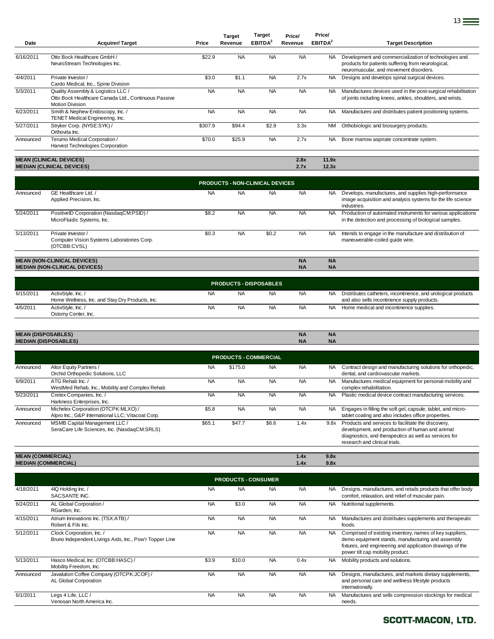| Date      | <b>Acquirer/Target</b>                                                                                               | Price     | Target<br>Revenue | <b>Target</b><br>EBITDA <sup>2</sup> | Price/<br>Revenue | Price/<br>EBITDA <sup>2</sup> | <b>Target Description</b>                                                                                                                             |
|-----------|----------------------------------------------------------------------------------------------------------------------|-----------|-------------------|--------------------------------------|-------------------|-------------------------------|-------------------------------------------------------------------------------------------------------------------------------------------------------|
|           |                                                                                                                      |           |                   |                                      |                   |                               |                                                                                                                                                       |
| 6/16/2011 | Otto Bock Healthcare GmbH /<br>NeuroStream Technologies Inc.                                                         | \$22.9    | <b>NA</b>         | <b>NA</b>                            | <b>NA</b>         | <b>NA</b>                     | Development and commercialization of technologies and<br>products for patients suffering from neurological,<br>neuromuscular, and movement disorders. |
| 4/4/2011  | Private Investor /<br>Cardo Medical, Inc., Spine Division                                                            | \$3.0     | \$1.1             | <b>NA</b>                            | 2.7x              | NA.                           | Designs and develops spinal surgical devices.                                                                                                         |
| 5/3/2011  | Quality Assembly & Logistics LLC /<br>Otto Bock Healthcare Canada Ltd., Continuous Passive<br><b>Motion Division</b> | <b>NA</b> | <b>NA</b>         | <b>NA</b>                            | <b>NA</b>         | NA.                           | Manufactures devices used in the post-surgical rehabilitation<br>of joints including knees, ankles, shoulders, and wrists.                            |
| 6/23/2011 | Smith & Nephew Endoscopy, Inc. /<br>TENET Medical Engineering, Inc.                                                  | <b>NA</b> | <b>NA</b>         | <b>NA</b>                            | <b>NA</b>         | NA.                           | Manufactures and distributes patient positioning systems.                                                                                             |
| 5/27/2011 | Stryker Corp. (NYSE:SYK) /<br>Orthovita Inc.                                                                         | \$307.9   | \$94.4            | \$2.9                                | 3.3x              | <b>NM</b>                     | Orthobiologic and biosurgery products.                                                                                                                |
| Announced | Terumo Medical Corporation /<br>Harvest Technologies Corporation                                                     | \$70.0    | \$25.9            | <b>NA</b>                            | 2.7x              | NA.                           | Bone marrow aspirate concentrate system.                                                                                                              |
|           | <b>MEAN (CLINICAL DEVICES)</b>                                                                                       |           |                   |                                      | 2.8x              | 11.9x                         |                                                                                                                                                       |

<u>13</u>

| MEAN (CLINICAL DEVICES)          | 2.8X | 11.9X |
|----------------------------------|------|-------|
| <b>MEDIAN (CLINICAL DEVICES)</b> |      | 12.3x |

|           | <b>PRODUCTS - NON-CLINICAL DEVICES</b>                                           |           |           |           |           |           |                                                                                                                                     |  |  |  |
|-----------|----------------------------------------------------------------------------------|-----------|-----------|-----------|-----------|-----------|-------------------------------------------------------------------------------------------------------------------------------------|--|--|--|
| Announced | GE Healthcare Ltd. /<br>Applied Precision, Inc.                                  | <b>NA</b> | <b>NA</b> | <b>NA</b> | <b>NA</b> | <b>NA</b> | Develops, manufactures, and supplies high-performance<br>image acquisition and analysis systems for the life science<br>industries. |  |  |  |
| 5/24/2011 | PositiveID Corporation (NasdaqCM:PSID) /<br>MicroFluidic Systems, Inc.           | \$8.2     | <b>NA</b> | <b>NA</b> | <b>NA</b> | <b>NA</b> | Production of automated instruments for various applications<br>in the detection and processing of biological samples.              |  |  |  |
| 5/13/2011 | Private Investor /<br>Computer Vision Systems Laboratories Corp.<br>(OTCBB:CVSL) | \$0.3     | <b>NA</b> | \$0.2     | <b>NA</b> | <b>NA</b> | Intends to engage in the manufacture and distribution of<br>maneuverable-coiled quide wire.                                         |  |  |  |
|           |                                                                                  |           |           |           |           |           |                                                                                                                                     |  |  |  |
|           | <b>MEAN (NON-CLINICAL DEVICES)</b>                                               |           |           |           | <b>NA</b> | <b>NA</b> |                                                                                                                                     |  |  |  |
|           | <b>MEDIAN (NON-CLINICAL DEVICES)</b>                                             |           |           |           | <b>NA</b> | <b>NA</b> |                                                                                                                                     |  |  |  |
|           |                                                                                  |           |           |           |           |           |                                                                                                                                     |  |  |  |

|           | <b>PRODUCTS - DISPOSABLES</b>                                        |           |           |           |           |     |                                                                                                              |  |  |
|-----------|----------------------------------------------------------------------|-----------|-----------|-----------|-----------|-----|--------------------------------------------------------------------------------------------------------------|--|--|
| 6/15/2011 | ActivStyle, Inc./<br>Home Wellness, Inc. and Stay Dry Products, Inc. | ΝA        | <b>NA</b> | <b>NA</b> | <b>NA</b> | NA. | Distributes catheters, incontinence, and urological products<br>and also sells incontinence supply products. |  |  |
| 4/5/2011  | ActivStyle, Inc./<br>Ostomy Center, Inc.                             | <b>NA</b> | NA        | <b>NA</b> | <b>NA</b> |     | Home medical and incontinence supplies.                                                                      |  |  |

| <b>DOO ADI FOL</b><br><b>MEAN</b><br>JSABLES)    | <b>NA</b> | <b>NA</b> |
|--------------------------------------------------|-----------|-----------|
| ES)<br><b>MEDIAN (I)</b><br><b>J (DISPOSABL)</b> | <b>NA</b> | <b>NA</b> |
|                                                  |           |           |

|                          | <b>PRODUCTS - COMMERCIAL</b>                                                             |           |           |           |           |           |                                                                                                                                                                                                 |  |  |  |
|--------------------------|------------------------------------------------------------------------------------------|-----------|-----------|-----------|-----------|-----------|-------------------------------------------------------------------------------------------------------------------------------------------------------------------------------------------------|--|--|--|
| Announced                | Altor Equity Partners /<br>Orchid Orthopedic Solutions, LLC                              | <b>NA</b> | \$175.0   | <b>NA</b> | <b>NA</b> | NA.       | Contract design and manufacturing solutions for orthopedic,<br>dental, and cardiovascular markets.                                                                                              |  |  |  |
| 6/9/2011                 | ATG Rehab Inc. /<br>WestMed Rehab, Inc., Mobility and Complex Rehab                      | <b>NA</b> | <b>NA</b> | <b>NA</b> | <b>NA</b> | <b>NA</b> | Manufactures medical equipment for personal mobility and<br>complex rehabilitation.                                                                                                             |  |  |  |
| 5/23/2011                | Cretex Companies, Inc. /<br>Harkness Enterprises, Inc.                                   | <b>NA</b> | <b>NA</b> | <b>NA</b> | <b>NA</b> | NA.       | Plastic medical device contract manufacturing services.                                                                                                                                         |  |  |  |
| Announced                | Michelex Corporation (OTCPK:MLXO) /<br>Alpro Inc.; G&P International LLC; Vitacoat Corp. | \$5.8     | <b>NA</b> | <b>NA</b> | <b>NA</b> | <b>NA</b> | Engages in filling the soft gel, capsule, tablet, and micro-<br>tablet coating and also includes office properties.                                                                             |  |  |  |
| Announced                | MSMB Capital Management LLC /<br>SeraCare Life Sciences, Inc. (NasdaqCM:SRLS)            | \$65.1    | \$47.7    | \$6.6     | 1.4x      | 9.8x      | Products and services to facilitate the discovery,<br>development, and production of human and animal<br>diagnostics, and therapeutics as well as services for<br>research and clinical trials. |  |  |  |
| <b>MEAN (COMMERCIAL)</b> |                                                                                          |           |           |           | 1.4x      | 9.8x      |                                                                                                                                                                                                 |  |  |  |

| MEAN (COMMERCIAL)          | 1.4X | 9.8X |
|----------------------------|------|------|
| <b>MEDIAN (COMMERCIAL)</b> | 1.4x | 9.8x |

|           | <b>PRODUCTS - CONSUMER</b>                                                           |           |           |           |           |           |                                                                                                                                                                                                                |  |  |  |
|-----------|--------------------------------------------------------------------------------------|-----------|-----------|-----------|-----------|-----------|----------------------------------------------------------------------------------------------------------------------------------------------------------------------------------------------------------------|--|--|--|
| 4/18/2011 | 4IQ Holding Inc. /<br>SACSANTE INC.                                                  | <b>NA</b> | <b>NA</b> | <b>NA</b> | <b>NA</b> | NA.       | Designs, manufactures, and retails products that offer body<br>comfort, relaxation, and relief of muscular pain.                                                                                               |  |  |  |
| 6/24/2011 | AL Global Corporation /<br>RGarden, Inc.                                             | <b>NA</b> | \$3.0     | <b>NA</b> | <b>NA</b> | NA.       | Nutritional supplements.                                                                                                                                                                                       |  |  |  |
| 4/15/2011 | Atrium Innovations Inc. (TSX:ATB) /<br>Robert & Fils Inc.                            | <b>NA</b> | <b>NA</b> | <b>NA</b> | <b>NA</b> | <b>NA</b> | Manufactures and distributes supplements and therapeutic<br>foods.                                                                                                                                             |  |  |  |
| 5/12/2011 | Clock Corporation, Inc. /<br>Bruno Independent Livings Aids, Inc., Pow'r Topper Line | <b>NA</b> | <b>NA</b> | <b>NA</b> | <b>NA</b> | NA.       | Comprised of existing inventory, names of key suppliers,<br>demo equipment stands, manufacturing and assembly<br>fixtures, and engineering and application drawings of the<br>power tilt cap mobility product. |  |  |  |
| 5/13/2011 | Hasco Medical, Inc. (OTCBB:HASC) /<br>Mobility Freedom, Inc.                         | \$3.9     | \$10.0    | <b>NA</b> | 0.4x      | <b>NA</b> | Mobility products and solutions.                                                                                                                                                                               |  |  |  |
| Announced | Javalution Coffee Company (OTCPK:JCOF) /<br>AL Global Corporation                    | <b>NA</b> | <b>NA</b> | <b>NA</b> | <b>NA</b> | <b>NA</b> | Designs, manufactures, and markets dietary supplements,<br>and personal care and wellness lifestyle products<br>internationally.                                                                               |  |  |  |
| 6/1/2011  | Legs 4 Life, LLC /<br>Venosan North America Inc.                                     | <b>NA</b> | <b>NA</b> | <b>NA</b> | <b>NA</b> | <b>NA</b> | Manufactures and sells compression stockings for medical<br>needs.                                                                                                                                             |  |  |  |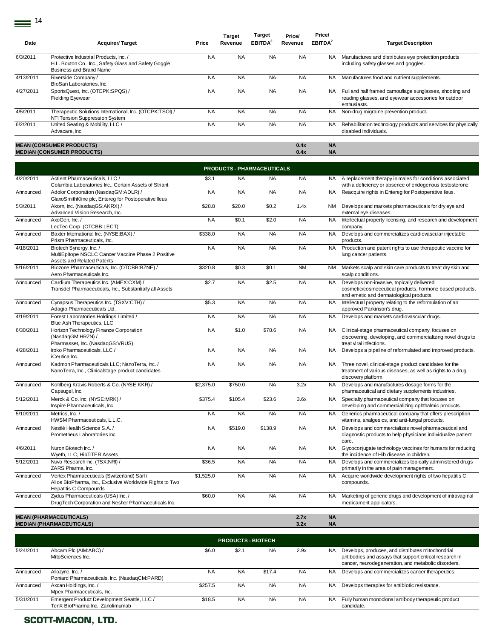$\equiv$ <sup>14</sup>

| Date      | <b>Acquirer/Target</b>                                                                                                            | Price     | <b>Target</b><br>Revenue | <b>Target</b><br>EBITDA <sup>2</sup> | Price/<br>Revenue | Price/<br>EBITDA <sup>2</sup> | <b>Target Description</b>                                                                                                        |
|-----------|-----------------------------------------------------------------------------------------------------------------------------------|-----------|--------------------------|--------------------------------------|-------------------|-------------------------------|----------------------------------------------------------------------------------------------------------------------------------|
|           |                                                                                                                                   |           |                          |                                      |                   |                               |                                                                                                                                  |
| 6/3/2011  | Protective Industrial Products, Inc. /<br>H.L. Bouton Co., Inc., Safety Glass and Safety Goggle<br><b>Business and Brand Name</b> | <b>NA</b> | <b>NA</b>                | <b>NA</b>                            | <b>NA</b>         | NA.                           | Manufactures and distributes eye protection products<br>including safety glasses and goggles.                                    |
| 4/13/2011 | Riverside Company /<br>BioSan Laboratories, Inc.                                                                                  | <b>NA</b> | <b>NA</b>                | <b>NA</b>                            | <b>NA</b>         | NA.                           | Manufactures food and nutrient supplements.                                                                                      |
| 4/27/2011 | SportsQuest, Inc. (OTCPK:SPQS) /<br><b>Fielding Eyewear</b>                                                                       | <b>NA</b> | <b>NA</b>                | <b>NA</b>                            | <b>NA</b>         | NA.                           | Full and half framed camouflage sunglasses, shooting and<br>reading glasses, and eyewear accessories for outdoor<br>enthusiasts. |
| 4/5/2011  | Therapeutic Solutions International, Inc. (OTCPK:TSOI) /<br>NTI Tension Suppression System                                        | <b>NA</b> | <b>NA</b>                | <b>NA</b>                            | <b>NA</b>         | NA.                           | Non-drug migraine prevention product.                                                                                            |
| 6/2/2011  | United Seating & Mobility, LLC /<br>Advacare, Inc.                                                                                | <b>NA</b> | <b>NA</b>                | <b>NA</b>                            | <b>NA</b>         | NA.                           | Rehabilitation technology products and services for physically<br>disabled individuals.                                          |
|           |                                                                                                                                   |           |                          |                                      |                   |                               |                                                                                                                                  |
|           | <b>MEAN (CONSUMER PRODUCTS)</b>                                                                                                   |           |                          |                                      | 0.4x              | <b>NA</b>                     |                                                                                                                                  |
|           | <b>MEDIAN (CONSUMER PRODUCTS)</b>                                                                                                 |           |                          |                                      | 0.4x              | <b>NA</b>                     |                                                                                                                                  |

|           |                                                                                                                                  |           |           | PRODUCTS - PHARMACEUTICALS |           |           |                                                                                                                                                   |
|-----------|----------------------------------------------------------------------------------------------------------------------------------|-----------|-----------|----------------------------|-----------|-----------|---------------------------------------------------------------------------------------------------------------------------------------------------|
| 4/20/2011 | Actient Pharmaceuticals, LLC /<br>Columbia Laboratories Inc., Certain Assets of Striant                                          | \$3.1     | <b>NA</b> | NA.                        | <b>NA</b> |           | NA A replacement therapy in males for conditions associated<br>with a deficiency or absence of endogenous testosterone.                           |
| Announced | Adolor Corporation (NasdaqGM:ADLR) /<br>GlaxoSmithKline plc, Entereg for Postoperative lleus                                     | <b>NA</b> | <b>NA</b> | <b>NA</b>                  | <b>NA</b> | <b>NA</b> | Reacquire rights in Entereg for Postoperative lleus.                                                                                              |
| 5/3/2011  | Akorn, Inc. (NasdaqGS:AKRX) /<br>Advanced Vision Research, Inc.                                                                  | \$28.8    | \$20.0    | \$0.2                      | 1.4x      | <b>NM</b> | Develops and markets pharmaceuticals for dry eye and<br>external eye diseases.                                                                    |
| Announced | AxoGen. Inc. /<br>LecTec Corp. (OTCBB:LECT)                                                                                      | <b>NA</b> | \$0.1     | \$2.0                      | <b>NA</b> | <b>NA</b> | Intellectual property licensing, and research and development<br>company.                                                                         |
| Announced | Baxter International Inc. (NYSE:BAX) /<br>Prism Pharmaceuticals, Inc.                                                            | \$338.0   | <b>NA</b> | <b>NA</b>                  | <b>NA</b> | <b>NA</b> | Develops and commercializes cardiovascular injectable<br>products.                                                                                |
| 4/18/2011 | Biotech Synergy, Inc. /<br>MultiEpitope NSCLC Cancer Vaccine Phase 2 Positive<br>Assets and Related Patents                      | <b>NA</b> | <b>NA</b> | <b>NA</b>                  | <b>NA</b> | <b>NA</b> | Production and patent rights to use therapeutic vaccine for<br>lung cancer patients.                                                              |
| 5/16/2011 | Biozone Pharmaceuticals, Inc. (OTCBB:BZNE) /<br>Aero Pharmaceuticals Inc.                                                        | \$320.8   | \$0.3     | \$0.1                      | <b>NM</b> | <b>NM</b> | Markets scalp and skin care products to treat dry skin and<br>scalp conditions.                                                                   |
| Announced | Cardium Therapeutics Inc. (AMEX:CXM) /<br>Transdel Pharmaceuticals, Inc., Substantially all Assets                               | \$2.7     | <b>NA</b> | \$2.5                      | <b>NA</b> | <b>NA</b> | Develops non-invasive, topically delivered<br>cosmetic/cosmeceutical products, hormone based products,<br>and emetic and dermatological products. |
| Announced | Cynapsus Therapeutics Inc. (TSXV:CTH) /<br>Adagio Pharmaceuticals Ltd.                                                           | \$5.3     | <b>NA</b> | <b>NA</b>                  | <b>NA</b> | <b>NA</b> | Intellectual property relating to the reformulation of an<br>approved Parkinson's drug.                                                           |
| 4/19/2011 | Forest Laboratories Holdings Limited /<br>Blue Ash Therapeutics, LLC                                                             | <b>NA</b> | <b>NA</b> | <b>NA</b>                  | <b>NA</b> | <b>NA</b> | Develops and markets cardiovascular drugs.                                                                                                        |
| 6/30/2011 | Horizon Technology Finance Corporation<br>(NasdaqGM:HRZN) /<br>Pharmasset, Inc. (NasdaqGS:VRUS)                                  | <b>NA</b> | \$1.0     | \$78.6                     | <b>NA</b> | <b>NA</b> | Clinical-stage pharmaceutical company, focuses on<br>discovering, developing, and commercializing novel drugs to<br>treat viral infections.       |
| 4/28/2011 | Iroko Pharmaceuticals, LLC /<br>iCeutica Inc.                                                                                    | <b>NA</b> | <b>NA</b> | <b>NA</b>                  | <b>NA</b> | <b>NA</b> | Develops a pipeline of reformulated and improved products.                                                                                        |
| Announced | Kadmon Pharmaceuticals LLC; NanoTerra, Inc. /<br>NanoTerra, Inc., Clinicalstage product candidates                               | <b>NA</b> | <b>NA</b> | <b>NA</b>                  | <b>NA</b> | <b>NA</b> | Three novel, clinical-stage product candidates for the<br>treatment of various diseases, as well as rights to a drug<br>discovery platform.       |
| Announced | Kohlberg Kravis Roberts & Co. (NYSE:KKR) /<br>Capsugel, Inc.                                                                     | \$2,375.0 | \$750.0   | <b>NA</b>                  | 3.2x      | <b>NA</b> | Develops and manufactures dosage forms for the<br>pharmaceutical and dietary supplements industries.                                              |
| 5/12/2011 | Merck & Co. Inc. (NYSE:MRK) /<br>Inspire Pharmaceuticals, Inc.                                                                   | \$375.4   | \$105.4   | \$23.6                     | 3.6x      | <b>NA</b> | Specialty pharmaceutical company that focuses on<br>developing and commercializing ophthalmic products.                                           |
| 5/10/2011 | Metrics, Inc. /<br>HWSM Pharmaceuticals, L.L.C.                                                                                  | <b>NA</b> | <b>NA</b> | <b>NA</b>                  | <b>NA</b> | NA        | Generics pharmaceutical company that offers prescription<br>vitamins, analgesics, and anti-fungal products.                                       |
| Announced | Nestlé Health Science S.A. /<br>Prometheus Laboratories Inc.                                                                     | <b>NA</b> | \$519.0   | \$138.9                    | <b>NA</b> | <b>NA</b> | Develops and commercializes novel pharmaceutical and<br>diagnostic products to help physicians individualize patient<br>care.                     |
| 4/6/2011  | Nuron Biotech Inc. /<br>Wyeth, LLC, HibTITER Assets                                                                              | <b>NA</b> | <b>NA</b> | <b>NA</b>                  | <b>NA</b> | <b>NA</b> | Glycoconjugate technology vaccines for humans for reducing<br>the incidence of Hib disease in children.                                           |
| 5/12/2011 | Nuvo Research Inc. (TSX:NRI) /<br>ZARS Pharma, Inc.                                                                              | \$36.5    | <b>NA</b> | <b>NA</b>                  | <b>NA</b> | <b>NA</b> | Develops and commercializes topically administered drugs<br>primarily in the area of pain management.                                             |
| Announced | Vertex Pharmaceuticals (Switzerland) Sàrl /<br>Alios BioPharma, Inc., Exclusive Worldwide Rights to Two<br>Hepatitis C Compounds | \$1,525.0 | <b>NA</b> | <b>NA</b>                  | <b>NA</b> | <b>NA</b> | Acquire worldwide development rights of two hepatitis C<br>compounds.                                                                             |
| Announced | Zydus Pharmaceuticals (USA) Inc. /<br>DrugTech Corporation and Nesher Pharmaceuticals Inc.                                       | \$60.0    | <b>NA</b> | <b>NA</b>                  | <b>NA</b> | NA        | Marketing of generic drugs and development of intravaginal<br>medicament applicators.                                                             |
|           | <b>MEAN (PHARMACEUTICALS)</b>                                                                                                    |           |           |                            | 2.7x      | <b>NA</b> |                                                                                                                                                   |
|           | <b>MEDIAN (PHARMACEUTICALS)</b>                                                                                                  |           |           |                            | 3.2x      | <b>NA</b> |                                                                                                                                                   |

|           | <b>PRODUCTS - BIOTECH</b>                                                       |           |           |           |           |           |                                                                                                                                                                     |  |  |  |
|-----------|---------------------------------------------------------------------------------|-----------|-----------|-----------|-----------|-----------|---------------------------------------------------------------------------------------------------------------------------------------------------------------------|--|--|--|
| 5/24/2011 | Abcam Plc (AIM:ABC) /<br>MitoSciences Inc.                                      | \$6.0     | \$2.1     | <b>NA</b> | 2.9x      | <b>NA</b> | Develops, produces, and distributes mitochondrial<br>antibodies and assays that support critical research in<br>cancer, neurodegeneration, and metabolic disorders. |  |  |  |
| Announced | Allozyne, Inc. /<br>Poniard Pharmaceuticals, Inc. (NasdaqCM:PARD)               | <b>NA</b> | <b>NA</b> | \$17.4    | <b>NA</b> | <b>NA</b> | Develops and commercializes cancer therapeutics.                                                                                                                    |  |  |  |
| Announced | Axcan Holdings, Inc. /<br>Mpex Pharmaceuticals, Inc.                            | \$257.5   | <b>NA</b> | <b>NA</b> | <b>NA</b> | <b>NA</b> | Develops therapies for antibiotic resistance.                                                                                                                       |  |  |  |
| 5/31/2011 | Emergent Product Development Seattle, LLC /<br>TenX BioPharma Inc., Zanolimumab | \$18.5    | <b>NA</b> | <b>NA</b> | <b>NA</b> | NA.       | Fully human monoclonal antibody therapeutic product<br>candidate.                                                                                                   |  |  |  |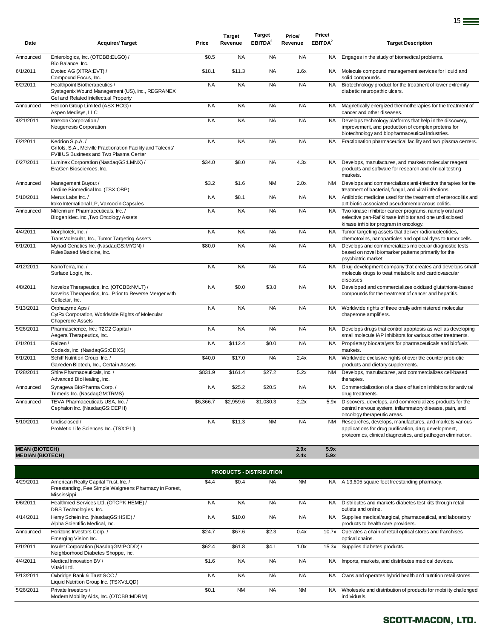|                       |                                                                                                                            |           | <b>Target</b> | <b>Target</b>       | Price/    | Price/              |                                                                                                                                                                                 |
|-----------------------|----------------------------------------------------------------------------------------------------------------------------|-----------|---------------|---------------------|-----------|---------------------|---------------------------------------------------------------------------------------------------------------------------------------------------------------------------------|
| Date                  | <b>Acquirer/Target</b>                                                                                                     | Price     | Revenue       | EBITDA <sup>2</sup> | Revenue   | EBITDA <sup>2</sup> | <b>Target Description</b>                                                                                                                                                       |
| Announced             | Enterologics, Inc. (OTCBB:ELGO) /<br>Bio Balance, Inc.                                                                     | \$0.5     | <b>NA</b>     | <b>NA</b>           | <b>NA</b> | <b>NA</b>           | Engages in the study of biomedical problems.                                                                                                                                    |
| 6/1/2011              | Evotec AG (XTRA:EVT) /<br>Compound Focus, Inc.                                                                             | \$18.1    | \$11.3        | <b>NA</b>           | 1.6x      | <b>NA</b>           | Molecule compound management services for liquid and<br>solid compounds.                                                                                                        |
| 6/2/2011              | Healthpoint Biotherapeutics /<br>Systagenix Wound Management (US), Inc., REGRANEX<br>Gel and Related Intellectual Property | <b>NA</b> | <b>NA</b>     | <b>NA</b>           | <b>NA</b> | <b>NA</b>           | Biotechnology product for the treatment of lower extremity<br>diabetic neuropathic ulcers.                                                                                      |
| Announced             | Helicon Group Limited (ASX:HCG) /<br>Aspen Medisys, LLC                                                                    | <b>NA</b> | <b>NA</b>     | <b>NA</b>           | <b>NA</b> | <b>NA</b>           | Magnetically energized thermotherapies for the treatment of<br>cancer and other diseases.                                                                                       |
| 4/21/2011             | Intrexon Corporation /<br>Neugenesis Corporation                                                                           | <b>NA</b> | <b>NA</b>     | <b>NA</b>           | <b>NA</b> | <b>NA</b>           | Develops technology platforms that help in the discovery,<br>improvement, and production of complex proteins for<br>biotechnology and biopharmaceutical industries.             |
| 6/2/2011              | Kedrion S.p.A./<br>Grifols, S.A., Melville Fractionation Facility and Talecris'<br>FVIII US Business and Two Plasma Center | <b>NA</b> | <b>NA</b>     | <b>NA</b>           | <b>NA</b> | <b>NA</b>           | Fractionation pharmaceutical facility and two plasma centers.                                                                                                                   |
| 6/27/2011             | Luminex Corporation (NasdaqGS:LMNX) /<br>EraGen Biosciences, Inc.                                                          | \$34.0    | \$8.0         | <b>NA</b>           | 4.3x      | <b>NA</b>           | Develops, manufactures, and markets molecular reagent<br>products and software for research and clinical testing<br>markets.                                                    |
| Announced             | Management Buyout /<br>Ondine Biomedical Inc. (TSX:OBP)                                                                    | \$3.2     | \$1.6         | <b>NM</b>           | 2.0x      | <b>NM</b>           | Develops and commercializes anti-infective therapies for the<br>treatment of bacterial, fungal, and viral infections.                                                           |
| 5/10/2011             | Merus Labs Inc. /<br>Iroko International LP, Vancocin Capsules                                                             | <b>NA</b> | \$8.1         | <b>NA</b>           | <b>NA</b> | <b>NA</b>           | Antibiotic medicine used for the treatment of enterocolitis and<br>antibiotic associated pseudomembranous colitis.                                                              |
| Announced             | Millennium Pharmaceuticals, Inc. /<br>Biogen Idec. Inc., Two Oncology Assets                                               | <b>NA</b> | <b>NA</b>     | <b>NA</b>           | <b>NA</b> | <b>NA</b>           | Two kinase inhibitor cancer programs, namely oral and<br>selective pan-Raf kinase inhibitor and one undisclosed<br>kinase inhibitor program in oncology.                        |
| 4/4/2011              | Morphotek, Inc./<br>TransMolecular, Inc., Tumor Targeting Assets                                                           | <b>NA</b> | <b>NA</b>     | <b>NA</b>           | <b>NA</b> | <b>NA</b>           | Tumor targeting assets that deliver radionucleotides,<br>chemotoxins, nanoparticles and optical dyes to tumor cells.                                                            |
| 6/1/2011              | Myriad Genetics Inc. (NasdaqGS:MYGN) /<br>RulesBased Medicine, Inc.                                                        | \$80.0    | <b>NA</b>     | <b>NA</b>           | <b>NA</b> | <b>NA</b>           | Develops and commercializes molecular diagnostic tests<br>based on novel biomarker patterns primarily for the<br>psychiatric market.                                            |
| 4/12/2011             | NanoTerra, Inc./<br>Surface Logix, Inc.                                                                                    | <b>NA</b> | <b>NA</b>     | <b>NA</b>           | <b>NA</b> | <b>NA</b>           | Drug development company that creates and develops small<br>molecule drugs to treat metabolic and cardiovascular<br>diseases.                                                   |
| 4/8/2011              | Novelos Therapeutics, Inc. (OTCBB:NVLT) /<br>Novelos Therapeutics, Inc., Prior to Reverse Merger with<br>Cellectar, Inc.   | <b>NA</b> | \$0.0         | \$3.8               | <b>NA</b> | <b>NA</b>           | Developed and commercializes oxidized glutathione-based<br>compounds for the treatment of cancer and hepatitis.                                                                 |
| 5/13/2011             | Orphazyme Aps /<br>CytRx Corporation, Worldwide Rights of Molecular<br>Chaperone Assets                                    | <b>NA</b> | <b>NA</b>     | <b>NA</b>           | <b>NA</b> | <b>NA</b>           | Worldwide rights of three orally administered molecular<br>chaperone amplifiers.                                                                                                |
| 5/26/2011             | Pharmascience, Inc.; T2C2 Capital /<br>Aegera Therapeutics, Inc.                                                           | <b>NA</b> | <b>NA</b>     | <b>NA</b>           | <b>NA</b> | <b>NA</b>           | Develops drugs that control apoptosis as well as developing<br>small molecule IAP inhibitors for various other treatments.                                                      |
| 6/1/2011              | Raizen/<br>Codexis, Inc. (NasdaqGS:CDXS)                                                                                   | <b>NA</b> | \$112.4       | \$0.0               | <b>NA</b> | <b>NA</b>           | Proprietary biocatalysts for pharmaceuticals and biofuels<br>markets.                                                                                                           |
| 6/1/2011              | Schiff Nutrition Group, Inc. /<br>Ganeden Biotech, Inc., Certain Assets                                                    | \$40.0    | \$17.0        | <b>NA</b>           | 2.4x      | <b>NA</b>           | Worldwide exclusive rights of over the counter probiotic<br>products and dietary supplements.                                                                                   |
| 6/28/2011             | Shire Pharmaceuticals, Inc. /<br>Advanced BioHealing, Inc.                                                                 | \$831.9   | \$161.4       | \$27.2              | 5.2x      | <b>NM</b>           | Develops, manufactures, and commercializes cell-based<br>therapies.                                                                                                             |
| Announced             | Synageva BioPharma Corp. /<br>Trimeris Inc. (NasdaqGM:TRMS)                                                                | <b>NA</b> | \$25.2        | \$20.5              | <b>NA</b> | <b>NA</b>           | Commercialization of a class of fusion inhibitors for antiviral<br>drug treatments.                                                                                             |
| Announced             | TEVA Pharmaceuticals USA, Inc. /<br>Cephalon Inc. (NasdaqGS:CEPH)                                                          | \$6,366.7 | \$2,959.6     | \$1,080.3           | 2.2x      | 5.9x                | Discovers, develops, and commercializes products for the<br>central nervous system, inflammatory disease, pain, and<br>oncology therapeutic areas.                              |
| 5/10/2011             | Undisclosed /<br>ProMetic Life Sciences Inc. (TSX:PLI)                                                                     | <b>NA</b> | \$11.3        | <b>NM</b>           | <b>NA</b> | <b>NM</b>           | Researches, develops, manufactures, and markets various<br>applications for drug purification, drug development,<br>proteomics, clinical diagnostics, and pathogen elimination. |
| <b>MEAN (BIOTECH)</b> |                                                                                                                            |           |               |                     | 2.9x      | 5.9x                |                                                                                                                                                                                 |

**MEDIAN (BIOTECH) 2.4x 5.9x**

4/29/2011 American Realty Capital Trust, Inc. / Freestanding, Fee Simple Walgreens Pharmacy in Forest, Mississippi \$4.4 \$0.4 NA NM NA A 13,605 square feet freestanding pharmacy. 6/6/2011 Healthmed Services Ltd. (OTCPK:HEME) / DRS Technologies, Inc. NA NA NA NA NA NA Distributes and markets diabetes test kits through retail outlets and online. 4/14/2011 Henry Schein Inc. (NasdaqGS:HSIC) / Alpha Scientific Medical, Inc. NA \$10.0 NA NA NA Supplies medical/surgical, pharmaceutical, and laboratory products to health care providers. Announced Horizons Investors Corp. / Emerging Vision Inc. \$24.7 \$67.6 \$2.3 0.4x 10.7x Operates a chain of retail optical stores and franchises optical chains. 6/1/2011 Insulet Corporation (NasdaqGM:PODD) / Neighborhood Diabetes Shoppe, Inc. \$62.4 \$61.8 \$4.1 1.0x 15.3x Supplies diabetes products. 4/4/2011 Medical Innovation BV / Vitaid Ltd. \$1.6 NA NA NA NA NA Imports, markets, and distributes medical devices. 5/13/2011 Oxbridge Bank & Trust SCC / Liquid Nutrition Group Inc. (TSXV:LQD) NA NA NA NA NA NA Owns and operates hybrid health and nutrition retail stores. 5/26/2011 Private Investors / Modern Mobility Aids, Inc. (OTCBB:MDRM) \$0.1 NM NA NM NA Wholesale and distribution of products for mobility challenged individuals. **PRODUCTS - DISTRIBUTION**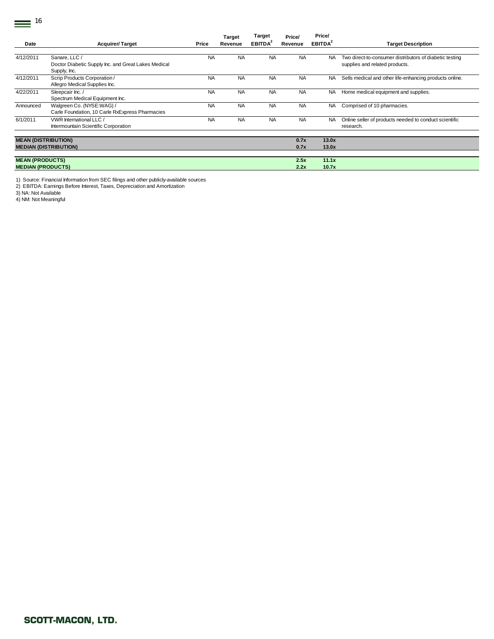$\equiv$ <sup>16</sup>

| Date                       | <b>Acquirer/Target</b>                                                               | Price     | <b>Target</b><br>Revenue | <b>Target</b><br><b>EBITDA<sup>2</sup></b> | Price/<br>Revenue | Price/<br>EBITDA <sup>2</sup> | <b>Target Description</b>                                                                 |
|----------------------------|--------------------------------------------------------------------------------------|-----------|--------------------------|--------------------------------------------|-------------------|-------------------------------|-------------------------------------------------------------------------------------------|
|                            |                                                                                      |           |                          |                                            |                   |                               |                                                                                           |
| 4/12/2011                  | Sanare, LLC /<br>Doctor Diabetic Supply Inc. and Great Lakes Medical<br>Supply, Inc. | <b>NA</b> | <b>NA</b>                | <b>NA</b>                                  | <b>NA</b>         | NA.                           | Two direct-to-consumer distributors of diabetic testing<br>supplies and related products. |
| 4/12/2011                  | Scrip Products Corporation/<br>Allegro Medical Supplies Inc.                         | <b>NA</b> | <b>NA</b>                | <b>NA</b>                                  | <b>NA</b>         | NA.                           | Sells medical and other life-enhancing products online.                                   |
| 4/22/2011                  | Sleepcair Inc. /<br>Spectrum Medical Equipment Inc.                                  | <b>NA</b> | <b>NA</b>                | <b>NA</b>                                  | <b>NA</b>         | NA.                           | Home medical equipment and supplies.                                                      |
| Announced                  | Walgreen Co. (NYSE:WAG) /<br>Carle Foundation, 10 Carle RxExpress Pharmacies         | <b>NA</b> | <b>NA</b>                | <b>NA</b>                                  | <b>NA</b>         | NA.                           | Comprised of 10 pharmacies.                                                               |
| 6/1/2011                   | VWR International LLC /<br>Intermountain Scientific Corporation                      | <b>NA</b> | <b>NA</b>                | <b>NA</b>                                  | <b>NA</b>         | <b>NA</b>                     | Online seller of products needed to conduct scientific<br>research.                       |
| <b>MEAN (DISTRIBUTION)</b> |                                                                                      |           |                          |                                            | 0.7x              | 13.0x                         |                                                                                           |
|                            | <b>MEDIAN (DISTRIBUTION)</b>                                                         |           |                          |                                            | 0.7x              | 13.0x                         |                                                                                           |
| <b>MEAN (PRODUCTS)</b>     |                                                                                      |           |                          |                                            | 2.5x              | 11.1x                         |                                                                                           |
| <b>MEDIAN (PRODUCTS)</b>   |                                                                                      |           |                          |                                            | 2.2x              | 10.7x                         |                                                                                           |
|                            |                                                                                      |           |                          |                                            |                   |                               |                                                                                           |

1) Source: Financial Information from SEC filings and other publicly-available sources 2) EBITDA: Earnings Before Interest, Taxes, Depreciation and Amortization 3) NA: Not Available

4) NM: Not Meaningful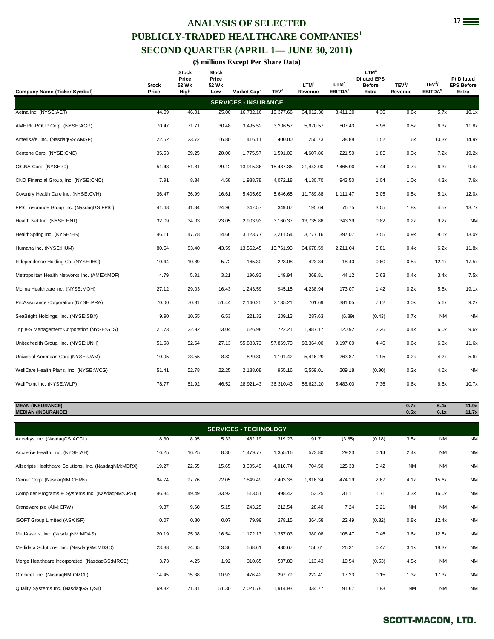# **ANALYSIS OF SELECTED** 17 **PUBLICLY-TRADED HEALTHCARE COMPANIES<sup>1</sup> SECOND QUARTER (APRIL 1— JUNE 30, 2011)**

**(\$ millions Except Per Share Data)** 

|                                              | <b>Stock</b> | <b>Stock</b><br>Price<br>52 Wk | <b>Stock</b><br>Price<br>52 Wk |                             |                  | LTM <sup>4</sup> | LTM <sup>4</sup>    | LTM <sup>4</sup><br><b>Diluted EPS</b><br><b>Before</b> | TEV <sup>3</sup> / | TEV <sup>3</sup> /  | P/Diluted<br><b>EPS Before</b> |
|----------------------------------------------|--------------|--------------------------------|--------------------------------|-----------------------------|------------------|------------------|---------------------|---------------------------------------------------------|--------------------|---------------------|--------------------------------|
| Company Name (Ticker Symbol)                 | Price        | High                           | Low                            | Market Cap <sup>2</sup>     | TEV <sup>3</sup> | Revenue          | EBITDA <sup>5</sup> | Extra                                                   | Revenue            | EBITDA <sup>5</sup> | Extra                          |
|                                              |              |                                |                                | <b>SERVICES - INSURANCE</b> |                  |                  |                     |                                                         |                    |                     |                                |
| Aetna Inc. (NYSE:AET)                        | 44.09        | 46.01                          | 25.00                          | 16,732.16                   | 19,377.66        | 34,012.30        | 3,411.20            | 4.36                                                    | 0.6x               | 5.7x                | 10.1x                          |
| AMERIGROUP Corp. (NYSE:AGP)                  | 70.47        | 71.71                          | 30.48                          | 3,495.52                    | 3,206.57         | 5,970.57         | 507.43              | 5.96                                                    | 0.5x               | 6.3x                | 11.8x                          |
| Amerisafe, Inc. (NasdaqGS:AMSF)              | 22.62        | 23.72                          | 16.80                          | 416.11                      | 400.00           | 250.73           | 38.88               | 1.52                                                    | 1.6x               | 10.3x               | 14.9x                          |
| Centene Corp. (NYSE:CNC)                     | 35.53        | 39.25                          | 20.00                          | 1,775.57                    | 1,591.09         | 4,607.86         | 221.50              | 1.85                                                    | 0.3x               | 7.2x                | 19.2x                          |
| CIGNA Corp. (NYSE:CI)                        | 51.43        | 51.81                          | 29.12                          | 13,915.36                   | 15,487.36        | 21,443.00        | 2,465.00            | 5.44                                                    | 0.7x               | 6.3x                | 9.4x                           |
| CNO Financial Group, Inc. (NYSE:CNO)         | 7.91         | 8.34                           | 4.58                           | 1,988.78                    | 4,072.18         | 4,130.70         | 943.50              | 1.04                                                    | 1.0x               | 4.3x                | 7.6x                           |
| Coventry Health Care Inc. (NYSE:CVH)         | 36.47        | 36.99                          | 16.61                          | 5,405.69                    | 5,646.65         | 11,789.88        | 1.111.47            | 3.05                                                    | 0.5x               | 5.1x                | 12.0x                          |
| FPIC Insurance Group Inc. (NasdaqGS:FPIC)    | 41.68        | 41.84                          | 24.96                          | 347.57                      | 349.07           | 195.64           | 76.75               | 3.05                                                    | 1.8x               | 4.5x                | 13.7x                          |
| Health Net Inc. (NYSE:HNT)                   | 32.09        | 34.03                          | 23.05                          | 2,903.93                    | 3,160.37         | 13,735.86        | 343.39              | 0.82                                                    | 0.2x               | 9.2x                | <b>NM</b>                      |
| HealthSpring Inc. (NYSE:HS)                  | 46.11        | 47.78                          | 14.66                          | 3,123.77                    | 3,211.54         | 3,777.16         | 397.07              | 3.55                                                    | 0.9x               | 8.1x                | 13.0x                          |
| Humana Inc. (NYSE:HUM)                       | 80.54        | 83.40                          | 43.59                          | 13,562.45                   | 13,761.93        | 34,678.59        | 2,211.04            | 6.81                                                    | 0.4x               | 6.2x                | 11.8x                          |
| Independence Holding Co. (NYSE: IHC)         | 10.44        | 10.89                          | 5.72                           | 165.30                      | 223.08           | 423.34           | 18.40               | 0.60                                                    | 0.5x               | 12.1x               | 17.5x                          |
| Metropolitan Health Networks Inc. (AMEX:MDF) | 4.79         | 5.31                           | 3.21                           | 196.93                      | 149.94           | 369.81           | 44.12               | 0.63                                                    | 0.4x               | 3.4x                | 7.5x                           |
| Molina Healthcare Inc. (NYSE:MOH)            | 27.12        | 29.03                          | 16.43                          | 1,243.59                    | 945.15           | 4,238.94         | 173.07              | 1.42                                                    | 0.2x               | 5.5x                | 19.1x                          |
| ProAssurance Corporation (NYSE:PRA)          | 70.00        | 70.31                          | 51.44                          | 2,140.25                    | 2,135.21         | 701.69           | 381.05              | 7.62                                                    | 3.0x               | 5.6x                | 9.2x                           |
| SeaBright Holdings, Inc. (NYSE:SBX)          | 9.90         | 10.55                          | 6.53                           | 221.32                      | 209.13           | 287.63           | (6.89)              | (0.43)                                                  | 0.7x               | <b>NM</b>           | <b>NM</b>                      |
| Triple-S Management Corporation (NYSE:GTS)   | 21.73        | 22.92                          | 13.04                          | 626.98                      | 722.21           | 1,987.17         | 120.92              | 2.26                                                    | 0.4x               | 6.0x                | 9.6x                           |
| Unitedhealth Group, Inc. (NYSE:UNH)          | 51.58        | 52.64                          | 27.13                          | 55,883.73                   | 57,869.73        | 98,364.00        | 9,197.00            | 4.46                                                    | 0.6x               | 6.3x                | 11.6x                          |
| Universal American Corp (NYSE:UAM)           | 10.95        | 23.55                          | 8.82                           | 829.80                      | 1,101.42         | 5,416.29         | 263.87              | 1.95                                                    | 0.2x               | 4.2x                | 5.6x                           |
| WellCare Health Plans, Inc. (NYSE:WCG)       | 51.41        | 52.78                          | 22.25                          | 2,188.08                    | 955.16           | 5,559.01         | 209.18              | (0.90)                                                  | 0.2x               | 4.6x                | <b>NM</b>                      |
| WellPoint Inc. (NYSE:WLP)                    | 78.77        | 81.92                          | 46.52                          | 28,921.43                   | 36,310.43        | 58,623.20        | 5,483.00            | 7.36                                                    | 0.6x               | 6.6x                | 10.7x                          |

**MEAN (INSURANCE) 0.7x 6.4x 11.9x MEDIAN (INSURANCE) 0.5x 6.1x 11.7x** Accelrys Inc. (NasdaqGS:ACCL) 8.30 8.95 5.33 462.19 319.23 91.71 (3.85) (0.18) 3.5x NM NM Accretive Health, Inc. (NYSE:AH) 16.25 16.25 8.30 1,479.77 1,355.16 573.80 29.23 0.14 2.4x NM NM Allscripts Healthcare Solutions, Inc. (NasdaqNM:MDRX) 19.27 22.55 15.65 3,605.48 4,016.74 704.50 125.33 0.42 NM NM NM Cerner Corp. (NasdaqNM:CERN) 94.74 97.76 72.05 7,849.49 7,403.38 1,816.34 474.19 2.67 4.1x 15.6x NM Computer Programs & Systems Inc. (NasdaqNM:CPSI) 46.84 49.49 33.92 513.51 498.42 153.25 31.11 1.71 3.3x 16.0x NM Craneware plc (AIM:CRW) 9.37 9.60 5.15 243.25 212.54 28.40 7.24 0.21 NM NM NM iSOFT Group Limited (ASX:ISF) 0.07 0.80 0.07 79.99 278.15 364.58 22.49 (0.32) 0.8x 12.4x NM MedAssets, Inc. (NasdaqNM:MDAS) 20.19 25.08 16.54 1,172.13 1,357.03 380.08 108.47 0.46 3.6x 12.5x NM Medidata Solutions, Inc. (NasdaqGM:MDSO) 23.88 24.65 13.36 568.61 480.67 156.61 26.31 0.47 3.1x 18.3x NM Merge Healthcare Incorporated. (NasdaqGS:MRGE) 3.73 4.25 1.92 310.65 507.89 113.43 19.54 (0.53) 4.5x NM NM Omnicell Inc. (NasdaqNM:OMCL) 14.45 15.38 10.93 476.42 297.79 222.41 17.23 0.15 1.3x 17.3x NM Quality Systems Inc. (NasdaqGS:QSII) 69.82 71.81 51.30 2,021.78 1,914.93 334.77 91.67 1.93 NM NM NM **SERVICES - TECHNOLOGY**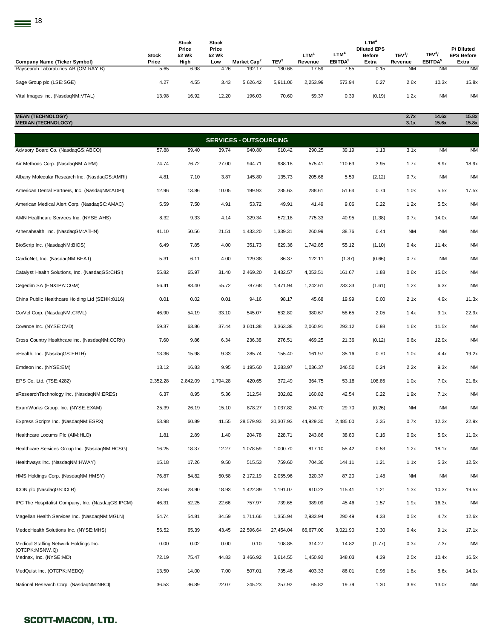| Company Name (Ticker Symbol)         | Stock<br>Price | <b>Stock</b><br>Price<br>52 Wk<br>High | <b>Stock</b><br>Price<br>52 Wk<br>Low | Market Cap <sup>2</sup> | TEV <sup>3</sup> | <b>LTM<sup>4</sup></b><br>Revenue | LTM <sup>4</sup><br>EBITDA <sup>5</sup> | <b>LTM<sup>4</sup></b><br><b>Diluted EPS</b><br><b>Before</b><br>Extra | TEV3/<br>Revenue | TEV <sup>3</sup> /<br>EBITDA <sup>5</sup> | P/Diluted<br><b>EPS Before</b><br>Extra |
|--------------------------------------|----------------|----------------------------------------|---------------------------------------|-------------------------|------------------|-----------------------------------|-----------------------------------------|------------------------------------------------------------------------|------------------|-------------------------------------------|-----------------------------------------|
| Raysearch Laboratories AB (OM:RAY B) | 5.65           | 6.98                                   | 4.26                                  | 192.17                  | 180.68           | 17.59                             | 7.55                                    | 0.15                                                                   | <b>NM</b>        | <b>NM</b>                                 | <b>NM</b>                               |
| Sage Group plc (LSE:SGE)             | 4.27           | 4.55                                   | 3.43                                  | 5.626.42                | 5,911.06         | 2.253.99                          | 573.94                                  | 0.27                                                                   | 2.6x             | 10.3x                                     | 15.8x                                   |
| Vital Images Inc. (NasdagNM:VTAL)    | 13.98          | 16.92                                  | 12.20                                 | 196.03                  | 70.60            | 59.37                             | 0.39                                    | (0.19)                                                                 | 1.2x             | <b>NM</b>                                 | <b>NM</b>                               |

| <b>MEAN (TECHNOLOGY)</b><br><b>MEDIAN (TECHNOLOGY)</b>   |          |          |          |                               |           |           |          |        | 2.7x<br>3.1x | 14.6x<br>15.6x | 15.8x<br>15.8x |
|----------------------------------------------------------|----------|----------|----------|-------------------------------|-----------|-----------|----------|--------|--------------|----------------|----------------|
|                                                          |          |          |          | <b>SERVICES - OUTSOURCING</b> |           |           |          |        |              |                |                |
| Advisory Board Co. (NasdaqGS:ABCO)                       | 57.88    | 59.40    | 39.74    | 940.80                        | 910.42    | 290.25    | 39.19    | 1.13   | 3.1x         | <b>NM</b>      | <b>NM</b>      |
| Air Methods Corp. (NasdaqNM:AIRM)                        | 74.74    | 76.72    | 27.00    | 944.71                        | 988.18    | 575.41    | 110.63   | 3.95   | 1.7x         | 8.9x           | 18.9x          |
| Albany Molecular Research Inc. (NasdaqGS:AMRI)           | 4.81     | 7.10     | 3.87     | 145.80                        | 135.73    | 205.68    | 5.59     | (2.12) | 0.7x         | <b>NM</b>      | <b>NM</b>      |
| American Dental Partners, Inc. (NasdaqNM:ADPI)           | 12.96    | 13.86    | 10.05    | 199.93                        | 285.63    | 288.61    | 51.64    | 0.74   | 1.0x         | 5.5x           | 17.5x          |
| American Medical Alert Corp. (NasdaqSC:AMAC)             | 5.59     | 7.50     | 4.91     | 53.72                         | 49.91     | 41.49     | 9.06     | 0.22   | 1.2x         | 5.5x           | <b>NM</b>      |
| AMN Healthcare Services Inc. (NYSE:AHS)                  | 8.32     | 9.33     | 4.14     | 329.34                        | 572.18    | 775.33    | 40.95    | (1.38) | 0.7x         | 14.0x          | <b>NM</b>      |
| Athenahealth, Inc. (NasdaqGM:ATHN)                       | 41.10    | 50.56    | 21.51    | 1,433.20                      | 1,339.31  | 260.99    | 38.76    | 0.44   | <b>NM</b>    | <b>NM</b>      | <b>NM</b>      |
| BioScrip Inc. (NasdaqNM:BIOS)                            | 6.49     | 7.85     | 4.00     | 351.73                        | 629.36    | 1,742.85  | 55.12    | (1.10) | 0.4x         | 11.4x          | <b>NM</b>      |
| CardioNet, Inc. (NasdaqNM:BEAT)                          | 5.31     | 6.11     | 4.00     | 129.38                        | 86.37     | 122.11    | (1.87)   | (0.66) | 0.7x         | <b>NM</b>      | <b>NM</b>      |
| Catalyst Health Solutions, Inc. (NasdaqGS:CHSI)          | 55.82    | 65.97    | 31.40    | 2,469.20                      | 2,432.57  | 4,053.51  | 161.67   | 1.88   | 0.6x         | 15.0x          | <b>NM</b>      |
| Cegedim SA (ENXTPA:CGM)                                  | 56.41    | 83.40    | 55.72    | 787.68                        | 1,471.94  | 1,242.61  | 233.33   | (1.61) | 1.2x         | 6.3x           | <b>NM</b>      |
| China Public Healthcare Holding Ltd (SEHK:8116)          | 0.01     | 0.02     | 0.01     | 94.16                         | 98.17     | 45.68     | 19.99    | 0.00   | 2.1x         | 4.9x           | 11.3x          |
| CorVel Corp. (NasdaqNM:CRVL)                             | 46.90    | 54.19    | 33.10    | 545.07                        | 532.80    | 380.67    | 58.65    | 2.05   | 1.4x         | 9.1x           | 22.9x          |
| Covance Inc. (NYSE:CVD)                                  | 59.37    | 63.86    | 37.44    | 3,601.38                      | 3,363.38  | 2,060.91  | 293.12   | 0.98   | 1.6x         | 11.5x          | <b>NM</b>      |
| Cross Country Healthcare Inc. (NasdaqNM:CCRN)            | 7.60     | 9.86     | 6.34     | 236.38                        | 276.51    | 469.25    | 21.36    | (0.12) | 0.6x         | 12.9x          | <b>NM</b>      |
| eHealth, Inc. (NasdaqGS:EHTH)                            | 13.36    | 15.98    | 9.33     | 285.74                        | 155.40    | 161.97    | 35.16    | 0.70   | 1.0x         | 4.4x           | 19.2x          |
| Emdeon Inc. (NYSE:EM)                                    | 13.12    | 16.83    | 9.95     | 1,195.60                      | 2,283.97  | 1,036.37  | 246.50   | 0.24   | 2.2x         | 9.3x           | <b>NM</b>      |
| EPS Co. Ltd. (TSE:4282)                                  | 2,352.28 | 2,842.09 | 1,794.28 | 420.65                        | 372.49    | 364.75    | 53.18    | 108.85 | 1.0x         | 7.0x           | 21.6x          |
| eResearchTechnology Inc. (NasdaqNM:ERES)                 | 6.37     | 8.95     | 5.36     | 312.54                        | 302.82    | 160.82    | 42.54    | 0.22   | 1.9x         | 7.1x           | <b>NM</b>      |
| ExamWorks Group, Inc. (NYSE:EXAM)                        | 25.39    | 26.19    | 15.10    | 878.27                        | 1,037.82  | 204.70    | 29.70    | (0.26) | <b>NM</b>    | <b>NM</b>      | <b>NM</b>      |
| Express Scripts Inc. (NasdaqNM:ESRX)                     | 53.98    | 60.89    | 41.55    | 28,579.93                     | 30,307.93 | 44,929.30 | 2,485.00 | 2.35   | 0.7x         | 12.2x          | 22.9x          |
| Healthcare Locums Plc (AIM:HLO)                          | 1.81     | 2.89     | 1.40     | 204.78                        | 228.71    | 243.86    | 38.80    | 0.16   | 0.9x         | 5.9x           | 11.0x          |
| Healthcare Services Group Inc. (NasdaqNM:HCSG)           | 16.25    | 18.37    | 12.27    | 1,078.59                      | 1,000.70  | 817.10    | 55.42    | 0.53   | 1.2x         | 18.1x          | <b>NM</b>      |
| Healthways Inc. (NasdaqNM:HWAY)                          | 15.18    | 17.26    | 9.50     | 515.53                        | 759.60    | 704.30    | 144.11   | 1.21   | 1.1x         | 5.3x           | 12.5x          |
| HMS Holdings Corp. (NasdaqNM:HMSY)                       | 76.87    | 84.82    | 50.58    | 2,172.19                      | 2,055.96  | 320.37    | 87.20    | 1.48   | NM           | <b>NM</b>      | NM             |
| ICON plc (NasdaqGS:ICLR)                                 | 23.56    | 28.90    | 18.93    | 1,422.89                      | 1,191.07  | 910.23    | 115.41   | 1.21   | 1.3x         | 10.3x          | 19.5x          |
| IPC The Hospitalist Company, Inc. (NasdaqGS:IPCM)        | 46.31    | 52.25    | 22.66    | 757.97                        | 739.65    | 389.09    | 45.46    | 1.57   | 1.9x         | 16.3x          | <b>NM</b>      |
| Magellan Health Services Inc. (NasdaqNM:MGLN)            | 54.74    | 54.81    | 34.59    | 1,711.66                      | 1,355.94  | 2,933.94  | 290.49   | 4.33   | 0.5x         | 4.7x           | 12.6x          |
| MedcoHealth Solutions Inc. (NYSE:MHS)                    | 56.52    | 65.39    | 43.45    | 22,596.64                     | 27,454.04 | 66,677.00 | 3,021.90 | 3.30   | 0.4x         | 9.1x           | 17.1x          |
| Medical Staffing Network Holdings Inc.<br>(OTCPK:MSNW.Q) | 0.00     | 0.02     | 0.00     | 0.10                          | 108.85    | 314.27    | 14.82    | (1.77) | 0.3x         | 7.3x           | <b>NM</b>      |
| Mednax, Inc. (NYSE:MD)                                   | 72.19    | 75.47    | 44.83    | 3,466.92                      | 3,614.55  | 1,450.92  | 348.03   | 4.39   | 2.5x         | 10.4x          | 16.5x          |
| MedQuist Inc. (OTCPK:MEDQ)                               | 13.50    | 14.00    | 7.00     | 507.01                        | 735.46    | 403.33    | 86.01    | 0.96   | 1.8x         | 8.6x           | 14.0x          |
| National Research Corp. (NasdaqNM:NRCI)                  | 36.53    | 36.89    | 22.07    | 245.23                        | 257.92    | 65.82     | 19.79    | 1.30   | 3.9x         | 13.0x          | NM             |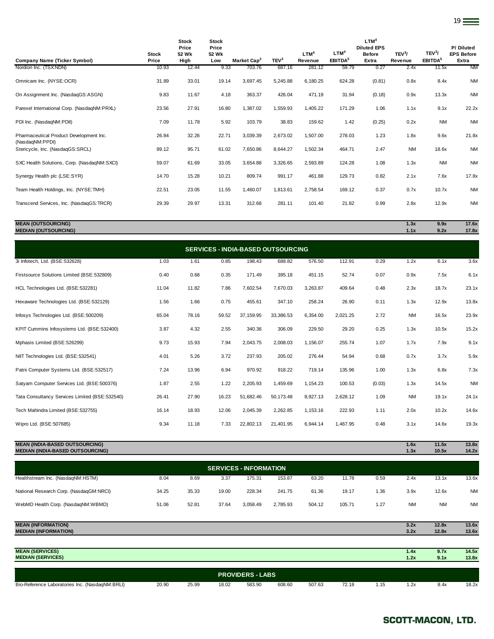| <b>Company Name (Ticker Symbol)</b>                        | <b>Stock</b><br>Price | <b>Stock</b><br>Price<br>52 Wk<br>High | <b>Stock</b><br>Price<br>52 Wk<br>Low | Market Cap <sup>2</sup> | TEV <sup>3</sup> | LTM <sup>4</sup><br>Revenue | LTM <sup>4</sup><br>EBITDA <sup>5</sup> | LTM <sup>4</sup><br><b>Diluted EPS</b><br><b>Before</b><br>Extra | TEV <sup>3</sup> /<br>Revenue | TEV <sup>3</sup> /<br>EBITDA <sup>5</sup> | P/Diluted<br><b>EPS Before</b><br>Extra |
|------------------------------------------------------------|-----------------------|----------------------------------------|---------------------------------------|-------------------------|------------------|-----------------------------|-----------------------------------------|------------------------------------------------------------------|-------------------------------|-------------------------------------------|-----------------------------------------|
| Nordion Inc. (TSX:NDN)                                     | 10.93                 | 12.44                                  | 9.33                                  | 703.76                  | 687.16           | 281.12                      | 59.79                                   | 0.27                                                             | 2.4x                          | 11.5x                                     | <b>NM</b>                               |
| Omnicare Inc. (NYSE:OCR)                                   | 31.89                 | 33.01                                  | 19.14                                 | 3,697.45                | 5,245.88         | 6,180.25                    | 624.28                                  | (0.81)                                                           | 0.8x                          | 8.4x                                      | <b>NM</b>                               |
| On Assignment Inc. (NasdagGS:ASGN)                         | 9.83                  | 11.67                                  | 4.18                                  | 363.37                  | 426.04           | 471.19                      | 31.94                                   | (0.18)                                                           | 0.9x                          | 13.3x                                     | <b>NM</b>                               |
| Parexel International Corp. (NasdaqNM:PRXL)                | 23.56                 | 27.91                                  | 16.80                                 | 1,387.02                | 1,559.93         | 1,405.22                    | 171.29                                  | 1.06                                                             | 1.1x                          | 9.1x                                      | 22.2x                                   |
| PDI Inc. (NasdagNM:PDII)                                   | 7.09                  | 11.78                                  | 5.92                                  | 103.79                  | 38.83            | 159.62                      | 1.42                                    | (0.25)                                                           | 0.2x                          | <b>NM</b>                                 | <b>NM</b>                               |
| Pharmaceutical Product Development Inc.<br>(NasdaqNM:PPDI) | 26.84                 | 32.26                                  | 22.71                                 | 3,039.39                | 2,673.02         | 1,507.00                    | 278.03                                  | 1.23                                                             | 1.8x                          | 9.6x                                      | 21.8x                                   |
| Stericycle, Inc. (NasdaqGS:SRCL)                           | 89.12                 | 95.71                                  | 61.02                                 | 7,650.86                | 8,644.27         | 1,502.34                    | 464.71                                  | 2.47                                                             | <b>NM</b>                     | 18.6x                                     | <b>NM</b>                               |
| SXC Health Solutions, Corp. (NasdaqNM:SXCI)                | 59.07                 | 61.69                                  | 33.05                                 | 3,654.88                | 3,326.65         | 2,593.89                    | 124.28                                  | 1.08                                                             | 1.3x                          | <b>NM</b>                                 | <b>NM</b>                               |
| Synergy Health plc (LSE:SYR)                               | 14.70                 | 15.28                                  | 10.21                                 | 809.74                  | 991.17           | 461.88                      | 129.73                                  | 0.82                                                             | 2.1x                          | 7.6x                                      | 17.8x                                   |
| Team Health Holdings, Inc. (NYSE:TMH)                      | 22.51                 | 23.05                                  | 11.55                                 | 1,460.07                | 1,813.61         | 2,758.54                    | 169.12                                  | 0.37                                                             | 0.7x                          | 10.7x                                     | <b>NM</b>                               |
| Transcend Services, Inc. (NasdaqGS:TRCR)                   | 29.39                 | 29.97                                  | 13.31                                 | 312.68                  | 281.11           | 101.40                      | 21.82                                   | 0.99                                                             | 2.8x                          | 12.9x                                     | <b>NM</b>                               |

### **MEAN (OUTSOURCING) 1.3x 9.9x 17.6x MEDIAN (OUTSOURCING) 1.1x 9.2x 17.8x**

| <b>SERVICES - INDIA-BASED OUTSOURCING</b>      |       |       |       |           |           |          |          |        |           |       |           |  |
|------------------------------------------------|-------|-------|-------|-----------|-----------|----------|----------|--------|-----------|-------|-----------|--|
| 3i Infotech, Ltd. (BSE:532628)                 | 1.03  | 1.61  | 0.85  | 198.43    | 688.82    | 576.50   | 112.91   | 0.29   | 1.2x      | 6.1x  | 3.6x      |  |
| Firstsource Solutions Limited (BSE:532809)     | 0.40  | 0.68  | 0.35  | 171.49    | 395.18    | 451.15   | 52.74    | 0.07   | 0.9x      | 7.5x  | 6.1x      |  |
| HCL Technologies Ltd. (BSE:532281)             | 11.04 | 11.82 | 7.86  | 7,602.54  | 7,670.03  | 3,263.87 | 409.64   | 0.48   | 2.3x      | 18.7x | 23.1x     |  |
| Hexaware Technologies Ltd. (BSE:532129)        | 1.56  | 1.66  | 0.75  | 455.61    | 347.10    | 258.24   | 26.90    | 0.11   | 1.3x      | 12.9x | 13.8x     |  |
| Infosys Technologies Ltd. (BSE:500209)         | 65.04 | 78.16 | 59.52 | 37,159.95 | 33,386.53 | 6,354.00 | 2,021.25 | 2.72   | <b>NM</b> | 16.5x | 23.9x     |  |
| KPIT Cummins Infosystems Ltd. (BSE:532400)     | 3.87  | 4.32  | 2.55  | 340.36    | 306.09    | 229.50   | 29.20    | 0.25   | 1.3x      | 10.5x | 15.2x     |  |
| Mphasis Limited (BSE:526299)                   | 9.73  | 15.93 | 7.94  | 2,043.75  | 2,008.03  | 1,156.07 | 255.74   | 1.07   | 1.7x      | 7.9x  | 9.1x      |  |
| NIIT Technologies Ltd. (BSE:532541)            | 4.01  | 5.26  | 3.72  | 237.93    | 205.02    | 276.44   | 54.94    | 0.68   | 0.7x      | 3.7x  | 5.9x      |  |
| Patni Computer Systems Ltd. (BSE:532517)       | 7.24  | 13.96 | 6.94  | 970.92    | 918.22    | 719.14   | 135.96   | 1.00   | 1.3x      | 6.8x  | 7.3x      |  |
| Satyam Computer Services Ltd. (BSE:500376)     | 1.87  | 2.55  | 1.22  | 2,205.93  | 1,459.69  | 1,154.23 | 100.53   | (0.03) | 1.3x      | 14.5x | <b>NM</b> |  |
| Tata Consultancy Services Limited (BSE:532540) | 26.41 | 27.90 | 16.23 | 51,682.46 | 50,173.48 | 8,927.13 | 2,628.12 | 1.09   | <b>NM</b> | 19.1x | 24.1x     |  |
| Tech Mahindra Limited (BSE:532755)             | 16.14 | 18.93 | 12.06 | 2,045.39  | 2,262.85  | 1,153.16 | 222.93   | 1.11   | 2.0x      | 10.2x | 14.6x     |  |
| Wipro Ltd. (BSE:507685)                        | 9.34  | 11.18 | 7.33  | 22,802.13 | 21,401.95 | 6,944.14 | 1,467.95 | 0.48   | 3.1x      | 14.6x | 19.3x     |  |
|                                                |       |       |       |           |           |          |          |        |           |       |           |  |

## **MEAN (INDIA-BASED OUTSOURCING) 1.6x 11.5x 13.8x MEDIAN (INDIA-BASED OUTSOURCING) 1.3x 10.5x 14.2x**

| <b>SERVICES - INFORMATION</b>           |       |       |       |          |          |        |        |      |           |           |           |  |
|-----------------------------------------|-------|-------|-------|----------|----------|--------|--------|------|-----------|-----------|-----------|--|
| Healthstream Inc. (NasdaqNM:HSTM)       | 8.04  | 8.69  | 3.37  | 175.31   | 153.87   | 63.20  | 11.78  | 0.59 | 2.4x      | 13.1x     | 13.6x     |  |
| National Research Corp. (NasdaqGM:NRCI) | 34.25 | 35.33 | 19.00 | 228.34   | 241.75   | 61.36  | 19.17  | 1.36 | 3.9x      | 12.6x     | <b>NM</b> |  |
| WebMD Health Corp. (NasdaqNM:WBMD)      | 51.06 | 52.81 | 37.64 | 3.058.49 | 2.785.93 | 504.12 | 105.71 | 1.27 | <b>NM</b> | <b>NM</b> | <b>NM</b> |  |

| <b>MEAN (INFORMATION)</b>                       |       |       |       |                         |        |        |       |      | 3.2x | 12.8x | 13.6x |
|-------------------------------------------------|-------|-------|-------|-------------------------|--------|--------|-------|------|------|-------|-------|
| <b>MEDIAN (INFORMATION)</b>                     |       |       |       |                         |        |        |       |      | 3.2x | 12.8x | 13.6x |
|                                                 |       |       |       |                         |        |        |       |      |      |       |       |
| <b>MEAN (SERVICES)</b>                          |       |       |       |                         |        |        |       |      | 1.4x | 9.7x  | 14.5x |
| <b>MEDIAN (SERVICES)</b>                        |       |       |       |                         |        |        |       |      | 1.2x | 9.1x  | 13.8x |
|                                                 |       |       |       |                         |        |        |       |      |      |       |       |
|                                                 |       |       |       | <b>PROVIDERS - LABS</b> |        |        |       |      |      |       |       |
| Bio-Reference Laboratories Inc. (NasdagNM:BRLI) | 20.90 | 25.99 | 18.02 | 583.90                  | 608.60 | 507.63 | 72.18 | 1.15 | 1.2x | 8.4x  | 18.2x |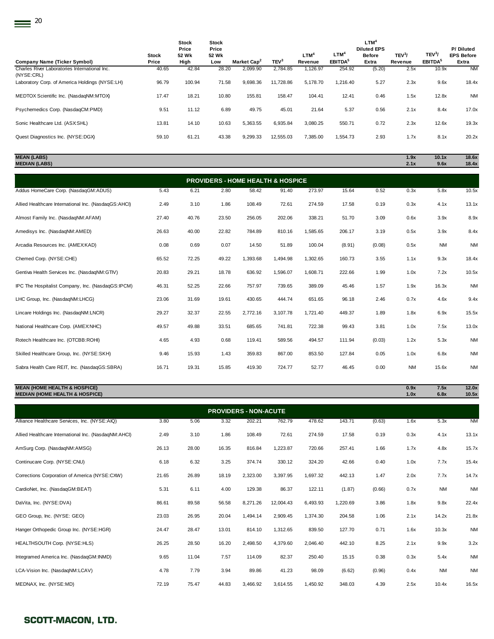| Company Name (Ticker Symbol)                                 | <b>Stock</b><br>Price | <b>Stock</b><br>Price<br>52 Wk<br>High | <b>Stock</b><br>Price<br>52 Wk<br>Low | Market Cap <sup>2</sup> | TEV <sup>3</sup> | $LTM^4$<br>Revenue | LTM <sup>4</sup><br>EBITDA <sup>5</sup> | LTM <sup>4</sup><br><b>Diluted EPS</b><br><b>Before</b><br>Extra | TEV <sup>3</sup> /<br>Revenue | TEV <sup>3</sup> /<br>EBITDA <sup>5</sup> | P/Diluted<br><b>EPS Before</b><br>Extra |
|--------------------------------------------------------------|-----------------------|----------------------------------------|---------------------------------------|-------------------------|------------------|--------------------|-----------------------------------------|------------------------------------------------------------------|-------------------------------|-------------------------------------------|-----------------------------------------|
| Charles River Laboratories International Inc.                | 40.65                 | 42.84                                  | 28.20                                 | 2,099.90                | 2,784.85         | 1,126.97           | 254.92                                  | (5.20)                                                           | 2.5x                          | 10.9x                                     | <b>NM</b>                               |
| (NYSE:CRL)<br>Laboratory Corp. of America Holdings (NYSE:LH) | 96.79                 | 100.94                                 | 71.58                                 | 9,698.36                | 11,728.86        | 5.178.70           | 1,216.40                                | 5.27                                                             | 2.3x                          | 9.6x                                      | 18.4x                                   |
| MEDTOX Scientific Inc. (NasdaqNM:MTOX)                       | 17.47                 | 18.21                                  | 10.80                                 | 155.81                  | 158.47           | 104.41             | 12.41                                   | 0.46                                                             | 1.5x                          | 12.8x                                     | <b>NM</b>                               |
| Psychemedics Corp. (NasdaqCM:PMD)                            | 9.51                  | 11.12                                  | 6.89                                  | 49.75                   | 45.01            | 21.64              | 5.37                                    | 0.56                                                             | 2.1x                          | 8.4x                                      | 17.0x                                   |
| Sonic Healthcare Ltd. (ASX:SHL)                              | 13.81                 | 14.10                                  | 10.63                                 | 5,363.55                | 6,935.84         | 3.080.25           | 550.71                                  | 0.72                                                             | 2.3x                          | 12.6x                                     | 19.3x                                   |
| Quest Diagnostics Inc. (NYSE:DGX)                            | 59.10                 | 61.21                                  | 43.38                                 | 9.299.33                | 12,555.03        | 7.385.00           | 1,554.73                                | 2.93                                                             | 1.7x                          | 8.1x                                      | 20.2x                                   |

**MEAN (LABS) 1.9x 10.1x 18.6x**

| <b>MEDIAN (LABS)</b>                                 |       |       |       |          |                                              |          |        |        | 2.1x      | 9.6x      | 18.4x     |
|------------------------------------------------------|-------|-------|-------|----------|----------------------------------------------|----------|--------|--------|-----------|-----------|-----------|
|                                                      |       |       |       |          | <b>PROVIDERS - HOME HEALTH &amp; HOSPICE</b> |          |        |        |           |           |           |
| Addus HomeCare Corp. (NasdaqGM:ADUS)                 | 5.43  | 6.21  | 2.80  | 58.42    | 91.40                                        | 273.97   | 15.64  | 0.52   | 0.3x      | 5.8x      | 10.5x     |
| Allied Healthcare International Inc. (NasdaqGS:AHCI) | 2.49  | 3.10  | 1.86  | 108.49   | 72.61                                        | 274.59   | 17.58  | 0.19   | 0.3x      | 4.1x      | 13.1x     |
| Almost Family Inc. (NasdaqNM:AFAM)                   | 27.40 | 40.76 | 23.50 | 256.05   | 202.06                                       | 338.21   | 51.70  | 3.09   | 0.6x      | 3.9x      | 8.9x      |
| Amedisys Inc. (NasdaqNM:AMED)                        | 26.63 | 40.00 | 22.82 | 784.89   | 810.16                                       | 1,585.65 | 206.17 | 3.19   | 0.5x      | 3.9x      | 8.4x      |
| Arcadia Resources Inc. (AMEX:KAD)                    | 0.08  | 0.69  | 0.07  | 14.50    | 51.89                                        | 100.04   | (8.91) | (0.08) | 0.5x      | <b>NM</b> | <b>NM</b> |
| Chemed Corp. (NYSE:CHE)                              | 65.52 | 72.25 | 49.22 | 1,393.68 | 1,494.98                                     | 1,302.65 | 160.73 | 3.55   | 1.1x      | 9.3x      | 18.4x     |
| Gentiva Health Services Inc. (NasdaqNM:GTIV)         | 20.83 | 29.21 | 18.78 | 636.92   | 1,596.07                                     | 1,608.71 | 222.66 | 1.99   | 1.0x      | 7.2x      | 10.5x     |
| IPC The Hospitalist Company, Inc. (NasdaqGS:IPCM)    | 46.31 | 52.25 | 22.66 | 757.97   | 739.65                                       | 389.09   | 45.46  | 1.57   | 1.9x      | 16.3x     | <b>NM</b> |
| LHC Group, Inc. (NasdaqNM:LHCG)                      | 23.06 | 31.69 | 19.61 | 430.65   | 444.74                                       | 651.65   | 96.18  | 2.46   | 0.7x      | 4.6x      | 9.4x      |
| Lincare Holdings Inc. (NasdaqNM:LNCR)                | 29.27 | 32.37 | 22.55 | 2,772.16 | 3.107.78                                     | 1,721.40 | 449.37 | 1.89   | 1.8x      | 6.9x      | 15.5x     |
| National Healthcare Corp. (AMEX:NHC)                 | 49.57 | 49.88 | 33.51 | 685.65   | 741.81                                       | 722.38   | 99.43  | 3.81   | 1.0x      | 7.5x      | 13.0x     |
| Rotech Healthcare Inc. (OTCBB:ROHI)                  | 4.65  | 4.93  | 0.68  | 119.41   | 589.56                                       | 494.57   | 111.94 | (0.03) | 1.2x      | 5.3x      | <b>NM</b> |
| Skilled Healthcare Group, Inc. (NYSE:SKH)            | 9.46  | 15.93 | 1.43  | 359.83   | 867.00                                       | 853.50   | 127.84 | 0.05   | 1.0x      | 6.8x      | <b>NM</b> |
| Sabra Health Care REIT, Inc. (NasdaqGS:SBRA)         | 16.71 | 19.31 | 15.85 | 419.30   | 724.77                                       | 52.77    | 46.45  | 0.00   | <b>NM</b> | 15.6x     | <b>NM</b> |
|                                                      |       |       |       |          |                                              |          |        |        |           |           |           |

**MEAN (HOME HEALTH & HOSPICE) 0.9x 7.5x 12.0x MEDIAN (HOME HEALTH & HOSPICE) 1.0x 6.8x 10.5x**

| <b>PROVIDERS - NON-ACUTE</b>                         |       |       |       |          |           |          |          |        |      |           |           |  |
|------------------------------------------------------|-------|-------|-------|----------|-----------|----------|----------|--------|------|-----------|-----------|--|
| Alliance Healthcare Services, Inc. (NYSE:AIQ)        | 3.80  | 5.06  | 3.32  | 202.21   | 762.79    | 478.62   | 143.71   | (0.63) | 1.6x | 5.3x      | <b>NM</b> |  |
| Allied Healthcare International Inc. (NasdaqNM:AHCI) | 2.49  | 3.10  | 1.86  | 108.49   | 72.61     | 274.59   | 17.58    | 0.19   | 0.3x | 4.1x      | 13.1x     |  |
| AmSurg Corp. (NasdagNM:AMSG)                         | 26.13 | 28.00 | 16.35 | 816.84   | 1,223.87  | 720.66   | 257.41   | 1.66   | 1.7x | 4.8x      | 15.7x     |  |
| Continucare Corp. (NYSE:CNU)                         | 6.18  | 6.32  | 3.25  | 374.74   | 330.12    | 324.20   | 42.66    | 0.40   | 1.0x | 7.7x      | 15.4x     |  |
| Corrections Corporation of America (NYSE:CXW)        | 21.65 | 26.89 | 18.19 | 2,323.00 | 3,397.95  | 1,697.32 | 442.13   | 1.47   | 2.0x | 7.7x      | 14.7x     |  |
| CardioNet, Inc. (NasdaqGM:BEAT)                      | 5.31  | 6.11  | 4.00  | 129.38   | 86.37     | 122.11   | (1.87)   | (0.66) | 0.7x | <b>NM</b> | <b>NM</b> |  |
| DaVita, Inc. (NYSE:DVA)                              | 86.61 | 89.58 | 56.58 | 8,271.26 | 12,004.43 | 6,493.93 | 1,220.69 | 3.86   | 1.8x | 9.8x      | 22.4x     |  |
| GEO Group, Inc. (NYSE: GEO)                          | 23.03 | 26.95 | 20.04 | 1,494.14 | 2,909.45  | 1,374.30 | 204.58   | 1.06   | 2.1x | 14.2x     | 21.8x     |  |
| Hanger Orthopedic Group Inc. (NYSE:HGR)              | 24.47 | 28.47 | 13.01 | 814.10   | 1,312.65  | 839.50   | 127.70   | 0.71   | 1.6x | 10.3x     | <b>NM</b> |  |
| HEALTHSOUTH Corp. (NYSE:HLS)                         | 26.25 | 28.50 | 16.20 | 2,498.50 | 4,379.60  | 2,046.40 | 442.10   | 8.25   | 2.1x | 9.9x      | 3.2x      |  |
| Integramed America Inc. (NasdaqGM:INMD)              | 9.65  | 11.04 | 7.57  | 114.09   | 82.37     | 250.40   | 15.15    | 0.38   | 0.3x | 5.4x      | <b>NM</b> |  |
| LCA-Vision Inc. (NasdagNM:LCAV)                      | 4.78  | 7.79  | 3.94  | 89.86    | 41.23     | 98.09    | (6.62)   | (0.96) | 0.4x | <b>NM</b> | <b>NM</b> |  |
| MEDNAX, Inc. (NYSE:MD)                               | 72.19 | 75.47 | 44.83 | 3,466.92 | 3,614.55  | 1,450.92 | 348.03   | 4.39   | 2.5x | 10.4x     | 16.5x     |  |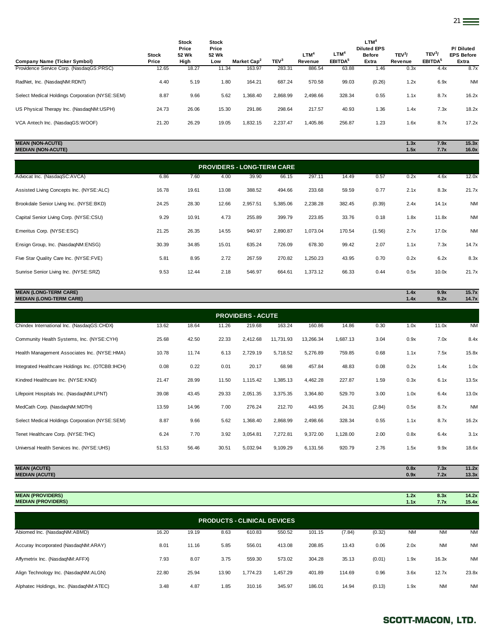| Company Name (Ticker Symbol)                   | <b>Stock</b><br>Price | <b>Stock</b><br>Price<br>52 Wk<br>High | <b>Stock</b><br>Price<br>52 Wk<br>Low | Market Cap <sup>2</sup> | TEV <sup>3</sup> | LTM <sup>4</sup><br>Revenue | $LTM^4$<br>EBITDA <sup>5</sup> | $LTM^4$<br><b>Diluted EPS</b><br><b>Before</b><br>Extra | TEV <sup>3</sup> /<br>Revenue | TEV <sup>3</sup> /<br>EBITDA <sup>5</sup> | P/Diluted<br><b>EPS Before</b><br>Extra |
|------------------------------------------------|-----------------------|----------------------------------------|---------------------------------------|-------------------------|------------------|-----------------------------|--------------------------------|---------------------------------------------------------|-------------------------------|-------------------------------------------|-----------------------------------------|
| Providence Service Corp. (NasdaqGS:PRSC)       | 12.65                 | 18.27                                  | 11.34                                 | 163.97                  | 283.31           | 886.54                      | 63.88                          | 1.46                                                    | 0.3x                          | 4.4x                                      | 8.7x                                    |
| RadNet, Inc. (NasdaqNM:RDNT)                   | 4.40                  | 5.19                                   | 1.80                                  | 164.21                  | 687.24           | 570.58                      | 99.03                          | (0.26)                                                  | 1.2x                          | 6.9x                                      | <b>NM</b>                               |
| Select Medical Holdings Corporation (NYSE:SEM) | 8.87                  | 9.66                                   | 5.62                                  | 1.368.40                | 2.868.99         | 2.498.66                    | 328.34                         | 0.55                                                    | 1.1x                          | 8.7x                                      | 16.2x                                   |
| US Physical Therapy Inc. (NasdaqNM:USPH)       | 24.73                 | 26.06                                  | 15.30                                 | 291.86                  | 298.64           | 217.57                      | 40.93                          | 1.36                                                    | 1.4x                          | 7.3x                                      | 18.2x                                   |
| VCA Antech Inc. (NasdaqGS:WOOF)                | 21.20                 | 26.29                                  | 19.05                                 | 1,832.15                | 2,237.47         | 1,405.86                    | 256.87                         | 1.23                                                    | 1.6x                          | 8.7x                                      | 17.2x                                   |
|                                                |                       |                                        |                                       |                         |                  |                             |                                |                                                         |                               |                                           |                                         |

### **MEAN (NON-ACUTE) 1.3x 7.9x 15.3x MEDIAN (NON-ACUTE) 1.5x 7.7x 16.0x**

| <b>PROVIDERS - LONG-TERM CARE</b>        |       |       |       |          |          |          |        |        |      |       |           |
|------------------------------------------|-------|-------|-------|----------|----------|----------|--------|--------|------|-------|-----------|
| Advocat Inc. (NasdaqSC:AVCA)             | 6.86  | 7.60  | 4.00  | 39.90    | 66.15    | 297.11   | 14.49  | 0.57   | 0.2x | 4.6x  | 12.0x     |
| Assisted Living Concepts Inc. (NYSE:ALC) | 16.78 | 19.61 | 13.08 | 388.52   | 494.66   | 233.68   | 59.59  | 0.77   | 2.1x | 8.3x  | 21.7x     |
| Brookdale Senior Living Inc. (NYSE:BKD)  | 24.25 | 28.30 | 12.66 | 2,957.51 | 5,385.06 | 2,238.28 | 382.45 | (0.39) | 2.4x | 14.1x | <b>NM</b> |
| Capital Senior Living Corp. (NYSE:CSU)   | 9.29  | 10.91 | 4.73  | 255.89   | 399.79   | 223.85   | 33.76  | 0.18   | 1.8x | 11.8x | <b>NM</b> |
| Emeritus Corp. (NYSE:ESC)                | 21.25 | 26.35 | 14.55 | 940.97   | 2,890.87 | 1,073.04 | 170.54 | (1.56) | 2.7x | 17.0x | <b>NM</b> |
| Ensign Group, Inc. (NasdagNM:ENSG)       | 30.39 | 34.85 | 15.01 | 635.24   | 726.09   | 678.30   | 99.42  | 2.07   | 1.1x | 7.3x  | 14.7x     |
| Five Star Quality Care Inc. (NYSE:FVE)   | 5.81  | 8.95  | 2.72  | 267.59   | 270.82   | 1,250.23 | 43.95  | 0.70   | 0.2x | 6.2x  | 8.3x      |
| Sunrise Senior Living Inc. (NYSE:SRZ)    | 9.53  | 12.44 | 2.18  | 546.97   | 664.61   | 1,373.12 | 66.33  | 0.44   | 0.5x | 10.0x | 21.7x     |
|                                          |       |       |       |          |          |          |        |        |      |       |           |

| <b>MEAN (LONG-TERM CARE)</b><br><b>MEDIAN (LONG-TERM CARE)</b> |       |       |       |                          |           |           |          |        | 1.4x<br>1.4x | 9.9x<br>9.2x | 15.7x<br>14.7x |
|----------------------------------------------------------------|-------|-------|-------|--------------------------|-----------|-----------|----------|--------|--------------|--------------|----------------|
|                                                                |       |       |       | <b>PROVIDERS - ACUTE</b> |           |           |          |        |              |              |                |
| Chindex International Inc. (NasdaqGS:CHDX)                     | 13.62 | 18.64 | 11.26 | 219.68                   | 163.24    | 160.86    | 14.86    | 0.30   | 1.0x         | 11.0x        | <b>NM</b>      |
| Community Health Systems, Inc. (NYSE:CYH)                      | 25.68 | 42.50 | 22.33 | 2,412.68                 | 11,731.93 | 13,266.34 | 1,687.13 | 3.04   | 0.9x         | 7.0x         | 8.4x           |
| Health Management Associates Inc. (NYSE:HMA)                   | 10.78 | 11.74 | 6.13  | 2,729.19                 | 5,718.52  | 5,276.89  | 759.85   | 0.68   | 1.1x         | 7.5x         | 15.8x          |
| Integrated Healthcare Holdings Inc. (OTCBB:IHCH)               | 0.08  | 0.22  | 0.01  | 20.17                    | 68.98     | 457.84    | 48.83    | 0.08   | 0.2x         | 1.4x         | 1.0x           |
| Kindred Healthcare Inc. (NYSE:KND)                             | 21.47 | 28.99 | 11.50 | 1,115.42                 | 1,385.13  | 4,462.28  | 227.87   | 1.59   | 0.3x         | 6.1x         | 13.5x          |
| Lifepoint Hospitals Inc. (NasdaqNM:LPNT)                       | 39.08 | 43.45 | 29.33 | 2,051.35                 | 3,375.35  | 3,364.80  | 529.70   | 3.00   | 1.0x         | 6.4x         | 13.0x          |
| MedCath Corp. (NasdaqNM:MDTH)                                  | 13.59 | 14.96 | 7.00  | 276.24                   | 212.70    | 443.95    | 24.31    | (2.84) | 0.5x         | 8.7x         | <b>NM</b>      |
| Select Medical Holdings Corporation (NYSE:SEM)                 | 8.87  | 9.66  | 5.62  | 1,368.40                 | 2,868.99  | 2,498.66  | 328.34   | 0.55   | 1.1x         | 8.7x         | 16.2x          |
| Tenet Healthcare Corp. (NYSE:THC)                              | 6.24  | 7.70  | 3.92  | 3,054.81                 | 7,272.81  | 9,372.00  | 1,128.00 | 2.00   | 0.8x         | 6.4x         | 3.1x           |
| Universal Health Services Inc. (NYSE:UHS)                      | 51.53 | 56.46 | 30.51 | 5,032.94                 | 9,109.29  | 6,131.56  | 920.79   | 2.76   | 1.5x         | 9.9x         | 18.6x          |

| <b>MEAN (ACUTE)</b>  | 0.8x | 7.3x                | <b>THE ALL</b><br>11.2A |
|----------------------|------|---------------------|-------------------------|
| <b>MEDIAN (ACUT)</b> | 0.9x | 7.2<br>$\mathbf{L}$ | <b>SALA</b><br>13.3X    |
|                      |      |                     |                         |

**MEAN (PROVIDERS) 1.2x 8.3x 14.2x MEDIAN (PROVIDERS) 1.1x 7.7x 15.4x**

| <b>PRODUCTS - CLINICAL DEVICES</b>      |       |       |       |          |          |        |        |        |           |           |           |  |
|-----------------------------------------|-------|-------|-------|----------|----------|--------|--------|--------|-----------|-----------|-----------|--|
| Abiomed Inc. (NasdaqNM:ABMD)            | 16.20 | 19.19 | 8.63  | 610.83   | 550.52   | 101.15 | (7.84) | (0.32) | <b>NM</b> | <b>NM</b> | <b>NM</b> |  |
| Accuray Incorporated (NasdaqNM:ARAY)    | 8.01  | 11.16 | 5.85  | 556.01   | 413.08   | 208.85 | 13.43  | 0.06   | 2.0x      | <b>NM</b> | <b>NM</b> |  |
| Affymetrix Inc. (NasdaqNM:AFFX)         | 7.93  | 8.07  | 3.75  | 559.30   | 573.02   | 304.28 | 35.13  | (0.01) | 1.9x      | 16.3x     | <b>NM</b> |  |
| Align Technology Inc. (NasdaqNM:ALGN)   | 22.80 | 25.94 | 13.90 | 1.774.23 | 1.457.29 | 401.89 | 114.69 | 0.96   | 3.6x      | 12.7x     | 23.8x     |  |
| Alphatec Holdings, Inc. (NasdaqNM:ATEC) | 3.48  | 4.87  | 1.85  | 310.16   | 345.97   | 186.01 | 14.94  | (0.13) | 1.9x      | <b>NM</b> | <b>NM</b> |  |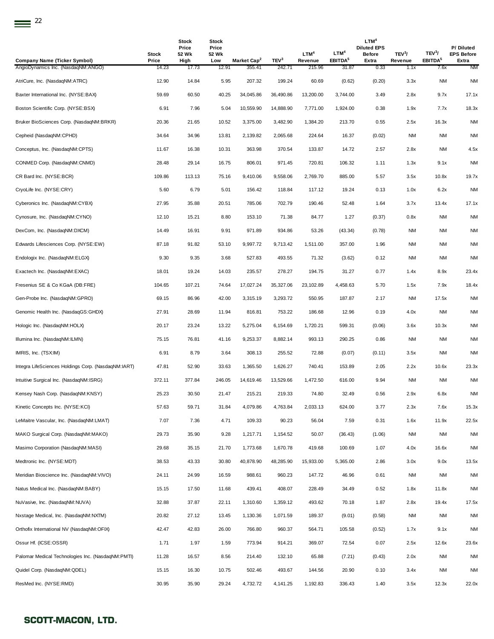| <b>Company Name (Ticker Symbol)</b>                 | Stock<br>Price | Stock<br>Price<br>52 Wk<br>High | Stock<br>Price<br>52 Wk<br>Low | Market Cap <sup>2</sup> | TEV <sup>3</sup> | LTM <sup>4</sup><br>Revenue | LTM <sup>4</sup><br>EBITDA <sup>5</sup> | LTM <sup>4</sup><br><b>Diluted EPS</b><br><b>Before</b><br>Extra | TEV <sup>3</sup> /<br>Revenue | TEV <sup>3</sup> /<br>EBITDA <sup>5</sup> | P/Diluted<br><b>EPS Before</b><br>Extra |
|-----------------------------------------------------|----------------|---------------------------------|--------------------------------|-------------------------|------------------|-----------------------------|-----------------------------------------|------------------------------------------------------------------|-------------------------------|-------------------------------------------|-----------------------------------------|
| AngioDynamics Inc. (NasdaqNM:ANGO)                  | 14.23          | 17.73                           | 12.91                          | 355.41                  | 242.71           | 215.96                      | 31.87                                   | 0.33                                                             | 1.1x                          | 7.6x                                      | <b>NM</b>                               |
| AtriCure, Inc. (NasdaqNM:ATRC)                      | 12.90          | 14.84                           | 5.95                           | 207.32                  | 199.24           | 60.69                       | (0.62)                                  | (0.20)                                                           | 3.3x                          | <b>NM</b>                                 | <b>NM</b>                               |
| Baxter International Inc. (NYSE:BAX)                | 59.69          | 60.50                           | 40.25                          | 34,045.86               | 36,490.86        | 13,200.00                   | 3,744.00                                | 3.49                                                             | 2.8x                          | 9.7x                                      | 17.1x                                   |
| Boston Scientific Corp. (NYSE:BSX)                  | 6.91           | 7.96                            | 5.04                           | 10,559.90               | 14,888.90        | 7,771.00                    | 1,924.00                                | 0.38                                                             | 1.9x                          | 7.7x                                      | 18.3x                                   |
| Bruker BioSciences Corp. (NasdaqNM:BRKR)            | 20.36          | 21.65                           | 10.52                          | 3,375.00                | 3,482.90         | 1,384.20                    | 213.70                                  | 0.55                                                             | 2.5x                          | 16.3x                                     | <b>NM</b>                               |
| Cepheid (NasdaqNM:CPHD)                             | 34.64          | 34.96                           | 13.81                          | 2,139.82                | 2,065.68         | 224.64                      | 16.37                                   | (0.02)                                                           | <b>NM</b>                     | <b>NM</b>                                 | <b>NM</b>                               |
| Conceptus, Inc. (NasdaqNM:CPTS)                     | 11.67          | 16.38                           | 10.31                          | 363.98                  | 370.54           | 133.87                      | 14.72                                   | 2.57                                                             | 2.8x                          | ΝM                                        | 4.5x                                    |
| CONMED Corp. (NasdaqNM:CNMD)                        | 28.48          | 29.14                           | 16.75                          | 806.01                  | 971.45           | 720.81                      | 106.32                                  | 1.11                                                             | 1.3x                          | 9.1x                                      | NM                                      |
| CR Bard Inc. (NYSE:BCR)                             | 109.86         | 113.13                          | 75.16                          | 9,410.06                | 9,558.06         | 2,769.70                    | 885.00                                  | 5.57                                                             | 3.5x                          | 10.8x                                     | 19.7x                                   |
| CryoLife Inc. (NYSE:CRY)                            | 5.60           | 6.79                            | 5.01                           | 156.42                  | 118.84           | 117.12                      | 19.24                                   | 0.13                                                             | 1.0x                          | 6.2x                                      | <b>NM</b>                               |
| Cyberonics Inc. (NasdaqNM:CYBX)                     | 27.95          | 35.88                           | 20.51                          | 785.06                  | 702.79           | 190.46                      | 52.48                                   | 1.64                                                             | 3.7x                          | 13.4x                                     | 17.1x                                   |
| Cynosure, Inc. (NasdaqNM:CYNO)                      | 12.10          | 15.21                           | 8.80                           | 153.10                  | 71.38            | 84.77                       | 1.27                                    | (0.37)                                                           | 0.8x                          | ΝM                                        | <b>NM</b>                               |
| DexCom, Inc. (NasdaqNM:DXCM)                        | 14.49          | 16.91                           | 9.91                           | 971.89                  | 934.86           | 53.26                       | (43.34)                                 | (0.78)                                                           | <b>NM</b>                     | ΝM                                        | NM                                      |
| Edwards Lifesciences Corp. (NYSE:EW)                | 87.18          | 91.82                           | 53.10                          | 9,997.72                | 9,713.42         | 1,511.00                    | 357.00                                  | 1.96                                                             | <b>NM</b>                     | NM                                        | <b>NM</b>                               |
| Endologix Inc. (NasdagNM:ELGX)                      | 9.30           | 9.35                            | 3.68                           | 527.83                  | 493.55           | 71.32                       | (3.62)                                  | 0.12                                                             | <b>NM</b>                     | NM                                        | <b>NM</b>                               |
| Exactech Inc. (NasdaqNM:EXAC)                       | 18.01          | 19.24                           | 14.03                          | 235.57                  | 278.27           | 194.75                      | 31.27                                   | 0.77                                                             | 1.4x                          | 8.9x                                      | 23.4x                                   |
| Fresenius SE & Co KGaA (DB:FRE)                     | 104.65         | 107.21                          | 74.64                          | 17,027.24               | 35,327.06        | 23,102.89                   | 4,458.63                                | 5.70                                                             | 1.5x                          | 7.9x                                      | 18.4x                                   |
| Gen-Probe Inc. (NasdaqNM:GPRO)                      | 69.15          | 86.96                           | 42.00                          | 3,315.19                | 3,293.72         | 550.95                      | 187.87                                  | 2.17                                                             | NM                            | 17.5x                                     | <b>NM</b>                               |
| Genomic Health Inc. (NasdaqGS:GHDX)                 | 27.91          | 28.69                           | 11.94                          | 816.81                  | 753.22           | 186.68                      | 12.96                                   | 0.19                                                             | 4.0x                          | <b>NM</b>                                 | <b>NM</b>                               |
| Hologic Inc. (NasdaqNM:HOLX)                        | 20.17          | 23.24                           | 13.22                          | 5,275.04                | 6,154.69         | 1,720.21                    | 599.31                                  | (0.06)                                                           | 3.6x                          | 10.3x                                     | <b>NM</b>                               |
| Illumina Inc. (NasdaqNM:ILMN)                       | 75.15          | 76.81                           | 41.16                          | 9,253.37                | 8,882.14         | 993.13                      | 290.25                                  | 0.86                                                             | <b>NM</b>                     | <b>NM</b>                                 | <b>NM</b>                               |
| IMRIS, Inc. (TSX:IM)                                | 6.91           | 8.79                            | 3.64                           | 308.13                  | 255.52           | 72.88                       | (0.07)                                  | (0.11)                                                           | 3.5x                          | ΝM                                        | <b>NM</b>                               |
| Integra LifeSciences Holdings Corp. (NasdaqNM:IART) | 47.81          | 52.90                           | 33.63                          | 1,365.50                | 1,626.27         | 740.41                      | 153.89                                  | 2.05                                                             | 2.2x                          | 10.6x                                     | 23.3x                                   |
| Intuitive Surgical Inc. (NasdaqNM:ISRG)             | 372.11         | 377.84                          | 246.05                         | 14,619.46               | 13,529.66        | 1,472.50                    | 616.00                                  | 9.94                                                             | <b>NM</b>                     | <b>NM</b>                                 | <b>NM</b>                               |
| Kensey Nash Corp. (NasdaqNM:KNSY)                   | 25.23          | 30.50                           | 21.47                          | 215.21                  | 219.33           | 74.80                       | 32.49                                   | 0.56                                                             | 2.9x                          | 6.8x                                      | <b>NM</b>                               |
| Kinetic Concepts Inc. (NYSE:KCI)                    | 57.63          | 59.71                           | 31.84                          | 4,079.86                | 4,763.84         | 2,033.13                    | 624.00                                  | 3.77                                                             | 2.3x                          | 7.6x                                      | 15.3x                                   |
| LeMaitre Vascular, Inc. (NasdaqNM:LMAT)             | 7.07           | 7.36                            | 4.71                           | 109.33                  | 90.23            | 56.04                       | 7.59                                    | 0.31                                                             | 1.6x                          | 11.9x                                     | 22.5x                                   |
| MAKO Surgical Corp. (NasdaqNM:MAKO)                 | 29.73          | 35.90                           | 9.28                           | 1,217.71                | 1,154.52         | 50.07                       | (36.43)                                 | (1.06)                                                           | <b>NM</b>                     | <b>NM</b>                                 | <b>NM</b>                               |
| Masimo Corporation (NasdaqNM:MASI)                  | 29.68          | 35.15                           | 21.70                          | 1,773.68                | 1,670.78         | 419.68                      | 100.69                                  | 1.07                                                             | 4.0x                          | 16.6x                                     | <b>NM</b>                               |
| Medtronic Inc. (NYSE:MDT)                           | 38.53          | 43.33                           | 30.80                          | 40,878.90               | 48,285.90        | 15,933.00                   | 5,365.00                                | 2.86                                                             | 3.0x                          | 9.0x                                      | 13.5x                                   |
| Meridian Bioscience Inc. (NasdaqNM:VIVO)            | 24.11          | 24.99                           | 16.59                          | 988.61                  | 960.23           | 147.72                      | 46.96                                   | 0.61                                                             | NM                            | NM                                        | <b>NM</b>                               |
| Natus Medical Inc. (NasdaqNM:BABY)                  | 15.15          | 17.50                           | 11.68                          | 439.41                  | 408.07           | 228.49                      | 34.49                                   | 0.52                                                             | 1.8x                          | 11.8x                                     | <b>NM</b>                               |
| NuVasive, Inc. (NasdaqNM:NUVA)                      | 32.88          | 37.87                           | 22.11                          | 1,310.60                | 1,359.12         | 493.62                      | 70.18                                   | 1.87                                                             | 2.8x                          | 19.4x                                     | 17.5x                                   |
| Nxstage Medical, Inc. (NasdaqNM:NXTM)               | 20.82          | 27.12                           | 13.45                          | 1,130.36                | 1,071.59         | 189.37                      | (9.01)                                  | (0.58)                                                           | <b>NM</b>                     | <b>NM</b>                                 | <b>NM</b>                               |
| Orthofix International NV (NasdaqNM:OFIX)           | 42.47          | 42.83                           | 26.00                          | 766.80                  | 960.37           | 564.71                      | 105.58                                  | (0.52)                                                           | 1.7x                          | 9.1x                                      | <b>NM</b>                               |
| Ossur Hf. (ICSE:OSSR)                               | 1.71           | 1.97                            | 1.59                           | 773.94                  | 914.21           | 369.07                      | 72.54                                   | 0.07                                                             | 2.5x                          | 12.6x                                     | 23.6x                                   |
| Palomar Medical Technologies Inc. (NasdaqNM:PMTI)   | 11.28          | 16.57                           | 8.56                           | 214.40                  | 132.10           | 65.88                       | (7.21)                                  | (0.43)                                                           | 2.0x                          | NM                                        | <b>NM</b>                               |
| Quidel Corp. (NasdaqNM:QDEL)                        | 15.15          | 16.30                           | 10.75                          | 502.46                  | 493.67           | 144.56                      | 20.90                                   | 0.10                                                             | 3.4x                          | <b>NM</b>                                 | <b>NM</b>                               |
| ResMed Inc. (NYSE:RMD)                              | 30.95          | 35.90                           | 29.24                          | 4,732.72                | 4,141.25         | 1,192.83                    | 336.43                                  | 1.40                                                             | 3.5x                          | 12.3x                                     | 22.0x                                   |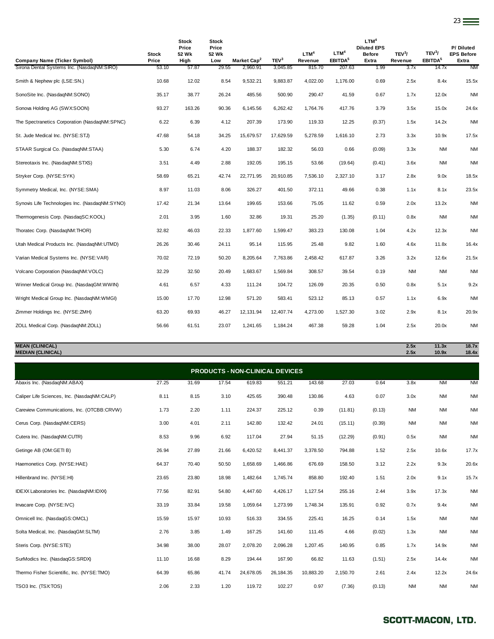| Company Name (Ticker Symbol)                   | Stock<br>Price | <b>Stock</b><br>Price<br>52 Wk<br>High | Stock<br>Price<br>52 Wk<br>Low | Market Cap <sup>2</sup> | TEV <sup>3</sup> | LTM <sup>4</sup><br>Revenue | LTM <sup>4</sup><br>EBITDA <sup>5</sup> | LTM <sup>4</sup><br><b>Diluted EPS</b><br><b>Before</b><br>Extra | TEV <sup>3</sup> /<br>Revenue | TEV <sup>3</sup> /<br>EBITDA <sup>5</sup> | P/Diluted<br><b>EPS Before</b><br>Extra |
|------------------------------------------------|----------------|----------------------------------------|--------------------------------|-------------------------|------------------|-----------------------------|-----------------------------------------|------------------------------------------------------------------|-------------------------------|-------------------------------------------|-----------------------------------------|
| Sirona Dental Systems Inc. (NasdaqNM:SIRO)     | 53.10          | 57.87                                  | 29.55                          | 2,960.91                | 3,045.85         | 815.70                      | 207.63                                  | 1.99                                                             | 3.7x                          | 14.7x                                     | <b>NM</b>                               |
| Smith & Nephew plc (LSE:SN.)                   | 10.68          | 12.02                                  | 8.54                           | 9,532.21                | 9,883.87         | 4,022.00                    | 1,176.00                                | 0.69                                                             | 2.5x                          | 8.4x                                      | 15.5x                                   |
| SonoSite Inc. (NasdaqNM:SONO)                  | 35.17          | 38.77                                  | 26.24                          | 485.56                  | 500.90           | 290.47                      | 41.59                                   | 0.67                                                             | 1.7x                          | 12.0x                                     | <b>NM</b>                               |
| Sonova Holding AG (SWX:SOON)                   | 93.27          | 163.26                                 | 90.36                          | 6,145.56                | 6,262.42         | 1,764.76                    | 417.76                                  | 3.79                                                             | 3.5x                          | 15.0x                                     | 24.6x                                   |
| The Spectranetics Corporation (NasdaqNM:SPNC)  | 6.22           | 6.39                                   | 4.12                           | 207.39                  | 173.90           | 119.33                      | 12.25                                   | (0.37)                                                           | 1.5x                          | 14.2x                                     | <b>NM</b>                               |
| St. Jude Medical Inc. (NYSE:STJ)               | 47.68          | 54.18                                  | 34.25                          | 15,679.57               | 17,629.59        | 5,278.59                    | 1,616.10                                | 2.73                                                             | 3.3x                          | 10.9x                                     | 17.5x                                   |
| STAAR Surgical Co. (NasdagNM:STAA)             | 5.30           | 6.74                                   | 4.20                           | 188.37                  | 182.32           | 56.03                       | 0.66                                    | (0.09)                                                           | 3.3x                          | <b>NM</b>                                 | <b>NM</b>                               |
| Stereotaxis Inc. (NasdaqNM:STXS)               | 3.51           | 4.49                                   | 2.88                           | 192.05                  | 195.15           | 53.66                       | (19.64)                                 | (0.41)                                                           | 3.6x                          | <b>NM</b>                                 | <b>NM</b>                               |
| Stryker Corp. (NYSE:SYK)                       | 58.69          | 65.21                                  | 42.74                          | 22,771.95               | 20,910.85        | 7,536.10                    | 2,327.10                                | 3.17                                                             | 2.8x                          | 9.0x                                      | 18.5x                                   |
| Symmetry Medical, Inc. (NYSE:SMA)              | 8.97           | 11.03                                  | 8.06                           | 326.27                  | 401.50           | 372.11                      | 49.66                                   | 0.38                                                             | 1.1x                          | 8.1x                                      | 23.5x                                   |
| Synovis Life Technologies Inc. (NasdaqNM:SYNO) | 17.42          | 21.34                                  | 13.64                          | 199.65                  | 153.66           | 75.05                       | 11.62                                   | 0.59                                                             | 2.0x                          | 13.2x                                     | <b>NM</b>                               |
| Thermogenesis Corp. (NasdaqSC:KOOL)            | 2.01           | 3.95                                   | 1.60                           | 32.86                   | 19.31            | 25.20                       | (1.35)                                  | (0.11)                                                           | 0.8x                          | <b>NM</b>                                 | <b>NM</b>                               |
| Thoratec Corp. (NasdaqNM:THOR)                 | 32.82          | 46.03                                  | 22.33                          | 1,877.60                | 1,599.47         | 383.23                      | 130.08                                  | 1.04                                                             | 4.2x                          | 12.3x                                     | <b>NM</b>                               |
| Utah Medical Products Inc. (NasdaqNM:UTMD)     | 26.26          | 30.46                                  | 24.11                          | 95.14                   | 115.95           | 25.48                       | 9.82                                    | 1.60                                                             | 4.6x                          | 11.8x                                     | 16.4x                                   |
| Varian Medical Systems Inc. (NYSE:VAR)         | 70.02          | 72.19                                  | 50.20                          | 8,205.64                | 7,763.86         | 2,458.42                    | 617.87                                  | 3.26                                                             | 3.2x                          | 12.6x                                     | 21.5x                                   |
| Volcano Corporation (NasdaqNM:VOLC)            | 32.29          | 32.50                                  | 20.49                          | 1,683.67                | 1,569.84         | 308.57                      | 39.54                                   | 0.19                                                             | <b>NM</b>                     | <b>NM</b>                                 | <b>NM</b>                               |
| Winner Medical Group Inc. (NasdaqGM:WWIN)      | 4.61           | 6.57                                   | 4.33                           | 111.24                  | 104.72           | 126.09                      | 20.35                                   | 0.50                                                             | 0.8x                          | 5.1x                                      | 9.2x                                    |
| Wright Medical Group Inc. (NasdagNM:WMGI)      | 15.00          | 17.70                                  | 12.98                          | 571.20                  | 583.41           | 523.12                      | 85.13                                   | 0.57                                                             | 1.1x                          | 6.9x                                      | <b>NM</b>                               |
| Zimmer Holdings Inc. (NYSE:ZMH)                | 63.20          | 69.93                                  | 46.27                          | 12,131.94               | 12,407.74        | 4,273.00                    | 1,527.30                                | 3.02                                                             | 2.9x                          | 8.1x                                      | 20.9x                                   |
| ZOLL Medical Corp. (NasdaqNM:ZOLL)             | 56.66          | 61.51                                  | 23.07                          | 1,241.65                | 1,184.24         | 467.38                      | 59.28                                   | 1.04                                                             | 2.5x                          | 20.0x                                     | <b>NM</b>                               |

23

**MEAN (CLINICAL) 2.5x 11.3x 18.7x MEDIAN (CLINICAL) 2.5x 10.9x 18.4x**

| <b>PRODUCTS - NON-CLINICAL DEVICES</b>      |       |       |       |           |             |           |          |        |           |           |           |  |
|---------------------------------------------|-------|-------|-------|-----------|-------------|-----------|----------|--------|-----------|-----------|-----------|--|
| Abaxis Inc. (NasdaqNM:ABAX)                 | 27.25 | 31.69 | 17.54 | 619.83    | 551.21      | 143.68    | 27.03    | 0.64   | 3.8x      | <b>NM</b> | <b>NM</b> |  |
| Caliper Life Sciences, Inc. (NasdaqNM:CALP) | 8.11  | 8.15  | 3.10  | 425.65    | 390.48      | 130.86    | 4.63     | 0.07   | 3.0x      | <b>NM</b> | <b>NM</b> |  |
| Careview Communications, Inc. (OTCBB:CRVW)  | 1.73  | 2.20  | 1.11  | 224.37    | 225.12      | 0.39      | (11.81)  | (0.13) | <b>NM</b> | <b>NM</b> | <b>NM</b> |  |
| Cerus Corp. (NasdaqNM:CERS)                 | 3.00  | 4.01  | 2.11  | 142.80    | 132.42      | 24.01     | (15.11)  | (0.39) | <b>NM</b> | <b>NM</b> | <b>NM</b> |  |
| Cutera Inc. (NasdaqNM:CUTR)                 | 8.53  | 9.96  | 6.92  | 117.04    | 27.94       | 51.15     | (12.29)  | (0.91) | 0.5x      | <b>NM</b> | <b>NM</b> |  |
| Getinge AB (OM:GETI B)                      | 26.94 | 27.89 | 21.66 | 6,420.52  | 8,441.37    | 3,378.50  | 794.88   | 1.52   | 2.5x      | 10.6x     | 17.7x     |  |
| Haemonetics Corp. (NYSE:HAE)                | 64.37 | 70.40 | 50.50 | 1,658.69  | 1,466.86    | 676.69    | 158.50   | 3.12   | 2.2x      | 9.3x      | 20.6x     |  |
| Hillenbrand Inc. (NYSE:HI)                  | 23.65 | 23.80 | 18.98 | 1,482.64  | 1,745.74    | 858.80    | 192.40   | 1.51   | 2.0x      | 9.1x      | 15.7x     |  |
| IDEXX Laboratories Inc. (NasdaqNM:IDXX)     | 77.56 | 82.91 | 54.80 | 4,447.60  | 4,426.17    | 1,127.54  | 255.16   | 2.44   | 3.9x      | 17.3x     | <b>NM</b> |  |
| Invacare Corp. (NYSE:IVC)                   | 33.19 | 33.84 | 19.58 | 1,059.64  | 1,273.99    | 1,748.34  | 135.91   | 0.92   | 0.7x      | 9.4x      | <b>NM</b> |  |
| Omnicell Inc. (NasdaqGS:OMCL)               | 15.59 | 15.97 | 10.93 | 516.33    | 334.55      | 225.41    | 16.25    | 0.14   | 1.5x      | <b>NM</b> | <b>NM</b> |  |
| Solta Medical, Inc. (NasdaqGM:SLTM)         | 2.76  | 3.85  | 1.49  | 167.25    | 141.60      | 111.45    | 4.66     | (0.02) | 1.3x      | <b>NM</b> | <b>NM</b> |  |
| Steris Corp. (NYSE:STE)                     | 34.98 | 38.00 | 28.07 | 2,078.20  | 2,096.28    | 1,207.45  | 140.95   | 0.85   | 1.7x      | 14.9x     | <b>NM</b> |  |
| SurModics Inc. (NasdaqGS:SRDX)              | 11.10 | 16.68 | 8.29  | 194.44    | 167.90      | 66.82     | 11.63    | (1.51) | 2.5x      | 14.4x     | <b>NM</b> |  |
| Thermo Fisher Scientific, Inc. (NYSE:TMO)   | 64.39 | 65.86 | 41.74 | 24,678.05 | 26, 184. 35 | 10,883.20 | 2,150.70 | 2.61   | 2.4x      | 12.2x     | 24.6x     |  |
| TSO3 Inc. (TSX:TOS)                         | 2.06  | 2.33  | 1.20  | 119.72    | 102.27      | 0.97      | (7.36)   | (0.13) | <b>NM</b> | <b>NM</b> | <b>NM</b> |  |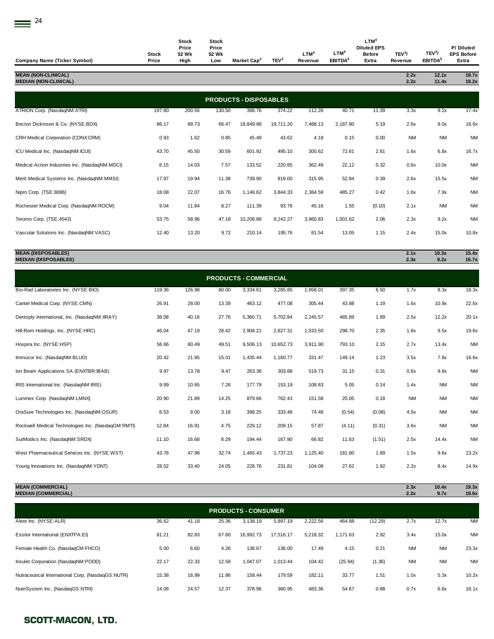| <b>Company Name (Ticker Symbol)</b>                        | Stock<br>Price | Stock<br>Price<br>52 Wk<br>High | Stock<br>Price<br>52 Wk<br>Low | Market Cap <sup>2</sup>                 | TEV <sup>3</sup> | LTM <sup>4</sup><br>Revenue | LTM <sup>4</sup><br>EBITDA <sup>5</sup> | LTM <sup>4</sup><br><b>Diluted EPS</b><br><b>Before</b><br>Extra | TEV <sup>3</sup> /<br>Revenue | TEV <sup>3</sup> /<br>EBITDA <sup>5</sup> | P/Diluted<br><b>EPS Before</b><br>Extra |
|------------------------------------------------------------|----------------|---------------------------------|--------------------------------|-----------------------------------------|------------------|-----------------------------|-----------------------------------------|------------------------------------------------------------------|-------------------------------|-------------------------------------------|-----------------------------------------|
| <b>MEAN (NON-CLINICAL)</b><br><b>MEDIAN (NON-CLINICAL)</b> |                |                                 |                                |                                         |                  |                             |                                         |                                                                  | 2.2x<br>2.2x                  | 12.1x<br>11.4x                            | 19.7x<br>19.2x                          |
|                                                            |                |                                 |                                |                                         |                  |                             |                                         |                                                                  |                               |                                           |                                         |
| ATRION Corp. (NasdaqNM:ATRI)                               | 197.80         | 200.56                          | 130.50                         | <b>PRODUCTS - DISPOSABLES</b><br>398.76 | 374.22           | 112.26                      | 40.71                                   | 11.39                                                            | 3.3x                          | 9.2x                                      | 17.4x                                   |
| Becton Dickinson & Co. (NYSE:BDX)                          | 86.17          | 89.73                           | 66.47                          | 18,849.86                               | 19,711.20        | 7,468.13                    | 2,187.90                                | 5.19                                                             | 2.6x                          | 9.0x                                      | 16.6x                                   |
| CRH Medical Corporation (CDNX:CRM)                         | 0.93           | 1.62                            | 0.85                           | 45.49                                   | 43.62            | 4.18                        | 0.15                                    | 0.00                                                             | <b>NM</b>                     | <b>NM</b>                                 | <b>NM</b>                               |
| ICU Medical Inc. (NasdaqNM:ICUI)                           | 43.70          | 45.50                           | 30.59                          | 601.92                                  | 495.10           | 300.62                      | 72.61                                   | 2.61                                                             | 1.6x                          | 6.8x                                      | 16.7x                                   |
| Medical Action Industries Inc. (NasdaqNM:MDCI)             | 8.15           | 14.03                           | 7.57                           | 133.52                                  | 220.85           | 362.49                      | 22.12                                   | 0.32                                                             | 0.6x                          | 10.0x                                     | <b>NM</b>                               |
| Merit Medical Systems Inc. (NasdaqNM:MMSI)                 | 17.97          | 19.94                           | 11.38                          | 739.90                                  | 819.00           | 315.95                      | 52.84                                   | 0.39                                                             | 2.6x                          | 15.5x                                     | <b>NM</b>                               |
| Nipro Corp. (TSE:8086)                                     | 18.08          | 22.07                           | 16.76                          | 1,146.62                                | 3,844.33         | 2,364.59                    | 485.27                                  | 0.42                                                             | 1.6x                          | 7.9x                                      | <b>NM</b>                               |
| Rochester Medical Corp. (NasdaqNM:ROCM)                    | 9.04           | 11.84                           | 8.27                           | 111.39                                  | 93.76            | 45.16                       | 1.55                                    | (0.10)                                                           | 2.1x                          | NM                                        | <b>NM</b>                               |
| Terumo Corp. (TSE:4543)                                    | 53.75          | 58.96                           | 47.18                          | 10,206.88                               | 9,242.27         | 3,960.83                    | 1,001.62                                | 2.06                                                             | 2.3x                          | 9.2x                                      | <b>NM</b>                               |
| Vascular Solutions Inc. (NasdaqNM:VASC)                    | 12.40          | 13.20                           | 9.72                           | 210.14                                  | 195.76           | 81.54                       | 13.05                                   | 1.15                                                             | 2.4x                          | 15.0x                                     | 10.8x                                   |
| <b>MEAN (DISPOSABLES)</b><br><b>MEDIAN (DISPOSABLES)</b>   |                |                                 |                                |                                         |                  |                             |                                         |                                                                  | 2.1x<br>2.3x                  | 10.3x<br>9.2x                             | 15.4x<br>16.7x                          |
|                                                            |                |                                 |                                |                                         |                  |                             |                                         |                                                                  |                               |                                           |                                         |
|                                                            |                |                                 |                                | <b>PRODUCTS - COMMERCIAL</b>            |                  |                             |                                         |                                                                  |                               |                                           |                                         |
| Bio-Rad Laboratories Inc. (NYSE:BIO)                       | 119.36         | 126.98                          | 80.00                          | 3,334.61                                | 3,285.85         | 1,958.01                    | 397.35                                  | 6.50                                                             | 1.7x                          | 8.3x                                      | 18.3x                                   |
| Cantel Medical Corp. (NYSE:CMN)                            | 26.91          | 28.00                           | 13.39                          | 463.12                                  | 477.08           | 305.44                      | 43.88                                   | 1.19                                                             | 1.6x                          | 10.9x                                     | 22.6x                                   |
| Dentsply International, Inc. (NasdaqNM:XRAY)               | 38.08          | 40.16                           | 27.76                          | 5,360.71                                | 5,702.84         | 2,245.57                    | 465.89                                  | 1.89                                                             | 2.5x                          | 12.2x                                     | 20.1x                                   |
| Hill-Rom Holdings, Inc. (NYSE:HRC)                         | 46.04          | 47.19                           | 28.42                          | 2,908.21                                | 2,827.31         | 1,533.50                    | 298.70                                  | 2.35                                                             | 1.8x                          | 9.5x                                      | 19.6x                                   |
| Hospira Inc. (NYSE:HSP)                                    | 56.66          | 60.49                           | 49.51                          | 9,506.13                                | 10.652.73        | 3,911.90                    | 793.10                                  | 2.15                                                             | 2.7x                          | 13.4x                                     | <b>NM</b>                               |
| Immucor Inc. (NasdaqNM:BLUD)                               | 20.42          | 21.95                           | 15.01                          | 1,435.44                                | 1,160.77         | 331.47                      | 149.14                                  | 1.23                                                             | 3.5x                          | 7.8x                                      | 16.6x                                   |
| Ion Beam Applications SA (ENXTBR:IBAB)                     | 9.97           | 13.78                           | 9.47                           | 263.36                                  | 303.88           | 519.73                      | 31.15                                   | 0.31                                                             | 0.6x                          | 9.8x                                      | <b>NM</b>                               |
| IRIS International Inc. (NasdaqNM:IRIS)                    | 9.99           | 10.65                           | 7.26                           | 177.79                                  | 153.19           | 108.63                      | 5.05                                    | 0.14                                                             | 1.4x                          | <b>NM</b>                                 | <b>NM</b>                               |
| Luminex Corp. (NasdaqNM:LMNX)                              | 20.90          | 21.89                           | 14.25                          | 879.66                                  | 762.43           | 151.58                      | 25.05                                   | 0.18                                                             | <b>NM</b>                     | NM                                        | <b>NM</b>                               |
| OraSure Technologies Inc. (NasdaqNM:OSUR)                  | 8.53           | 9.00                            | 3.18                           | 398.25                                  | 333.48           | 74.48                       | (0.54)                                  | (0.08)                                                           | 4.5x                          | <b>NM</b>                                 | <b>NM</b>                               |
| Rockwell Medical Technologies Inc. (NasdaqGM:RMTI)         | 12.84          | 16.91                           | 4.75                           | 229.12                                  | 209.15           | 57.87                       | (4.11)                                  | (0.31)                                                           | 3.6x                          | <b>NM</b>                                 | <b>NM</b>                               |
| SurModics Inc. (NasdaqNM:SRDX)                             | 11.10          | 16.68                           | 8.29                           | 194.44                                  | 167.90           | 66.82                       | 11.63                                   | (1.51)                                                           | 2.5x                          | 14.4x                                     | <b>NM</b>                               |
| West Pharmaceutical Services Inc. (NYSE:WST)               | 43.76          | 47.96                           | 32.74                          | 1,465.43                                | 1,737.23         | 1,125.40                    | 181.80                                  | 1.89                                                             | 1.5x                          | 9.6x                                      | 23.2x                                   |
| Young Innovations Inc. (NasdaqNM:YDNT)                     | 28.52          | 33.40                           | 24.05                          | 228.76                                  | 231.81           | 104.08                      | 27.62                                   | 1.92                                                             | 2.2x                          | 8.4x                                      | 14.9x                                   |

### **MEAN (COMMERCIAL) 2.3x 10.4x 19.3x MEDIAN (COMMERCIAL) 2.2x 9.7x 19.6x**

| <b>PRODUCTS - CONSUMER</b>                        |       |       |       |           |           |          |          |         |           |           |           |
|---------------------------------------------------|-------|-------|-------|-----------|-----------|----------|----------|---------|-----------|-----------|-----------|
| Alere Inc. (NYSE:ALR)                             | 36.62 | 41.18 | 25.36 | 3.138.19  | 5,897.19  | 2.222.56 | 464.88   | (12.29) | 2.7x      | 12.7x     | <b>NM</b> |
| Essilor International (ENXTPA:EI)                 | 81.21 | 82.83 | 67.60 | 16.992.73 | 17.516.17 | 5.218.32 | 1.171.63 | 2.92    | 3.4x      | 15.0x     | <b>NM</b> |
| Female Health Co. (NasdaqCM:FHCO)                 | 5.00  | 6.60  | 4.26  | 138.67    | 136.00    | 17.49    | 4.15     | 0.21    | <b>NM</b> | <b>NM</b> | 23.3x     |
| Insulet Corporation (NasdaqNM:PODD)               | 22.17 | 22.33 | 12.58 | 1,047.07  | 1,013.44  | 104.42   | (25.94)  | (1.36)  | <b>NM</b> | <b>NM</b> | <b>NM</b> |
| Nutraceutical International Corp. (NasdaqGS:NUTR) | 15.38 | 16.99 | 11.86 | 158.44    | 179.59    | 182.11   | 33.77    | 1.51    | 1.0x      | 5.3x      | 10.2x     |
| NutriSystem Inc. (NasdaqGS:NTRI)                  | 14.06 | 24.57 | 12.37 | 378.96    | 360.95    | 483.36   | 54.67    | 0.88    | 0.7x      | 6.6x      | 16.1x     |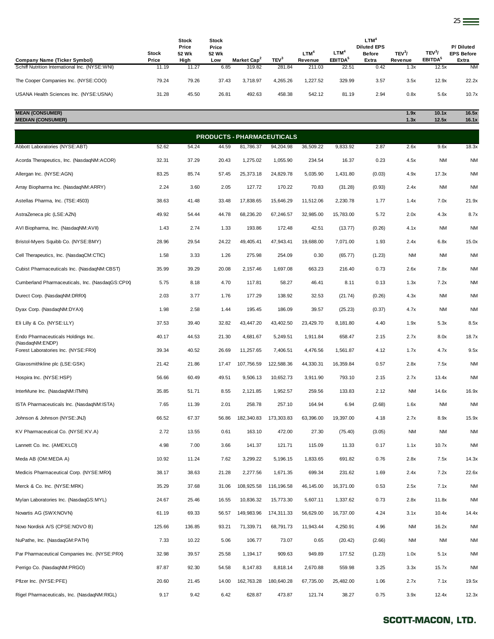| <b>Company Name (Ticker Symbol)</b>            | Stock<br>Price | Stock<br>Price<br>52 Wk<br>High | <b>Stock</b><br>Price<br>52 Wk<br>Low | Market Cap <sup>2</sup> | TEV <sup>3</sup> | <b>LTM</b><br>Revenue | LTM <sup>4</sup><br>EBITDA <sup>5</sup> | <b>LTM</b><br><b>Diluted EPS</b><br><b>Before</b><br>Extra | TEV3/<br>Revenue | TEV <sup>3</sup><br>EBITDA <sup>5</sup> | P/Diluted<br><b>EPS Before</b><br>Extra |
|------------------------------------------------|----------------|---------------------------------|---------------------------------------|-------------------------|------------------|-----------------------|-----------------------------------------|------------------------------------------------------------|------------------|-----------------------------------------|-----------------------------------------|
| Schiff Nutrition International Inc. (NYSE:WNI) | 11.19          | 11.27                           | 6.85                                  | 319.82                  | 281.84           | 211.03                | 22.51                                   | 0.42                                                       | 1.3x             | 12.5x                                   | <b>NM</b>                               |
| The Cooper Companies Inc. (NYSE:COO)           | 79.24          | 79.26                           | 37.43                                 | 3.718.97                | 4,265.26         | 1.227.52              | 329.99                                  | 3.57                                                       | 3.5x             | 12.9x                                   | 22.2x                                   |
| USANA Health Sciences Inc. (NYSE:USNA)         | 31.28          | 45.50                           | 26.81                                 | 492.63                  | 458.38           | 542.12                | 81.19                                   | 2.94                                                       | 0.8x             | 5.6x                                    | 10.7x                                   |

| <b>MEAN (CONSUMER)</b>   | 1.9x | 10.1x | 16.5x |
|--------------------------|------|-------|-------|
| <b>MEDIAN (CONSUMER)</b> | 1.3x | 12.5x | 16.1x |

| <b>PRODUCTS - PHARMACEUTICALS</b>                     |        |        |       |            |            |           |           |        |           |           |           |  |
|-------------------------------------------------------|--------|--------|-------|------------|------------|-----------|-----------|--------|-----------|-----------|-----------|--|
| Abbott Laboratories (NYSE:ABT)                        | 52.62  | 54.24  | 44.59 | 81,786.37  | 94,204.98  | 36,509.22 | 9,833.92  | 2.87   | 2.6x      | 9.6x      | 18.3x     |  |
| Acorda Therapeutics, Inc. (NasdaqNM:ACOR)             | 32.31  | 37.29  | 20.43 | 1,275.02   | 1,055.90   | 234.54    | 16.37     | 0.23   | 4.5x      | <b>NM</b> | NM        |  |
| Allergan Inc. (NYSE:AGN)                              | 83.25  | 85.74  | 57.45 | 25,373.18  | 24,829.78  | 5,035.90  | 1,431.80  | (0.03) | 4.9x      | 17.3x     | NM        |  |
| Array Biopharma Inc. (NasdaqNM:ARRY)                  | 2.24   | 3.60   | 2.05  | 127.72     | 170.22     | 70.83     | (31.28)   | (0.93) | 2.4x      | NM        | NM        |  |
| Astellas Pharma, Inc. (TSE:4503)                      | 38.63  | 41.48  | 33.48 | 17,838.65  | 15,646.29  | 11,512.06 | 2,230.78  | 1.77   | 1.4x      | 7.0x      | 21.9x     |  |
| AstraZeneca plc (LSE:AZN)                             | 49.92  | 54.44  | 44.78 | 68,236.20  | 67,246.57  | 32,985.00 | 15,783.00 | 5.72   | 2.0x      | 4.3x      | 8.7x      |  |
| AVI Biopharma, Inc. (NasdaqNM:AVII)                   | 1.43   | 2.74   | 1.33  | 193.86     | 172.48     | 42.51     | (13.77)   | (0.26) | 4.1x      | <b>NM</b> | NM        |  |
| Bristol-Myers Squibb Co. (NYSE:BMY)                   | 28.96  | 29.54  | 24.22 | 49,405.41  | 47,943.41  | 19,688.00 | 7.071.00  | 1.93   | 2.4x      | 6.8x      | 15.0x     |  |
| Cell Therapeutics, Inc. (NasdaqCM:CTIC)               | 1.58   | 3.33   | 1.26  | 275.98     | 254.09     | 0.30      | (65.77)   | (1.23) | <b>NM</b> | <b>NM</b> | ΝM        |  |
| Cubist Pharmaceuticals Inc. (NasdaqNM:CBST)           | 35.99  | 39.29  | 20.08 | 2,157.46   | 1,697.08   | 663.23    | 216.40    | 0.73   | 2.6x      | 7.8x      | NM        |  |
| Cumberland Pharmaceuticals, Inc. (NasdaqGS:CPIX)      | 5.75   | 8.18   | 4.70  | 117.81     | 58.27      | 46.41     | 8.11      | 0.13   | 1.3x      | 7.2x      | NM        |  |
| Durect Corp. (NasdaqNM:DRRX)                          | 2.03   | 3.77   | 1.76  | 177.29     | 138.92     | 32.53     | (21.74)   | (0.26) | 4.3x      | <b>NM</b> | NM        |  |
| Dyax Corp. (NasdaqNM:DYAX)                            | 1.98   | 2.58   | 1.44  | 195.45     | 186.09     | 39.57     | (25.23)   | (0.37) | 4.7x      | ΝM        | NM        |  |
| Eli Lilly & Co. (NYSE:LLY)                            | 37.53  | 39.40  | 32.82 | 43,447.20  | 43,402.50  | 23,429.70 | 8,181.80  | 4.40   | 1.9x      | 5.3x      | 8.5x      |  |
| Endo Pharmaceuticals Holdings Inc.<br>(NasdaqNM:ENDP) | 40.17  | 44.53  | 21.30 | 4,681.67   | 5,249.51   | 1,911.84  | 658.47    | 2.15   | 2.7x      | 8.0x      | 18.7x     |  |
| Forest Laboratories Inc. (NYSE:FRX)                   | 39.34  | 40.52  | 26.69 | 11,257.65  | 7,406.51   | 4,476.56  | 1,561.87  | 4.12   | 1.7x      | 4.7x      | 9.5x      |  |
| Glaxosmithkline plc (LSE:GSK)                         | 21.42  | 21.86  | 17.47 | 107,756.59 | 122,588.36 | 44,330.31 | 16,359.84 | 0.57   | 2.8x      | 7.5x      | NM        |  |
| Hospira Inc. (NYSE:HSP)                               | 56.66  | 60.49  | 49.51 | 9,506.13   | 10,652.73  | 3,911.90  | 793.10    | 2.15   | 2.7x      | 13.4x     | NM        |  |
| InterMune Inc. (NasdaqNM:ITMN)                        | 35.85  | 51.71  | 8.55  | 2,121.85   | 1,952.57   | 259.56    | 133.83    | 2.12   | <b>NM</b> | 14.6x     | 16.9x     |  |
| ISTA Pharmaceuticals Inc. (NasdaqNM:ISTA)             | 7.65   | 11.39  | 2.01  | 258.78     | 257.10     | 164.94    | 6.94      | (2.68) | 1.6x      | <b>NM</b> | <b>NM</b> |  |
| Johnson & Johnson (NYSE: JNJ)                         | 66.52  | 67.37  | 56.86 | 182,340.83 | 173,303.83 | 63,396.00 | 19,397.00 | 4.18   | 2.7x      | 8.9x      | 15.9x     |  |
| KV Pharmaceutical Co. (NYSE:KV.A)                     | 2.72   | 13.55  | 0.61  | 163.10     | 472.00     | 27.30     | (75.40)   | (3.05) | <b>NM</b> | <b>NM</b> | NM        |  |
| Lannett Co. Inc. (AMEX:LCI)                           | 4.98   | 7.00   | 3.66  | 141.37     | 121.71     | 115.09    | 11.33     | 0.17   | 1.1x      | 10.7x     | ΝM        |  |
| Meda AB (OM:MEDA A)                                   | 10.92  | 11.24  | 7.62  | 3,299.22   | 5,196.15   | 1,833.65  | 691.82    | 0.76   | 2.8x      | 7.5x      | 14.3x     |  |
| Medicis Pharmaceutical Corp. (NYSE:MRX)               | 38.17  | 38.63  | 21.28 | 2,277.56   | 1,671.35   | 699.34    | 231.62    | 1.69   | 2.4x      | 7.2x      | 22.6x     |  |
| Merck & Co. Inc. (NYSE:MRK)                           | 35.29  | 37.68  | 31.06 | 108,925.58 | 116,196.58 | 46,145.00 | 16,371.00 | 0.53   | 2.5x      | 7.1x      | NM        |  |
| Mylan Laboratories Inc. (NasdaqGS:MYL)                | 24.67  | 25.46  | 16.55 | 10,836.32  | 15,773.30  | 5,607.11  | 1,337.62  | 0.73   | 2.8x      | 11.8x     | <b>NM</b> |  |
| Novartis AG (SWX:NOVN)                                | 61.19  | 69.33  | 56.57 | 149,983.96 | 174,311.33 | 56,629.00 | 16,737.00 | 4.24   | 3.1x      | 10.4x     | 14.4x     |  |
| Novo Nordisk A/S (CPSE:NOVO B)                        | 125.66 | 136.85 | 93.21 | 71,339.71  | 68,791.73  | 11,943.44 | 4,250.91  | 4.96   | <b>NM</b> | 16.2x     | <b>NM</b> |  |
| NuPathe, Inc. (NasdaqGM:PATH)                         | 7.33   | 10.22  | 5.06  | 106.77     | 73.07      | 0.65      | (20.42)   | (2.66) | <b>NM</b> | <b>NM</b> | <b>NM</b> |  |
| Par Pharmaceutical Companies Inc. (NYSE:PRX)          | 32.98  | 39.57  | 25.58 | 1,194.17   | 909.63     | 949.89    | 177.52    | (1.23) | 1.0x      | 5.1x      | <b>NM</b> |  |
| Perrigo Co. (NasdaqNM:PRGO)                           | 87.87  | 92.30  | 54.58 | 8,147.83   | 8,818.14   | 2,670.88  | 559.98    | 3.25   | 3.3x      | 15.7x     | <b>NM</b> |  |
| Pfizer Inc. (NYSE:PFE)                                | 20.60  | 21.45  | 14.00 | 162,763.28 | 180,640.28 | 67,735.00 | 25,482.00 | 1.06   | 2.7x      | 7.1x      | 19.5x     |  |
| Rigel Pharmaceuticals, Inc. (NasdaqNM:RIGL)           | 9.17   | 9.42   | 6.42  | 628.87     | 473.87     | 121.74    | 38.27     | 0.75   | 3.9x      | 12.4x     | 12.3x     |  |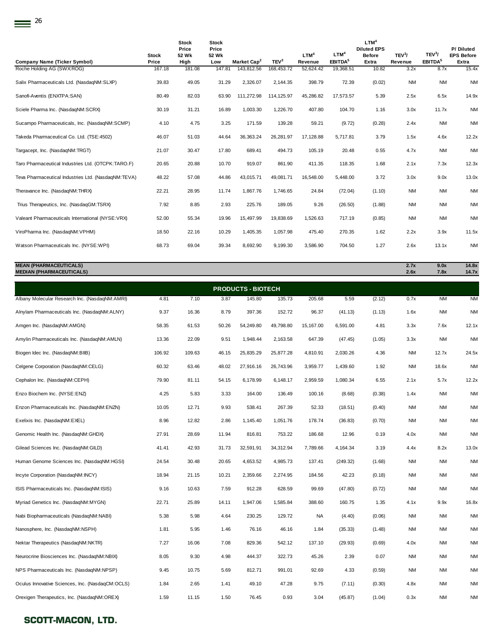|                                                     |                | <b>Stock</b><br>Price | <b>Stock</b><br>Price |                         |                  |                             |                                         | LTM <sup>4</sup><br><b>Diluted EPS</b> |                               |                                           | P/Diluted                  |
|-----------------------------------------------------|----------------|-----------------------|-----------------------|-------------------------|------------------|-----------------------------|-----------------------------------------|----------------------------------------|-------------------------------|-------------------------------------------|----------------------------|
| <b>Company Name (Ticker Symbol)</b>                 | Stock<br>Price | 52 Wk<br>High         | 52 Wk<br>Low          | Market Cap <sup>2</sup> | TEV <sup>3</sup> | LTM <sup>4</sup><br>Revenue | LTM <sup>4</sup><br>EBITDA <sup>5</sup> | <b>Before</b><br>Extra                 | TEV <sup>3</sup> /<br>Revenue | TEV <sup>3</sup> /<br>EBITDA <sup>5</sup> | <b>EPS Before</b><br>Extra |
| Roche Holding AG (SWX:ROG)                          | 167.18         | 181.08                | 147.81                | 143.812.56              | 168.453.72       | 52,624.42                   | 19,368.51                               | 10.82                                  | 3.2x                          | 8.7x                                      | 15.4x                      |
| Salix Pharmaceuticals Ltd. (NasdaqNM:SLXP)          | 39.83          | 49.05                 | 31.29                 | 2,326.07                | 2,144.35         | 398.79                      | 72.39                                   | (0.02)                                 | <b>NM</b>                     | <b>NM</b>                                 | <b>NM</b>                  |
| Sanofi-Aventis (ENXTPA:SAN)                         | 80.49          | 82.03                 | 63.90                 | 111,272.98              | 114,125.97       | 45,286.82                   | 17,573.57                               | 5.39                                   | 2.5x                          | 6.5x                                      | 14.9x                      |
| Sciele Pharma Inc. (NasdaqNM:SCRX)                  | 30.19          | 31.21                 | 16.89                 | 1,003.30                | 1,226.70         | 407.80                      | 104.70                                  | 1.16                                   | 3.0x                          | 11.7x                                     | <b>NM</b>                  |
| Sucampo Pharmaceuticals, Inc. (NasdaqNM:SCMP)       | 4.10           | 4.75                  | 3.25                  | 171.59                  | 139.28           | 59.21                       | (9.72)                                  | (0.28)                                 | 2.4x                          | <b>NM</b>                                 | <b>NM</b>                  |
| Takeda Pharmaceutical Co. Ltd. (TSE:4502)           | 46.07          | 51.03                 | 44.64                 | 36, 363. 24             | 26,281.97        | 17,128.88                   | 5,717.81                                | 3.79                                   | 1.5x                          | 4.6x                                      | 12.2x                      |
| Targacept, Inc. (NasdagNM:TRGT)                     | 21.07          | 30.47                 | 17.80                 | 689.41                  | 494.73           | 105.19                      | 20.48                                   | 0.55                                   | 4.7x                          | <b>NM</b>                                 | <b>NM</b>                  |
| Taro Pharmaceutical Industries Ltd. (OTCPK:TARO.F)  | 20.65          | 20.88                 | 10.70                 | 919.07                  | 861.90           | 411.35                      | 118.35                                  | 1.68                                   | 2.1x                          | 7.3x                                      | 12.3x                      |
| Teva Pharmaceutical Industries Ltd. (NasdaqNM:TEVA) | 48.22          | 57.08                 | 44.86                 | 43,015.71               | 49,081.71        | 16,548.00                   | 5,448.00                                | 3.72                                   | 3.0x                          | 9.0x                                      | 13.0x                      |
| Theravance Inc. (NasdaqNM:THRX)                     | 22.21          | 28.95                 | 11.74                 | 1,867.76                | 1,746.65         | 24.84                       | (72.04)                                 | (1.10)                                 | <b>NM</b>                     | <b>NM</b>                                 | <b>NM</b>                  |
| Trius Therapeutics, Inc. (NasdaqGM:TSRX)            | 7.92           | 8.85                  | 2.93                  | 225.76                  | 189.05           | 9.26                        | (26.50)                                 | (1.88)                                 | <b>NM</b>                     | <b>NM</b>                                 | <b>NM</b>                  |
| Valeant Pharmaceuticals International (NYSE:VRX)    | 52.00          | 55.34                 | 19.96                 | 15,497.99               | 19,838.69        | 1,526.63                    | 717.19                                  | (0.85)                                 | <b>NM</b>                     | <b>NM</b>                                 | <b>NM</b>                  |
| ViroPharma Inc. (NasdaqNM:VPHM)                     | 18.50          | 22.16                 | 10.29                 | 1,405.35                | 1,057.98         | 475.40                      | 270.35                                  | 1.62                                   | 2.2x                          | 3.9x                                      | 11.5x                      |
| Watson Pharmaceuticals Inc. (NYSE:WPI)              | 68.73          | 69.04                 | 39.34                 | 8,692.90                | 9,199.30         | 3,586.90                    | 704.50                                  | 1.27                                   | 2.6x                          | 13.1x                                     | <b>NM</b>                  |

## **MEAN (PHARMACEUTICALS) 2.7x 9.0x 14.8x MEDIAN (PHARMACEUTICALS) 2.6x 7.8x 14.7x**

|                                                  |        |        |       | <b>PRODUCTS - BIOTECH</b> |           |           |          |        |           |           |           |
|--------------------------------------------------|--------|--------|-------|---------------------------|-----------|-----------|----------|--------|-----------|-----------|-----------|
| Albany Molecular Research Inc. (NasdaqNM:AMRI)   | 4.81   | 7.10   | 3.87  | 145.80                    | 135.73    | 205.68    | 5.59     | (2.12) | 0.7x      | <b>NM</b> | <b>NM</b> |
| Alnylam Pharmaceuticals Inc. (NasdaqNM:ALNY)     | 9.37   | 16.36  | 8.79  | 397.36                    | 152.72    | 96.37     | (41.13)  | (1.13) | 1.6x      | <b>NM</b> | <b>NM</b> |
| Amgen Inc. (NasdaqNM:AMGN)                       | 58.35  | 61.53  | 50.26 | 54,249.80                 | 49,798.80 | 15,167.00 | 6,591.00 | 4.81   | 3.3x      | 7.6x      | 12.1x     |
| Amylin Pharmaceuticals Inc. (NasdaqNM:AMLN)      | 13.36  | 22.09  | 9.51  | 1,948.44                  | 2,163.58  | 647.39    | (47.45)  | (1.05) | 3.3x      | NM        | <b>NM</b> |
| Biogen Idec Inc. (NasdaqNM:BIIB)                 | 106.92 | 109.63 | 46.15 | 25,835.29                 | 25,877.28 | 4,810.91  | 2,030.26 | 4.36   | NM        | 12.7x     | 24.5x     |
| Celgene Corporation (NasdaqNM:CELG)              | 60.32  | 63.46  | 48.02 | 27,916.16                 | 26,743.96 | 3,959.77  | 1,439.60 | 1.92   | <b>NM</b> | 18.6x     | <b>NM</b> |
| Cephalon Inc. (NasdaqNM:CEPH)                    | 79.90  | 81.11  | 54.15 | 6,178.99                  | 6,148.17  | 2,959.59  | 1,080.34 | 6.55   | 2.1x      | 5.7x      | 12.2x     |
| Enzo Biochem Inc. (NYSE:ENZ)                     | 4.25   | 5.83   | 3.33  | 164.00                    | 136.49    | 100.16    | (8.68)   | (0.38) | 1.4x      | NM        | <b>NM</b> |
| Enzon Pharmaceuticals Inc. (NasdaqNM:ENZN)       | 10.05  | 12.71  | 9.93  | 538.41                    | 267.39    | 52.33     | (18.51)  | (0.40) | <b>NM</b> | <b>NM</b> | <b>NM</b> |
| Exelixis Inc. (NasdaqNM:EXEL)                    | 8.96   | 12.82  | 2.86  | 1,145.40                  | 1,051.76  | 178.74    | (36.83)  | (0.70) | <b>NM</b> | <b>NM</b> | <b>NM</b> |
| Genomic Health Inc. (NasdaqNM:GHDX)              | 27.91  | 28.69  | 11.94 | 816.81                    | 753.22    | 186.68    | 12.96    | 0.19   | 4.0x      | <b>NM</b> | <b>NM</b> |
| Gilead Sciences Inc. (NasdaqNM:GILD)             | 41.41  | 42.93  | 31.73 | 32,591.91                 | 34,312.94 | 7,789.66  | 4,164.34 | 3.19   | 4.4x      | 8.2x      | 13.0x     |
| Human Genome Sciences Inc. (NasdaqNM:HGSI)       | 24.54  | 30.48  | 20.65 | 4,653.52                  | 4,985.73  | 137.41    | (249.32) | (1.68) | NM        | <b>NM</b> | <b>NM</b> |
| Incyte Corporation (NasdaqNM:INCY)               | 18.94  | 21.15  | 10.21 | 2,359.66                  | 2,274.95  | 184.56    | 42.23    | (0.18) | <b>NM</b> | <b>NM</b> | <b>NM</b> |
| ISIS Pharmaceuticals Inc. (NasdaqNM:ISIS)        | 9.16   | 10.63  | 7.59  | 912.28                    | 628.59    | 99.69     | (47.80)  | (0.72) | <b>NM</b> | NM        | <b>NM</b> |
| Myriad Genetics Inc. (NasdaqNM:MYGN)             | 22.71  | 25.89  | 14.11 | 1,947.06                  | 1,585.84  | 388.60    | 160.75   | 1.35   | 4.1x      | 9.9x      | 16.8x     |
| Nabi Biopharmaceuticals (NasdaqNM:NABI)          | 5.38   | 5.98   | 4.64  | 230.25                    | 129.72    | NA.       | (4.40)   | (0.06) | <b>NM</b> | <b>NM</b> | <b>NM</b> |
| Nanosphere, Inc. (NasdaqNM:NSPH)                 | 1.81   | 5.95   | 1.46  | 76.16                     | 46.16     | 1.84      | (35.33)  | (1.48) | <b>NM</b> | <b>NM</b> | <b>NM</b> |
| Nektar Therapeutics (NasdaqNM:NKTR)              | 7.27   | 16.06  | 7.08  | 829.36                    | 542.12    | 137.10    | (29.93)  | (0.69) | 4.0x      | NM        | <b>NM</b> |
| Neurocrine Biosciences Inc. (NasdaqNM:NBIX)      | 8.05   | 9.30   | 4.98  | 444.37                    | 322.73    | 45.26     | 2.39     | 0.07   | <b>NM</b> | <b>NM</b> | <b>NM</b> |
| NPS Pharmaceuticals Inc. (NasdaqNM:NPSP)         | 9.45   | 10.75  | 5.69  | 812.71                    | 991.01    | 92.69     | 4.33     | (0.59) | ΝM        | NM        | <b>NM</b> |
| Oculus Innovative Sciences, Inc. (NasdaqCM:OCLS) | 1.84   | 2.65   | 1.41  | 49.10                     | 47.28     | 9.75      | (7.11)   | (0.30) | 4.8x      | <b>NM</b> | <b>NM</b> |
| Orexigen Therapeutics, Inc. (NasdaqNM:OREX)      | 1.59   | 11.15  | 1.50  | 76.45                     | 0.93      | 3.04      | (45.87)  | (1.04) | 0.3x      | NM        | <b>NM</b> |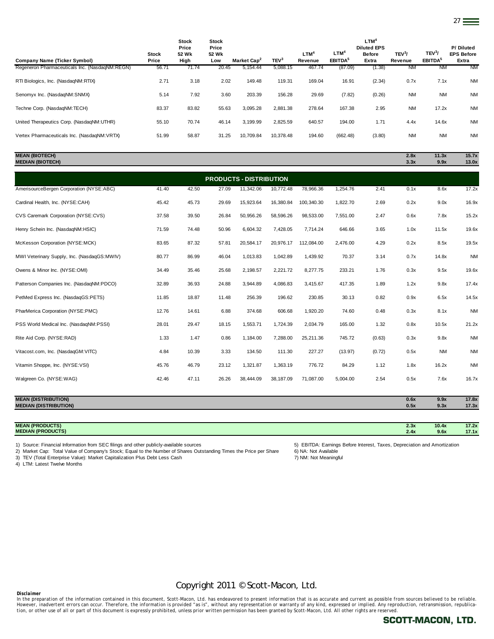| Company Name (Ticker Symbol)                   | <b>Stock</b><br>Price | Stock<br>Price<br>52 Wk<br>High | <b>Stock</b><br>Price<br>52 Wk<br>Low | Market Cap <sup>2</sup> | TEV <sup>3</sup> | LTM <sup>4</sup><br>Revenue | $LTM^4$<br>EBITDA <sup>5</sup> | LTM <sup>4</sup><br><b>Diluted EPS</b><br><b>Before</b><br>Extra | TEV <sup>3</sup> /<br>Revenue | TEV <sup>3</sup> /<br>EBITDA <sup>5</sup> | P/Diluted<br><b>EPS Before</b><br>Extra |
|------------------------------------------------|-----------------------|---------------------------------|---------------------------------------|-------------------------|------------------|-----------------------------|--------------------------------|------------------------------------------------------------------|-------------------------------|-------------------------------------------|-----------------------------------------|
| Regeneron Pharmaceuticals Inc. (NasdaqNM:REGN) | 56.71                 | 71.74                           | 20.45                                 | 5,154.44                | 5,088.15         | 467.74                      | (87.09)                        | (1.38)                                                           | <b>NM</b>                     | <b>NM</b>                                 | <b>NM</b>                               |
| RTI Biologics, Inc. (NasdagNM:RTIX)            | 2.71                  | 3.18                            | 2.02                                  | 149.48                  | 119.31           | 169.04                      | 16.91                          | (2.34)                                                           | 0.7x                          | 7.1x                                      | <b>NM</b>                               |
| Senomyx Inc. (NasdaqNM:SNMX)                   | 5.14                  | 7.92                            | 3.60                                  | 203.39                  | 156.28           | 29.69                       | (7.82)                         | (0.26)                                                           | <b>NM</b>                     | <b>NM</b>                                 | <b>NM</b>                               |
| Techne Corp. (NasdaqNM:TECH)                   | 83.37                 | 83.82                           | 55.63                                 | 3,095.28                | 2,881.38         | 278.64                      | 167.38                         | 2.95                                                             | <b>NM</b>                     | 17.2x                                     | <b>NM</b>                               |
| United Therapeutics Corp. (NasdaqNM:UTHR)      | 55.10                 | 70.74                           | 46.14                                 | 3,199.99                | 2,825.59         | 640.57                      | 194.00                         | 1.71                                                             | 4.4x                          | 14.6x                                     | <b>NM</b>                               |
| Vertex Pharmaceuticals Inc. (NasdaqNM:VRTX)    | 51.99                 | 58.87                           | 31.25                                 | 10,709.84               | 10,378.48        | 194.60                      | (662.48)                       | (3.80)                                                           | <b>NM</b>                     | <b>NM</b>                                 | <b>NM</b>                               |
|                                                |                       |                                 |                                       |                         |                  |                             |                                |                                                                  |                               |                                           |                                         |

| <b>MEAN (BIOTECH)</b><br><b>MEDIAN (BIOTECH)</b> |       |       |       |           |           |            |          |        | 2.8x<br>3.3x | 11.3x<br>9.9x | 15.7x<br>13.0x |
|--------------------------------------------------|-------|-------|-------|-----------|-----------|------------|----------|--------|--------------|---------------|----------------|
| <b>PRODUCTS - DISTRIBUTION</b>                   |       |       |       |           |           |            |          |        |              |               |                |
| AmerisourceBergen Corporation (NYSE:ABC)         | 41.40 | 42.50 | 27.09 | 11,342.06 | 10,772.48 | 78,966.36  | 1,254.76 | 2.41   | 0.1x         | 8.6x          | 17.2x          |
| Cardinal Health, Inc. (NYSE:CAH)                 | 45.42 | 45.73 | 29.69 | 15,923.64 | 16,380.84 | 100,340.30 | 1,822.70 | 2.69   | 0.2x         | 9.0x          | 16.9x          |
| CVS Caremark Corporation (NYSE:CVS)              | 37.58 | 39.50 | 26.84 | 50,956.26 | 58,596.26 | 98,533.00  | 7,551.00 | 2.47   | 0.6x         | 7.8x          | 15.2x          |
| Henry Schein Inc. (NasdaqNM:HSIC)                | 71.59 | 74.48 | 50.96 | 6,604.32  | 7,428.05  | 7,714.24   | 646.66   | 3.65   | 1.0x         | 11.5x         | 19.6x          |
| McKesson Corporation (NYSE:MCK)                  | 83.65 | 87.32 | 57.81 | 20,584.17 | 20,976.17 | 112,084.00 | 2,476.00 | 4.29   | 0.2x         | 8.5x          | 19.5x          |
| MWI Veterinary Supply, Inc. (NasdaqGS:MWIV)      | 80.77 | 86.99 | 46.04 | 1,013.83  | 1,042.89  | 1,439.92   | 70.37    | 3.14   | 0.7x         | 14.8x         | <b>NM</b>      |
| Owens & Minor Inc. (NYSE:OMI)                    | 34.49 | 35.46 | 25.68 | 2,198.57  | 2,221.72  | 8,277.75   | 233.21   | 1.76   | 0.3x         | 9.5x          | 19.6x          |
| Patterson Companies Inc. (NasdaqNM:PDCO)         | 32.89 | 36.93 | 24.88 | 3,944.89  | 4,086.83  | 3,415.67   | 417.35   | 1.89   | 1.2x         | 9.8x          | 17.4x          |
| PetMed Express Inc. (NasdaqGS:PETS)              | 11.85 | 18.87 | 11.48 | 256.39    | 196.62    | 230.85     | 30.13    | 0.82   | 0.9x         | 6.5x          | 14.5x          |
| PharMerica Corporation (NYSE:PMC)                | 12.76 | 14.61 | 6.88  | 374.68    | 606.68    | 1,920.20   | 74.60    | 0.48   | 0.3x         | 8.1x          | <b>NM</b>      |
| PSS World Medical Inc. (NasdaqNM:PSSI)           | 28.01 | 29.47 | 18.15 | 1,553.71  | 1,724.39  | 2,034.79   | 165.00   | 1.32   | 0.8x         | 10.5x         | 21.2x          |
| Rite Aid Corp. (NYSE:RAD)                        | 1.33  | 1.47  | 0.86  | 1,184.00  | 7,288.00  | 25,211.36  | 745.72   | (0.63) | 0.3x         | 9.8x          | <b>NM</b>      |
| Vitacost.com, Inc. (NasdaqGM:VITC)               | 4.84  | 10.39 | 3.33  | 134.50    | 111.30    | 227.27     | (13.97)  | (0.72) | 0.5x         | <b>NM</b>     | <b>NM</b>      |
| Vitamin Shoppe, Inc. (NYSE:VSI)                  | 45.76 | 46.79 | 23.12 | 1,321.87  | 1,363.19  | 776.72     | 84.29    | 1.12   | 1.8x         | 16.2x         | <b>NM</b>      |
| Walgreen Co. (NYSE:WAG)                          | 42.46 | 47.11 | 26.26 | 38.444.09 | 38,187.09 | 71,087.00  | 5,004.00 | 2.54   | 0.5x         | 7.6x          | 16.7x          |
|                                                  |       |       |       |           |           |            |          |        |              |               |                |

| <b>MEAN (DISTRIBUTION)</b>   | 0.6x | 9.9x | 17.8x |
|------------------------------|------|------|-------|
| <b>MEDIAN (DISTRIBUTION)</b> | 0.5x | 9.3x | 17.3x |
|                              |      |      |       |

| (PRODUCTS)               | <b>CONTRACTOR</b> | 10.4x | 17.2 <sub>v</sub>        |
|--------------------------|-------------------|-------|--------------------------|
| <b>MEAN</b>              | 2.JA              |       | . <i>.</i>               |
| <b>MEDIAN (PRODUCTS)</b> | , ,               | 9.6x  | $\overline{\phantom{0}}$ |
| <b>ML</b>                | $\mathbf{A}$      |       | 11.11                    |

1) Source: Financial Information from SEC filings and other publicly-available sources 5) EBITDA: Earnings Before Interest, Taxes, Depreciation and Amortization<br>2) Market Cap: Total Value of Company's Stock; Equal to the N 2) Market Cap: Total Value of Company's Stock; Equal to the Number of Shares Outstanding Times the Price per Share 6) NA: Not Available<br>3) TEV (Total Enterprise Value): Market Capitalization Plus Debt Less Cash

3) TEV (Total Enterprise Value): Market Capitalization Plus Debt Less Cash

4) LTM: Latest Twelve Months

Copyright 2011 © Scott-Macon, Ltd.

*Disclaimer*  In the preparation of the information contained in this document, Scott-Macon, Ltd. has endeavored to present information that is as accurate and current as possible from sources believed to be reliable.<br>However, inadverte